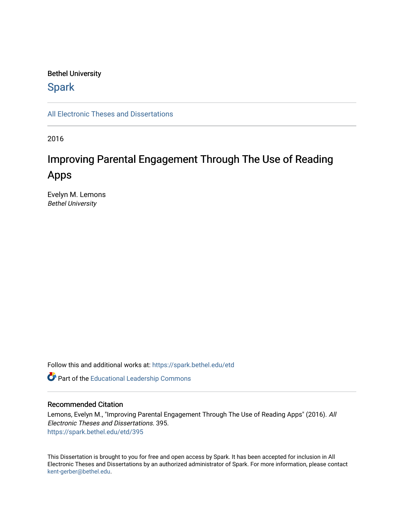#### Bethel University

## **Spark**

[All Electronic Theses and Dissertations](https://spark.bethel.edu/etd) 

2016

# Improving Parental Engagement Through The Use of Reading Apps

Evelyn M. Lemons Bethel University

Follow this and additional works at: [https://spark.bethel.edu/etd](https://spark.bethel.edu/etd?utm_source=spark.bethel.edu%2Fetd%2F395&utm_medium=PDF&utm_campaign=PDFCoverPages)

Part of the [Educational Leadership Commons](http://network.bepress.com/hgg/discipline/1230?utm_source=spark.bethel.edu%2Fetd%2F395&utm_medium=PDF&utm_campaign=PDFCoverPages) 

#### Recommended Citation

Lemons, Evelyn M., "Improving Parental Engagement Through The Use of Reading Apps" (2016). All Electronic Theses and Dissertations. 395. [https://spark.bethel.edu/etd/395](https://spark.bethel.edu/etd/395?utm_source=spark.bethel.edu%2Fetd%2F395&utm_medium=PDF&utm_campaign=PDFCoverPages)

This Dissertation is brought to you for free and open access by Spark. It has been accepted for inclusion in All Electronic Theses and Dissertations by an authorized administrator of Spark. For more information, please contact [kent-gerber@bethel.edu](mailto:kent-gerber@bethel.edu).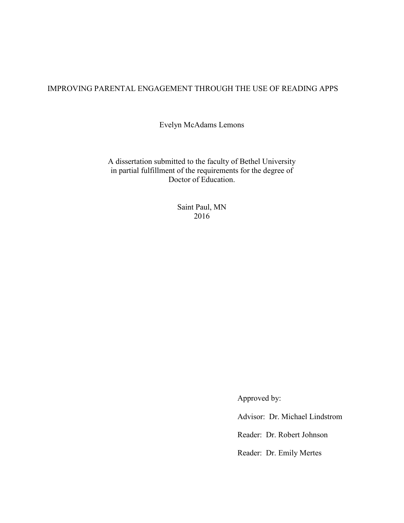### IMPROVING PARENTAL ENGAGEMENT THROUGH THE USE OF READING APPS

Evelyn McAdams Lemons

A dissertation submitted to the faculty of Bethel University in partial fulfillment of the requirements for the degree of Doctor of Education.

> Saint Paul, MN 2016

> > Approved by:

Advisor: Dr. Michael Lindstrom

Reader: Dr. Robert Johnson

Reader: Dr. Emily Mertes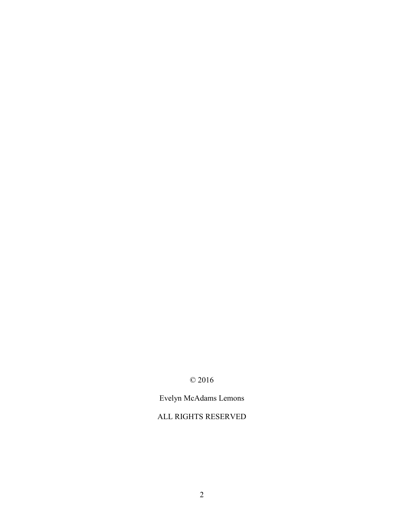## © 2016

## Evelyn McAdams Lemons

## ALL RIGHTS RESERVED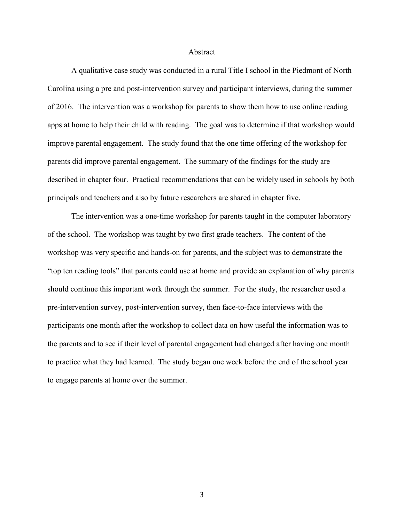#### Abstract

A qualitative case study was conducted in a rural Title I school in the Piedmont of North Carolina using a pre and post-intervention survey and participant interviews, during the summer of 2016. The intervention was a workshop for parents to show them how to use online reading apps at home to help their child with reading. The goal was to determine if that workshop would improve parental engagement. The study found that the one time offering of the workshop for parents did improve parental engagement. The summary of the findings for the study are described in chapter four. Practical recommendations that can be widely used in schools by both principals and teachers and also by future researchers are shared in chapter five.

The intervention was a one-time workshop for parents taught in the computer laboratory of the school. The workshop was taught by two first grade teachers. The content of the workshop was very specific and hands-on for parents, and the subject was to demonstrate the "top ten reading tools" that parents could use at home and provide an explanation of why parents should continue this important work through the summer. For the study, the researcher used a pre-intervention survey, post-intervention survey, then face-to-face interviews with the participants one month after the workshop to collect data on how useful the information was to the parents and to see if their level of parental engagement had changed after having one month to practice what they had learned. The study began one week before the end of the school year to engage parents at home over the summer.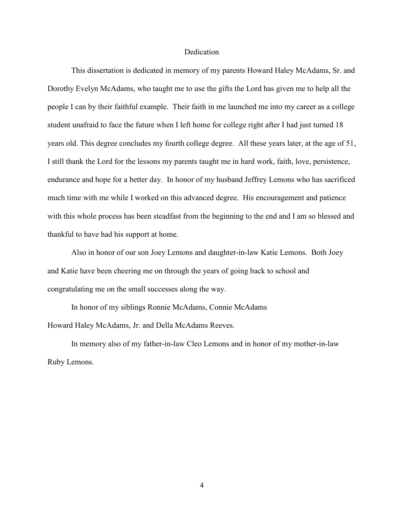#### Dedication

This dissertation is dedicated in memory of my parents Howard Haley McAdams, Sr. and Dorothy Evelyn McAdams, who taught me to use the gifts the Lord has given me to help all the people I can by their faithful example. Their faith in me launched me into my career as a college student unafraid to face the future when I left home for college right after I had just turned 18 years old. This degree concludes my fourth college degree. All these years later, at the age of 51, I still thank the Lord for the lessons my parents taught me in hard work, faith, love, persistence, endurance and hope for a better day. In honor of my husband Jeffrey Lemons who has sacrificed much time with me while I worked on this advanced degree. His encouragement and patience with this whole process has been steadfast from the beginning to the end and I am so blessed and thankful to have had his support at home.

Also in honor of our son Joey Lemons and daughter-in-law Katie Lemons. Both Joey and Katie have been cheering me on through the years of going back to school and congratulating me on the small successes along the way.

In honor of my siblings Ronnie McAdams, Connie McAdams Howard Haley McAdams, Jr. and Della McAdams Reeves.

In memory also of my father-in-law Cleo Lemons and in honor of my mother-in-law Ruby Lemons.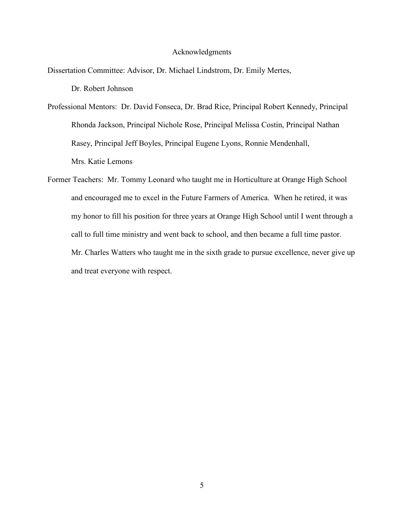#### Acknowledgments

Dissertation Committee: Advisor, Dr. Michael Lindstrom, Dr. Emily Mertes,

Dr. Robert Johnson

Professional Mentors: Dr. David Fonseca, Dr. Brad Rice, Principal Robert Kennedy, Principal Rhonda Jackson, Principal Nichole Rose, Principal Melissa Costin, Principal Nathan Rasey, Principal Jeff Boyles, Principal Eugene Lyons, Ronnie Mendenhall, Mrs. Katie Lemons

Former Teachers: Mr. Tommy Leonard who taught me in Horticulture at Orange High School and encouraged me to excel in the Future Farmers of America. When he retired, it was my honor to fill his position for three years at Orange High School until I went through a call to full time ministry and went back to school, and then became a full time pastor. Mr. Charles Watters who taught me in the sixth grade to pursue excellence, never give up and treat everyone with respect.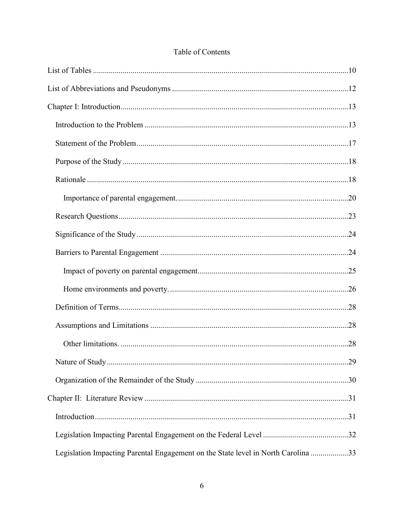| Legislation Impacting Parental Engagement on the State level in North Carolina 33 |  |
|-----------------------------------------------------------------------------------|--|

### Table of Contents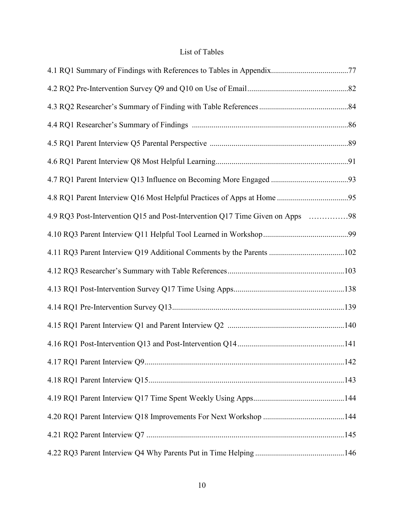### List of Tables

<span id="page-10-0"></span>

| 4.9 RQ3 Post-Intervention Q15 and Post-Intervention Q17 Time Given on Apps 98 |  |
|-------------------------------------------------------------------------------|--|
|                                                                               |  |
| 4.11 RQ3 Parent Interview Q19 Additional Comments by the Parents 102          |  |
|                                                                               |  |
|                                                                               |  |
|                                                                               |  |
|                                                                               |  |
|                                                                               |  |
|                                                                               |  |
|                                                                               |  |
|                                                                               |  |
|                                                                               |  |
|                                                                               |  |
|                                                                               |  |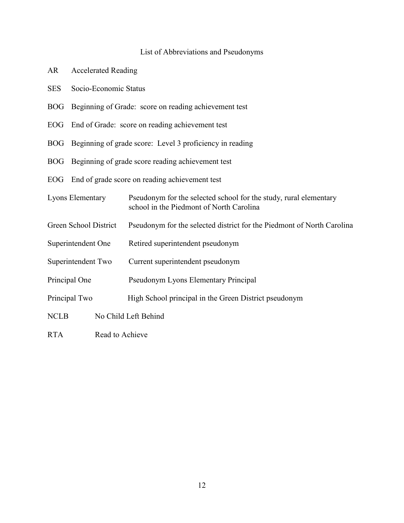#### List of Abbreviations and Pseudonyms

- <span id="page-12-0"></span>AR Accelerated Reading
- SES Socio-Economic Status
- BOG Beginning of Grade: score on reading achievement test
- EOG End of Grade: score on reading achievement test
- BOG Beginning of grade score: Level 3 proficiency in reading
- BOG Beginning of grade score reading achievement test
- EOG End of grade score on reading achievement test
- Lyons Elementary Pseudonym for the selected school for the study, rural elementary school in the Piedmont of North Carolina
- Green School District Pseudonym for the selected district for the Piedmont of North Carolina
- Superintendent One Retired superintendent pseudonym
- Superintendent Two Current superintendent pseudonym
- Principal One Pseudonym Lyons Elementary Principal
- Principal Two High School principal in the Green District pseudonym
- NCLB No Child Left Behind
- RTA Read to Achieve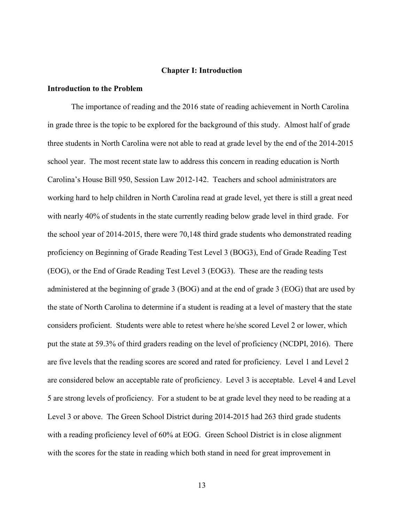#### **Chapter I: Introduction**

#### <span id="page-13-1"></span><span id="page-13-0"></span>**Introduction to the Problem**

The importance of reading and the 2016 state of reading achievement in North Carolina in grade three is the topic to be explored for the background of this study. Almost half of grade three students in North Carolina were not able to read at grade level by the end of the 2014-2015 school year. The most recent state law to address this concern in reading education is North Carolina's House Bill 950, Session Law 2012-142. Teachers and school administrators are working hard to help children in North Carolina read at grade level, yet there is still a great need with nearly 40% of students in the state currently reading below grade level in third grade. For the school year of 2014-2015, there were 70,148 third grade students who demonstrated reading proficiency on Beginning of Grade Reading Test Level 3 (BOG3), End of Grade Reading Test (EOG), or the End of Grade Reading Test Level 3 (EOG3). These are the reading tests administered at the beginning of grade 3 (BOG) and at the end of grade 3 (EOG) that are used by the state of North Carolina to determine if a student is reading at a level of mastery that the state considers proficient. Students were able to retest where he/she scored Level 2 or lower, which put the state at 59.3% of third graders reading on the level of proficiency (NCDPI, 2016). There are five levels that the reading scores are scored and rated for proficiency. Level 1 and Level 2 are considered below an acceptable rate of proficiency. Level 3 is acceptable. Level 4 and Level 5 are strong levels of proficiency. For a student to be at grade level they need to be reading at a Level 3 or above. The Green School District during 2014-2015 had 263 third grade students with a reading proficiency level of 60% at EOG. Green School District is in close alignment with the scores for the state in reading which both stand in need for great improvement in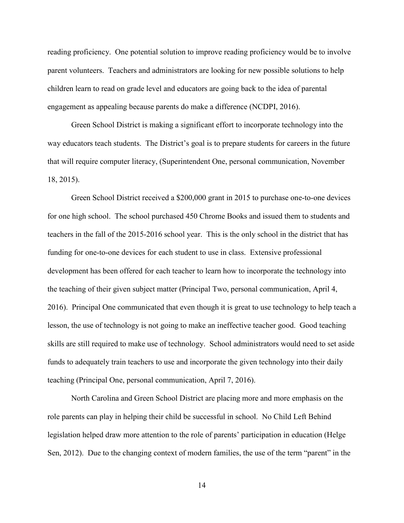reading proficiency. One potential solution to improve reading proficiency would be to involve parent volunteers. Teachers and administrators are looking for new possible solutions to help children learn to read on grade level and educators are going back to the idea of parental engagement as appealing because parents do make a difference (NCDPI, 2016).

Green School District is making a significant effort to incorporate technology into the way educators teach students. The District's goal is to prepare students for careers in the future that will require computer literacy, (Superintendent One, personal communication, November 18, 2015).

Green School District received a \$200,000 grant in 2015 to purchase one-to-one devices for one high school. The school purchased 450 Chrome Books and issued them to students and teachers in the fall of the 2015-2016 school year. This is the only school in the district that has funding for one-to-one devices for each student to use in class. Extensive professional development has been offered for each teacher to learn how to incorporate the technology into the teaching of their given subject matter (Principal Two, personal communication, April 4, 2016). Principal One communicated that even though it is great to use technology to help teach a lesson, the use of technology is not going to make an ineffective teacher good. Good teaching skills are still required to make use of technology. School administrators would need to set aside funds to adequately train teachers to use and incorporate the given technology into their daily teaching (Principal One, personal communication, April 7, 2016).

North Carolina and Green School District are placing more and more emphasis on the role parents can play in helping their child be successful in school. No Child Left Behind legislation helped draw more attention to the role of parents' participation in education (Helge Sen, 2012). Due to the changing context of modern families, the use of the term "parent" in the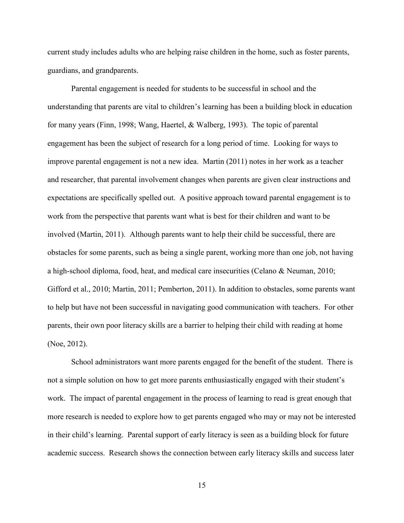current study includes adults who are helping raise children in the home, such as foster parents, guardians, and grandparents.

Parental engagement is needed for students to be successful in school and the understanding that parents are vital to children's learning has been a building block in education for many years (Finn, 1998; Wang, Haertel, & Walberg, 1993). The topic of parental engagement has been the subject of research for a long period of time. Looking for ways to improve parental engagement is not a new idea. Martin (2011) notes in her work as a teacher and researcher, that parental involvement changes when parents are given clear instructions and expectations are specifically spelled out. A positive approach toward parental engagement is to work from the perspective that parents want what is best for their children and want to be involved (Martin, 2011). Although parents want to help their child be successful, there are obstacles for some parents, such as being a single parent, working more than one job, not having a high-school diploma, food, heat, and medical care insecurities (Celano & Neuman, 2010; Gifford et al., 2010; Martin, 2011; Pemberton, 2011). In addition to obstacles, some parents want to help but have not been successful in navigating good communication with teachers. For other parents, their own poor literacy skills are a barrier to helping their child with reading at home (Noe, 2012).

School administrators want more parents engaged for the benefit of the student. There is not a simple solution on how to get more parents enthusiastically engaged with their student's work. The impact of parental engagement in the process of learning to read is great enough that more research is needed to explore how to get parents engaged who may or may not be interested in their child's learning. Parental support of early literacy is seen as a building block for future academic success. Research shows the connection between early literacy skills and success later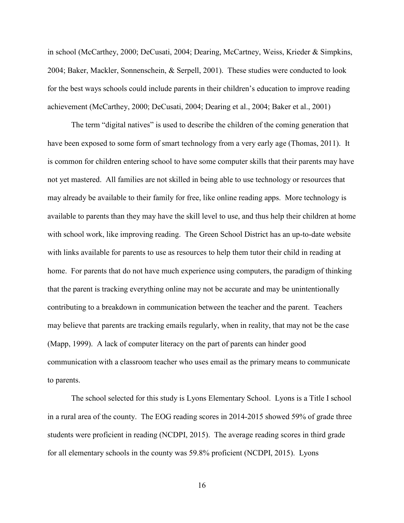in school (McCarthey, 2000; DeCusati, 2004; Dearing, McCartney, Weiss, Krieder & Simpkins, 2004; Baker, Mackler, Sonnenschein, & Serpell, 2001). These studies were conducted to look for the best ways schools could include parents in their children's education to improve reading achievement (McCarthey, 2000; DeCusati, 2004; Dearing et al., 2004; Baker et al., 2001)

The term "digital natives" is used to describe the children of the coming generation that have been exposed to some form of smart technology from a very early age (Thomas, 2011). It is common for children entering school to have some computer skills that their parents may have not yet mastered. All families are not skilled in being able to use technology or resources that may already be available to their family for free, like online reading apps. More technology is available to parents than they may have the skill level to use, and thus help their children at home with school work, like improving reading. The Green School District has an up-to-date website with links available for parents to use as resources to help them tutor their child in reading at home. For parents that do not have much experience using computers, the paradigm of thinking that the parent is tracking everything online may not be accurate and may be unintentionally contributing to a breakdown in communication between the teacher and the parent. Teachers may believe that parents are tracking emails regularly, when in reality, that may not be the case (Mapp, 1999). A lack of computer literacy on the part of parents can hinder good communication with a classroom teacher who uses email as the primary means to communicate to parents.

 The school selected for this study is Lyons Elementary School. Lyons is a Title I school in a rural area of the county. The EOG reading scores in 2014-2015 showed 59% of grade three students were proficient in reading (NCDPI, 2015). The average reading scores in third grade for all elementary schools in the county was 59.8% proficient (NCDPI, 2015). Lyons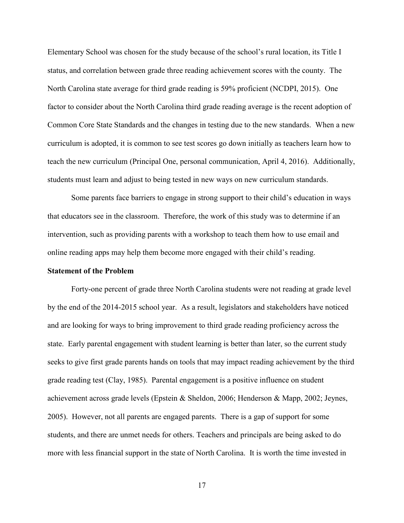Elementary School was chosen for the study because of the school's rural location, its Title I status, and correlation between grade three reading achievement scores with the county. The North Carolina state average for third grade reading is 59% proficient (NCDPI, 2015). One factor to consider about the North Carolina third grade reading average is the recent adoption of Common Core State Standards and the changes in testing due to the new standards. When a new curriculum is adopted, it is common to see test scores go down initially as teachers learn how to teach the new curriculum (Principal One, personal communication, April 4, 2016). Additionally, students must learn and adjust to being tested in new ways on new curriculum standards.

Some parents face barriers to engage in strong support to their child's education in ways that educators see in the classroom. Therefore, the work of this study was to determine if an intervention, such as providing parents with a workshop to teach them how to use email and online reading apps may help them become more engaged with their child's reading.

#### <span id="page-17-0"></span>**Statement of the Problem**

Forty-one percent of grade three North Carolina students were not reading at grade level by the end of the 2014-2015 school year. As a result, legislators and stakeholders have noticed and are looking for ways to bring improvement to third grade reading proficiency across the state. Early parental engagement with student learning is better than later, so the current study seeks to give first grade parents hands on tools that may impact reading achievement by the third grade reading test (Clay, 1985). Parental engagement is a positive influence on student achievement across grade levels (Epstein & Sheldon, 2006; Henderson & Mapp, 2002; Jeynes, 2005). However, not all parents are engaged parents. There is a gap of support for some students, and there are unmet needs for others. Teachers and principals are being asked to do more with less financial support in the state of North Carolina. It is worth the time invested in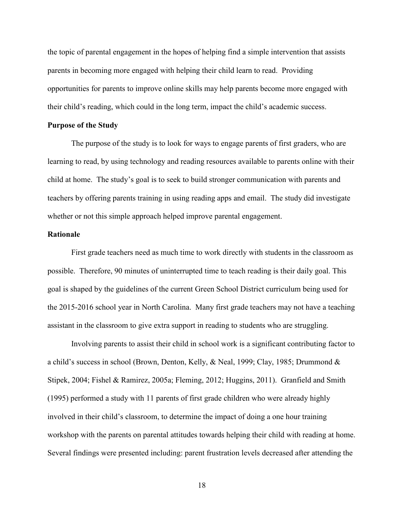the topic of parental engagement in the hopes of helping find a simple intervention that assists parents in becoming more engaged with helping their child learn to read. Providing opportunities for parents to improve online skills may help parents become more engaged with their child's reading, which could in the long term, impact the child's academic success.

#### <span id="page-18-0"></span>**Purpose of the Study**

 The purpose of the study is to look for ways to engage parents of first graders, who are learning to read, by using technology and reading resources available to parents online with their child at home. The study's goal is to seek to build stronger communication with parents and teachers by offering parents training in using reading apps and email. The study did investigate whether or not this simple approach helped improve parental engagement.

#### <span id="page-18-1"></span>**Rationale**

First grade teachers need as much time to work directly with students in the classroom as possible. Therefore, 90 minutes of uninterrupted time to teach reading is their daily goal. This goal is shaped by the guidelines of the current Green School District curriculum being used for the 2015-2016 school year in North Carolina. Many first grade teachers may not have a teaching assistant in the classroom to give extra support in reading to students who are struggling.

Involving parents to assist their child in school work is a significant contributing factor to a child's success in school (Brown, Denton, Kelly, & Neal, 1999; Clay, 1985; Drummond & Stipek, 2004; Fishel & Ramirez, 2005a; Fleming, 2012; Huggins, 2011). Granfield and Smith (1995) performed a study with 11 parents of first grade children who were already highly involved in their child's classroom, to determine the impact of doing a one hour training workshop with the parents on parental attitudes towards helping their child with reading at home. Several findings were presented including: parent frustration levels decreased after attending the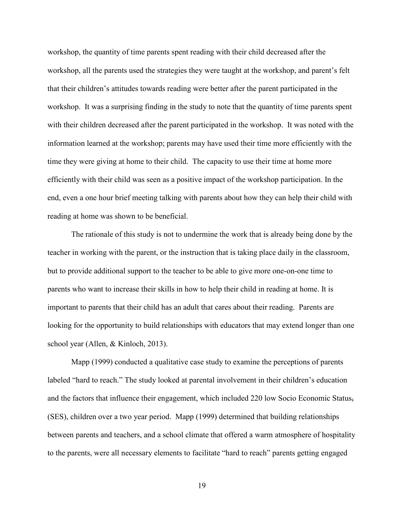workshop, the quantity of time parents spent reading with their child decreased after the workshop, all the parents used the strategies they were taught at the workshop, and parent's felt that their children's attitudes towards reading were better after the parent participated in the workshop. It was a surprising finding in the study to note that the quantity of time parents spent with their children decreased after the parent participated in the workshop. It was noted with the information learned at the workshop; parents may have used their time more efficiently with the time they were giving at home to their child. The capacity to use their time at home more efficiently with their child was seen as a positive impact of the workshop participation. In the end, even a one hour brief meeting talking with parents about how they can help their child with reading at home was shown to be beneficial.

The rationale of this study is not to undermine the work that is already being done by the teacher in working with the parent, or the instruction that is taking place daily in the classroom, but to provide additional support to the teacher to be able to give more one-on-one time to parents who want to increase their skills in how to help their child in reading at home. It is important to parents that their child has an adult that cares about their reading. Parents are looking for the opportunity to build relationships with educators that may extend longer than one school year (Allen, & Kinloch, 2013).

 Mapp (1999) conducted a qualitative case study to examine the perceptions of parents labeled "hard to reach." The study looked at parental involvement in their children's education and the factors that influence their engagement, which included 220 low Socio Economic Status, (SES), children over a two year period. Mapp (1999) determined that building relationships between parents and teachers, and a school climate that offered a warm atmosphere of hospitality to the parents, were all necessary elements to facilitate "hard to reach" parents getting engaged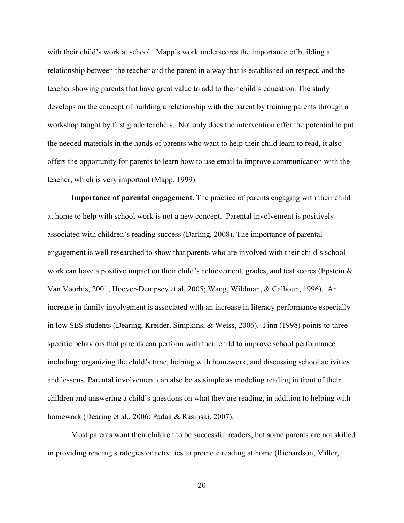with their child's work at school. Mapp's work underscores the importance of building a relationship between the teacher and the parent in a way that is established on respect, and the teacher showing parents that have great value to add to their child's education. The study develops on the concept of building a relationship with the parent by training parents through a workshop taught by first grade teachers. Not only does the intervention offer the potential to put the needed materials in the hands of parents who want to help their child learn to read, it also offers the opportunity for parents to learn how to use email to improve communication with the teacher, which is very important (Mapp, 1999).

<span id="page-20-0"></span>**Importance of parental engagement.** The practice of parents engaging with their child at home to help with school work is not a new concept. Parental involvement is positively associated with children's reading success (Darling, 2008). The importance of parental engagement is well researched to show that parents who are involved with their child's school work can have a positive impact on their child's achievement, grades, and test scores (Epstein  $\&$ Van Voorhis, 2001; Hoover-Dempsey et.al, 2005; Wang, Wildman, & Calhoun, 1996). An increase in family involvement is associated with an increase in literacy performance especially in low SES students (Dearing, Kreider, Simpkins, & Weiss, 2006). Finn (1998) points to three specific behaviors that parents can perform with their child to improve school performance including: organizing the child's time, helping with homework, and discussing school activities and lessons. Parental involvement can also be as simple as modeling reading in front of their children and answering a child's questions on what they are reading, in addition to helping with homework (Dearing et al., 2006; Padak & Rasinski, 2007).

 Most parents want their children to be successful readers, but some parents are not skilled in providing reading strategies or activities to promote reading at home (Richardson, Miller,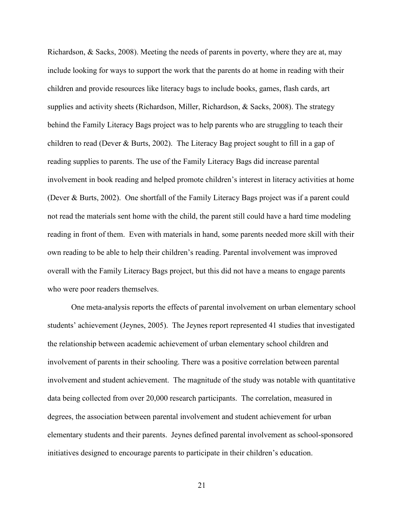Richardson, & Sacks, 2008). Meeting the needs of parents in poverty, where they are at, may include looking for ways to support the work that the parents do at home in reading with their children and provide resources like literacy bags to include books, games, flash cards, art supplies and activity sheets (Richardson, Miller, Richardson, & Sacks, 2008). The strategy behind the Family Literacy Bags project was to help parents who are struggling to teach their children to read (Dever & Burts, 2002). The Literacy Bag project sought to fill in a gap of reading supplies to parents. The use of the Family Literacy Bags did increase parental involvement in book reading and helped promote children's interest in literacy activities at home (Dever & Burts, 2002). One shortfall of the Family Literacy Bags project was if a parent could not read the materials sent home with the child, the parent still could have a hard time modeling reading in front of them. Even with materials in hand, some parents needed more skill with their own reading to be able to help their children's reading. Parental involvement was improved overall with the Family Literacy Bags project, but this did not have a means to engage parents who were poor readers themselves.

One meta-analysis reports the effects of parental involvement on urban elementary school students' achievement (Jeynes, 2005). The Jeynes report represented 41 studies that investigated the relationship between academic achievement of urban elementary school children and involvement of parents in their schooling. There was a positive correlation between parental involvement and student achievement. The magnitude of the study was notable with quantitative data being collected from over 20,000 research participants. The correlation, measured in degrees, the association between parental involvement and student achievement for urban elementary students and their parents. Jeynes defined parental involvement as school-sponsored initiatives designed to encourage parents to participate in their children's education.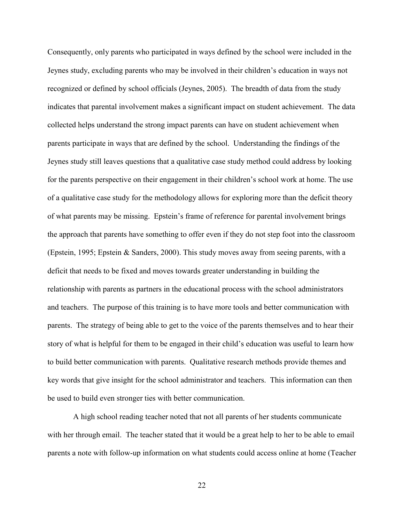Consequently, only parents who participated in ways defined by the school were included in the Jeynes study, excluding parents who may be involved in their children's education in ways not recognized or defined by school officials (Jeynes, 2005). The breadth of data from the study indicates that parental involvement makes a significant impact on student achievement. The data collected helps understand the strong impact parents can have on student achievement when parents participate in ways that are defined by the school. Understanding the findings of the Jeynes study still leaves questions that a qualitative case study method could address by looking for the parents perspective on their engagement in their children's school work at home. The use of a qualitative case study for the methodology allows for exploring more than the deficit theory of what parents may be missing. Epstein's frame of reference for parental involvement brings the approach that parents have something to offer even if they do not step foot into the classroom (Epstein, 1995; Epstein & Sanders, 2000). This study moves away from seeing parents, with a deficit that needs to be fixed and moves towards greater understanding in building the relationship with parents as partners in the educational process with the school administrators and teachers. The purpose of this training is to have more tools and better communication with parents. The strategy of being able to get to the voice of the parents themselves and to hear their story of what is helpful for them to be engaged in their child's education was useful to learn how to build better communication with parents. Qualitative research methods provide themes and key words that give insight for the school administrator and teachers. This information can then be used to build even stronger ties with better communication.

 A high school reading teacher noted that not all parents of her students communicate with her through email. The teacher stated that it would be a great help to her to be able to email parents a note with follow-up information on what students could access online at home (Teacher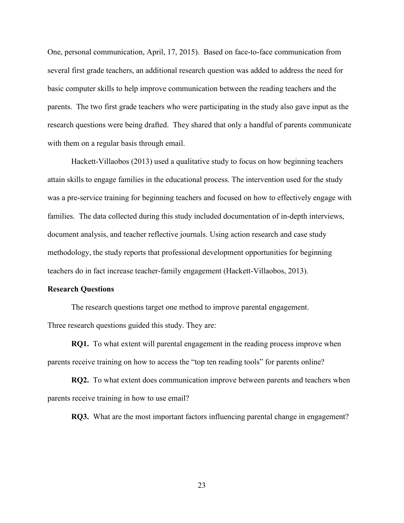One, personal communication, April, 17, 2015). Based on face-to-face communication from several first grade teachers, an additional research question was added to address the need for basic computer skills to help improve communication between the reading teachers and the parents. The two first grade teachers who were participating in the study also gave input as the research questions were being drafted. They shared that only a handful of parents communicate with them on a regular basis through email.

Hackett-Villaobos (2013) used a qualitative study to focus on how beginning teachers attain skills to engage families in the educational process. The intervention used for the study was a pre-service training for beginning teachers and focused on how to effectively engage with families. The data collected during this study included documentation of in-depth interviews, document analysis, and teacher reflective journals. Using action research and case study methodology, the study reports that professional development opportunities for beginning teachers do in fact increase teacher-family engagement (Hackett-Villaobos, 2013).

#### <span id="page-23-0"></span>**Research Questions**

The research questions target one method to improve parental engagement. Three research questions guided this study. They are:

**RQ1.** To what extent will parental engagement in the reading process improve when parents receive training on how to access the "top ten reading tools" for parents online?

**RQ2.** To what extent does communication improve between parents and teachers when parents receive training in how to use email?

**RQ3.** What are the most important factors influencing parental change in engagement?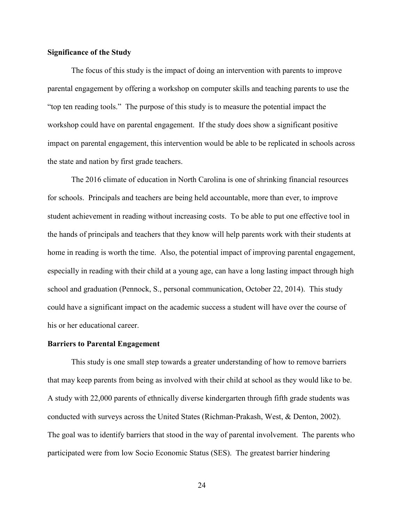#### <span id="page-24-0"></span>**Significance of the Study**

The focus of this study is the impact of doing an intervention with parents to improve parental engagement by offering a workshop on computer skills and teaching parents to use the "top ten reading tools." The purpose of this study is to measure the potential impact the workshop could have on parental engagement. If the study does show a significant positive impact on parental engagement, this intervention would be able to be replicated in schools across the state and nation by first grade teachers.

The 2016 climate of education in North Carolina is one of shrinking financial resources for schools. Principals and teachers are being held accountable, more than ever, to improve student achievement in reading without increasing costs. To be able to put one effective tool in the hands of principals and teachers that they know will help parents work with their students at home in reading is worth the time. Also, the potential impact of improving parental engagement, especially in reading with their child at a young age, can have a long lasting impact through high school and graduation (Pennock, S., personal communication, October 22, 2014). This study could have a significant impact on the academic success a student will have over the course of his or her educational career.

#### <span id="page-24-1"></span>**Barriers to Parental Engagement**

 This study is one small step towards a greater understanding of how to remove barriers that may keep parents from being as involved with their child at school as they would like to be. A study with 22,000 parents of ethnically diverse kindergarten through fifth grade students was conducted with surveys across the United States (Richman-Prakash, West, & Denton, 2002). The goal was to identify barriers that stood in the way of parental involvement. The parents who participated were from low Socio Economic Status (SES). The greatest barrier hindering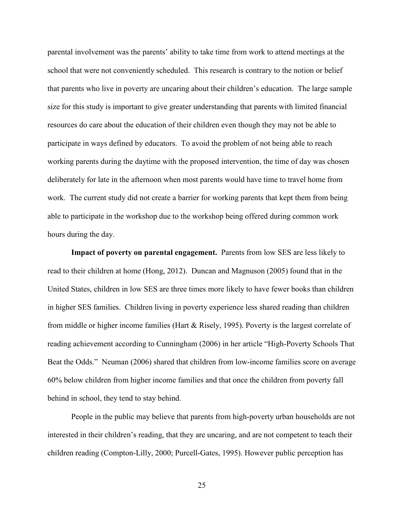parental involvement was the parents' ability to take time from work to attend meetings at the school that were not conveniently scheduled. This research is contrary to the notion or belief that parents who live in poverty are uncaring about their children's education. The large sample size for this study is important to give greater understanding that parents with limited financial resources do care about the education of their children even though they may not be able to participate in ways defined by educators. To avoid the problem of not being able to reach working parents during the daytime with the proposed intervention, the time of day was chosen deliberately for late in the afternoon when most parents would have time to travel home from work. The current study did not create a barrier for working parents that kept them from being able to participate in the workshop due to the workshop being offered during common work hours during the day.

<span id="page-25-0"></span>**Impact of poverty on parental engagement.** Parents from low SES are less likely to read to their children at home (Hong, 2012). Duncan and Magnuson (2005) found that in the United States, children in low SES are three times more likely to have fewer books than children in higher SES families. Children living in poverty experience less shared reading than children from middle or higher income families (Hart & Risely, 1995). Poverty is the largest correlate of reading achievement according to Cunningham (2006) in her article "High-Poverty Schools That Beat the Odds." Neuman (2006) shared that children from low-income families score on average 60% below children from higher income families and that once the children from poverty fall behind in school, they tend to stay behind.

 People in the public may believe that parents from high-poverty urban households are not interested in their children's reading, that they are uncaring, and are not competent to teach their children reading (Compton-Lilly, 2000; Purcell-Gates, 1995). However public perception has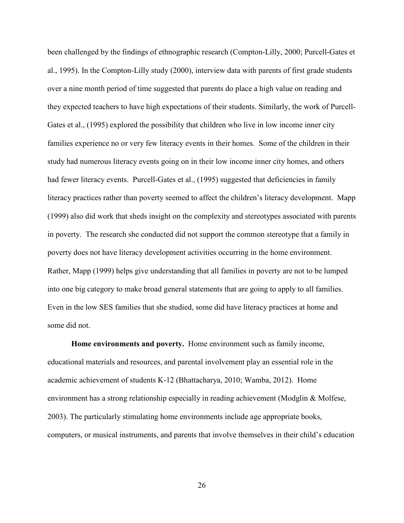been challenged by the findings of ethnographic research (Compton-Lilly, 2000; Purcell-Gates et al., 1995). In the Compton-Lilly study (2000), interview data with parents of first grade students over a nine month period of time suggested that parents do place a high value on reading and they expected teachers to have high expectations of their students. Similarly, the work of Purcell-Gates et al., (1995) explored the possibility that children who live in low income inner city families experience no or very few literacy events in their homes. Some of the children in their study had numerous literacy events going on in their low income inner city homes, and others had fewer literacy events. Purcell-Gates et al., (1995) suggested that deficiencies in family literacy practices rather than poverty seemed to affect the children's literacy development. Mapp (1999) also did work that sheds insight on the complexity and stereotypes associated with parents in poverty. The research she conducted did not support the common stereotype that a family in poverty does not have literacy development activities occurring in the home environment. Rather, Mapp (1999) helps give understanding that all families in poverty are not to be lumped into one big category to make broad general statements that are going to apply to all families. Even in the low SES families that she studied, some did have literacy practices at home and some did not.

<span id="page-26-0"></span>**Home environments and poverty.**Home environment such as family income, educational materials and resources, and parental involvement play an essential role in the academic achievement of students K-12 (Bhattacharya, 2010; Wamba, 2012). Home environment has a strong relationship especially in reading achievement (Modglin & Molfese, 2003). The particularly stimulating home environments include age appropriate books, computers, or musical instruments, and parents that involve themselves in their child's education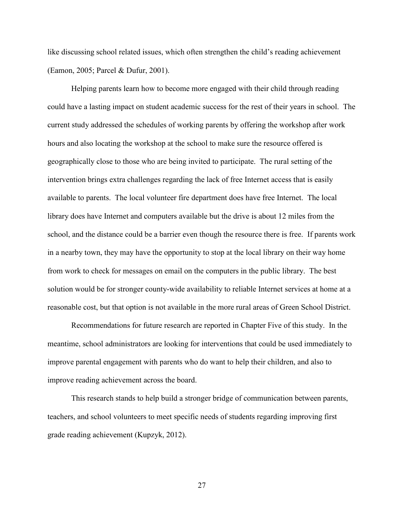like discussing school related issues, which often strengthen the child's reading achievement (Eamon, 2005; Parcel & Dufur, 2001).

 Helping parents learn how to become more engaged with their child through reading could have a lasting impact on student academic success for the rest of their years in school. The current study addressed the schedules of working parents by offering the workshop after work hours and also locating the workshop at the school to make sure the resource offered is geographically close to those who are being invited to participate. The rural setting of the intervention brings extra challenges regarding the lack of free Internet access that is easily available to parents. The local volunteer fire department does have free Internet. The local library does have Internet and computers available but the drive is about 12 miles from the school, and the distance could be a barrier even though the resource there is free. If parents work in a nearby town, they may have the opportunity to stop at the local library on their way home from work to check for messages on email on the computers in the public library. The best solution would be for stronger county-wide availability to reliable Internet services at home at a reasonable cost, but that option is not available in the more rural areas of Green School District.

Recommendations for future research are reported in Chapter Five of this study. In the meantime, school administrators are looking for interventions that could be used immediately to improve parental engagement with parents who do want to help their children, and also to improve reading achievement across the board.

This research stands to help build a stronger bridge of communication between parents, teachers, and school volunteers to meet specific needs of students regarding improving first grade reading achievement (Kupzyk, 2012).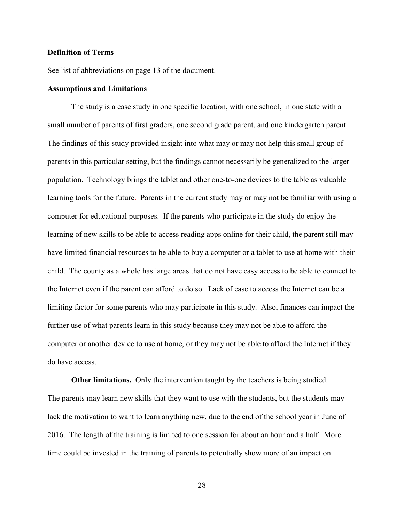#### <span id="page-28-0"></span>**Definition of Terms**

See list of abbreviations on page 13 of the document.

#### <span id="page-28-1"></span>**Assumptions and Limitations**

 The study is a case study in one specific location, with one school, in one state with a small number of parents of first graders, one second grade parent, and one kindergarten parent. The findings of this study provided insight into what may or may not help this small group of parents in this particular setting, but the findings cannot necessarily be generalized to the larger population. Technology brings the tablet and other one-to-one devices to the table as valuable learning tools for the future. Parents in the current study may or may not be familiar with using a computer for educational purposes. If the parents who participate in the study do enjoy the learning of new skills to be able to access reading apps online for their child, the parent still may have limited financial resources to be able to buy a computer or a tablet to use at home with their child. The county as a whole has large areas that do not have easy access to be able to connect to the Internet even if the parent can afford to do so. Lack of ease to access the Internet can be a limiting factor for some parents who may participate in this study. Also, finances can impact the further use of what parents learn in this study because they may not be able to afford the computer or another device to use at home, or they may not be able to afford the Internet if they do have access.

<span id="page-28-2"></span>**Other limitations.** Only the intervention taught by the teachers is being studied. The parents may learn new skills that they want to use with the students, but the students may lack the motivation to want to learn anything new, due to the end of the school year in June of 2016. The length of the training is limited to one session for about an hour and a half. More time could be invested in the training of parents to potentially show more of an impact on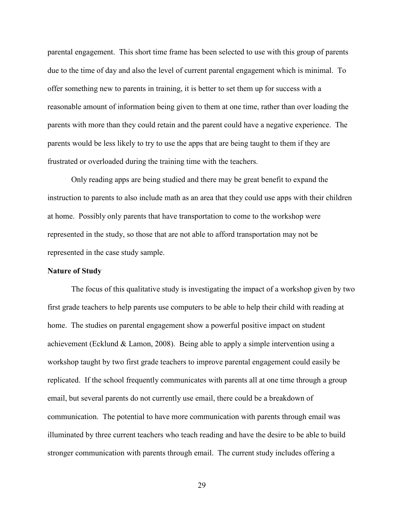parental engagement. This short time frame has been selected to use with this group of parents due to the time of day and also the level of current parental engagement which is minimal. To offer something new to parents in training, it is better to set them up for success with a reasonable amount of information being given to them at one time, rather than over loading the parents with more than they could retain and the parent could have a negative experience. The parents would be less likely to try to use the apps that are being taught to them if they are frustrated or overloaded during the training time with the teachers.

Only reading apps are being studied and there may be great benefit to expand the instruction to parents to also include math as an area that they could use apps with their children at home. Possibly only parents that have transportation to come to the workshop were represented in the study, so those that are not able to afford transportation may not be represented in the case study sample.

#### <span id="page-29-0"></span>**Nature of Study**

 The focus of this qualitative study is investigating the impact of a workshop given by two first grade teachers to help parents use computers to be able to help their child with reading at home. The studies on parental engagement show a powerful positive impact on student achievement (Ecklund & Lamon, 2008). Being able to apply a simple intervention using a workshop taught by two first grade teachers to improve parental engagement could easily be replicated. If the school frequently communicates with parents all at one time through a group email, but several parents do not currently use email, there could be a breakdown of communication. The potential to have more communication with parents through email was illuminated by three current teachers who teach reading and have the desire to be able to build stronger communication with parents through email. The current study includes offering a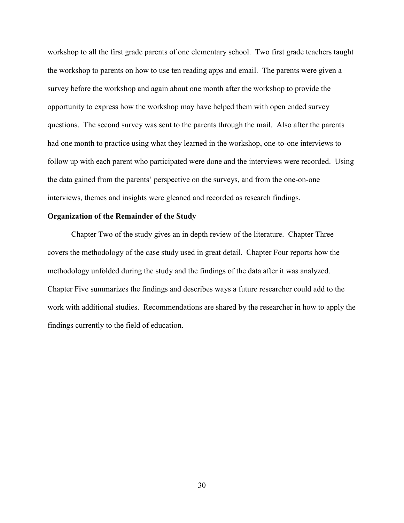workshop to all the first grade parents of one elementary school. Two first grade teachers taught the workshop to parents on how to use ten reading apps and email. The parents were given a survey before the workshop and again about one month after the workshop to provide the opportunity to express how the workshop may have helped them with open ended survey questions. The second survey was sent to the parents through the mail. Also after the parents had one month to practice using what they learned in the workshop, one-to-one interviews to follow up with each parent who participated were done and the interviews were recorded. Using the data gained from the parents' perspective on the surveys, and from the one-on-one interviews, themes and insights were gleaned and recorded as research findings.

#### <span id="page-30-0"></span>**Organization of the Remainder of the Study**

Chapter Two of the study gives an in depth review of the literature. Chapter Three covers the methodology of the case study used in great detail. Chapter Four reports how the methodology unfolded during the study and the findings of the data after it was analyzed. Chapter Five summarizes the findings and describes ways a future researcher could add to the work with additional studies. Recommendations are shared by the researcher in how to apply the findings currently to the field of education.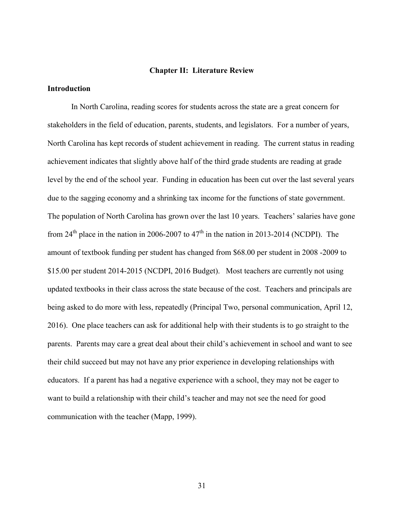#### **Chapter II: Literature Review**

#### <span id="page-31-1"></span><span id="page-31-0"></span>**Introduction**

In North Carolina, reading scores for students across the state are a great concern for stakeholders in the field of education, parents, students, and legislators. For a number of years, North Carolina has kept records of student achievement in reading. The current status in reading achievement indicates that slightly above half of the third grade students are reading at grade level by the end of the school year. Funding in education has been cut over the last several years due to the sagging economy and a shrinking tax income for the functions of state government. The population of North Carolina has grown over the last 10 years. Teachers' salaries have gone from 24<sup>th</sup> place in the nation in 2006-2007 to  $47<sup>th</sup>$  in the nation in 2013-2014 (NCDPI). The amount of textbook funding per student has changed from \$68.00 per student in 2008 -2009 to \$15.00 per student 2014-2015 (NCDPI, 2016 Budget). Most teachers are currently not using updated textbooks in their class across the state because of the cost. Teachers and principals are being asked to do more with less, repeatedly (Principal Two, personal communication, April 12, 2016). One place teachers can ask for additional help with their students is to go straight to the parents. Parents may care a great deal about their child's achievement in school and want to see their child succeed but may not have any prior experience in developing relationships with educators. If a parent has had a negative experience with a school, they may not be eager to want to build a relationship with their child's teacher and may not see the need for good communication with the teacher (Mapp, 1999).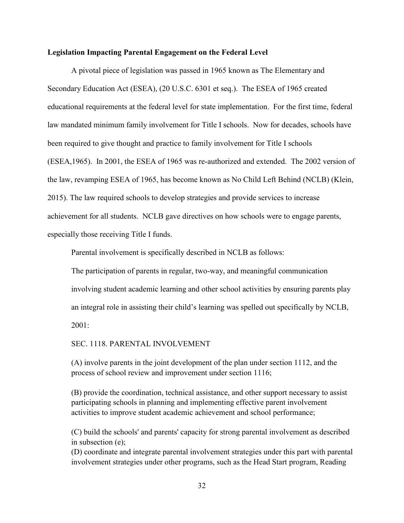#### <span id="page-32-0"></span>**Legislation Impacting Parental Engagement on the Federal Level**

A pivotal piece of legislation was passed in 1965 known as The Elementary and Secondary Education Act (ESEA), (20 U.S.C. 6301 et seq.). The ESEA of 1965 created educational requirements at the federal level for state implementation. For the first time, federal law mandated minimum family involvement for Title I schools. Now for decades, schools have been required to give thought and practice to family involvement for Title I schools (ESEA,1965). In 2001, the ESEA of 1965 was re-authorized and extended. The 2002 version of the law, revamping ESEA of 1965, has become known as No Child Left Behind (NCLB) (Klein, 2015). The law required schools to develop strategies and provide services to increase achievement for all students. NCLB gave directives on how schools were to engage parents, especially those receiving Title I funds.

Parental involvement is specifically described in NCLB as follows:

The participation of parents in regular, two-way, and meaningful communication involving student academic learning and other school activities by ensuring parents play an integral role in assisting their child's learning was spelled out specifically by NCLB,  $2001 -$ 

SEC. 1118. PARENTAL INVOLVEMENT

(A) involve parents in the joint development of the plan under section 1112, and the process of school review and improvement under section 1116;

(B) provide the coordination, technical assistance, and other support necessary to assist participating schools in planning and implementing effective parent involvement activities to improve student academic achievement and school performance;

(C) build the schools' and parents' capacity for strong parental involvement as described in subsection (e);

(D) coordinate and integrate parental involvement strategies under this part with parental involvement strategies under other programs, such as the Head Start program, Reading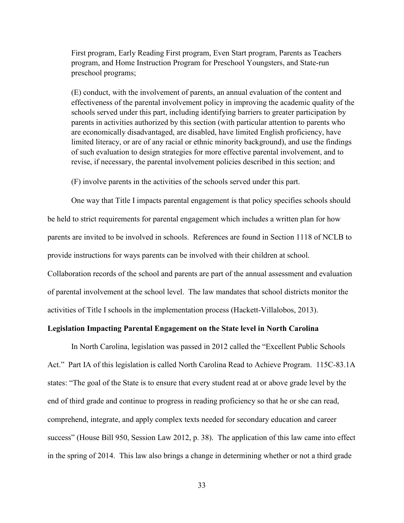First program, Early Reading First program, Even Start program, Parents as Teachers program, and Home Instruction Program for Preschool Youngsters, and State-run preschool programs;

(E) conduct, with the involvement of parents, an annual evaluation of the content and effectiveness of the parental involvement policy in improving the academic quality of the schools served under this part, including identifying barriers to greater participation by parents in activities authorized by this section (with particular attention to parents who are economically disadvantaged, are disabled, have limited English proficiency, have limited literacy, or are of any racial or ethnic minority background), and use the findings of such evaluation to design strategies for more effective parental involvement, and to revise, if necessary, the parental involvement policies described in this section; and

(F) involve parents in the activities of the schools served under this part.

One way that Title I impacts parental engagement is that policy specifies schools should be held to strict requirements for parental engagement which includes a written plan for how parents are invited to be involved in schools. References are found in Section 1118 of NCLB to provide instructions for ways parents can be involved with their children at school. Collaboration records of the school and parents are part of the annual assessment and evaluation of parental involvement at the school level. The law mandates that school districts monitor the activities of Title I schools in the implementation process (Hackett-Villalobos, 2013).

#### <span id="page-33-0"></span>**Legislation Impacting Parental Engagement on the State level in North Carolina**

 In North Carolina, legislation was passed in 2012 called the "Excellent Public Schools Act." Part IA of this legislation is called North Carolina Read to Achieve Program. 115C-83.1A states: "The goal of the State is to ensure that every student read at or above grade level by the end of third grade and continue to progress in reading proficiency so that he or she can read, comprehend, integrate, and apply complex texts needed for secondary education and career success" (House Bill 950, Session Law 2012, p. 38). The application of this law came into effect in the spring of 2014. This law also brings a change in determining whether or not a third grade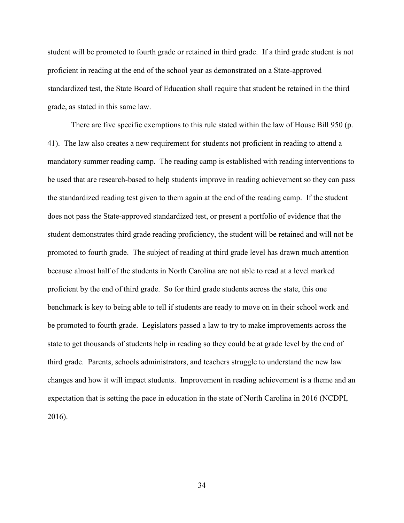student will be promoted to fourth grade or retained in third grade. If a third grade student is not proficient in reading at the end of the school year as demonstrated on a State-approved standardized test, the State Board of Education shall require that student be retained in the third grade, as stated in this same law.

 There are five specific exemptions to this rule stated within the law of House Bill 950 (p. 41). The law also creates a new requirement for students not proficient in reading to attend a mandatory summer reading camp. The reading camp is established with reading interventions to be used that are research-based to help students improve in reading achievement so they can pass the standardized reading test given to them again at the end of the reading camp. If the student does not pass the State-approved standardized test, or present a portfolio of evidence that the student demonstrates third grade reading proficiency, the student will be retained and will not be promoted to fourth grade. The subject of reading at third grade level has drawn much attention because almost half of the students in North Carolina are not able to read at a level marked proficient by the end of third grade. So for third grade students across the state, this one benchmark is key to being able to tell if students are ready to move on in their school work and be promoted to fourth grade. Legislators passed a law to try to make improvements across the state to get thousands of students help in reading so they could be at grade level by the end of third grade. Parents, schools administrators, and teachers struggle to understand the new law changes and how it will impact students. Improvement in reading achievement is a theme and an expectation that is setting the pace in education in the state of North Carolina in 2016 (NCDPI, 2016).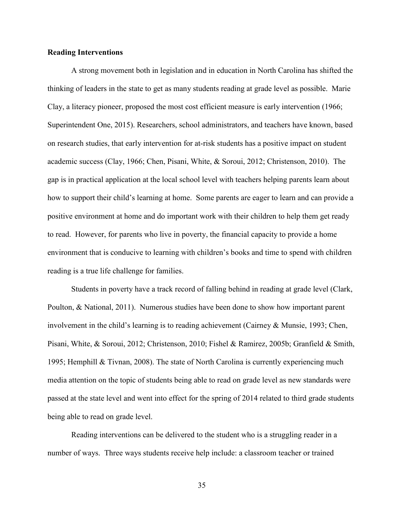#### <span id="page-35-0"></span>**Reading Interventions**

 A strong movement both in legislation and in education in North Carolina has shifted the thinking of leaders in the state to get as many students reading at grade level as possible. Marie Clay, a literacy pioneer, proposed the most cost efficient measure is early intervention (1966; Superintendent One, 2015). Researchers, school administrators, and teachers have known, based on research studies, that early intervention for at-risk students has a positive impact on student academic success (Clay, 1966; Chen, Pisani, White, & Soroui, 2012; Christenson, 2010). The gap is in practical application at the local school level with teachers helping parents learn about how to support their child's learning at home. Some parents are eager to learn and can provide a positive environment at home and do important work with their children to help them get ready to read. However, for parents who live in poverty, the financial capacity to provide a home environment that is conducive to learning with children's books and time to spend with children reading is a true life challenge for families.

Students in poverty have a track record of falling behind in reading at grade level (Clark, Poulton, & National, 2011). Numerous studies have been done to show how important parent involvement in the child's learning is to reading achievement (Cairney & Munsie, 1993; Chen, Pisani, White, & Soroui, 2012; Christenson, 2010; Fishel & Ramirez, 2005b; Granfield & Smith, 1995; Hemphill & Tivnan, 2008). The state of North Carolina is currently experiencing much media attention on the topic of students being able to read on grade level as new standards were passed at the state level and went into effect for the spring of 2014 related to third grade students being able to read on grade level.

Reading interventions can be delivered to the student who is a struggling reader in a number of ways. Three ways students receive help include: a classroom teacher or trained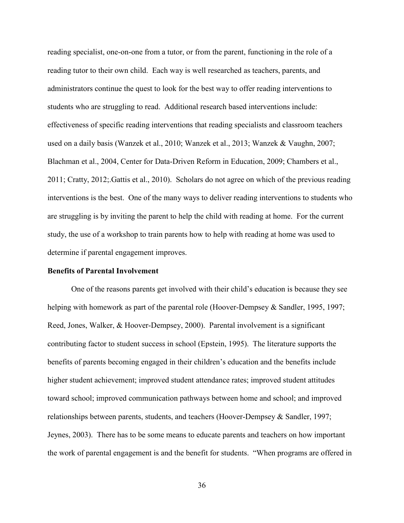reading specialist, one-on-one from a tutor, or from the parent, functioning in the role of a reading tutor to their own child. Each way is well researched as teachers, parents, and administrators continue the quest to look for the best way to offer reading interventions to students who are struggling to read. Additional research based interventions include: effectiveness of specific reading interventions that reading specialists and classroom teachers used on a daily basis (Wanzek et al., 2010; Wanzek et al., 2013; Wanzek & Vaughn, 2007; Blachman et al., 2004, Center for Data-Driven Reform in Education, 2009; Chambers et al., 2011; Cratty, 2012;.Gattis et al., 2010). Scholars do not agree on which of the previous reading interventions is the best. One of the many ways to deliver reading interventions to students who are struggling is by inviting the parent to help the child with reading at home. For the current study, the use of a workshop to train parents how to help with reading at home was used to determine if parental engagement improves.

## **Benefits of Parental Involvement**

One of the reasons parents get involved with their child's education is because they see helping with homework as part of the parental role (Hoover-Dempsey & Sandler, 1995, 1997; Reed, Jones, Walker, & Hoover-Dempsey, 2000). Parental involvement is a significant contributing factor to student success in school (Epstein, 1995). The literature supports the benefits of parents becoming engaged in their children's education and the benefits include higher student achievement; improved student attendance rates; improved student attitudes toward school; improved communication pathways between home and school; and improved relationships between parents, students, and teachers (Hoover-Dempsey & Sandler, 1997; Jeynes, 2003). There has to be some means to educate parents and teachers on how important the work of parental engagement is and the benefit for students. "When programs are offered in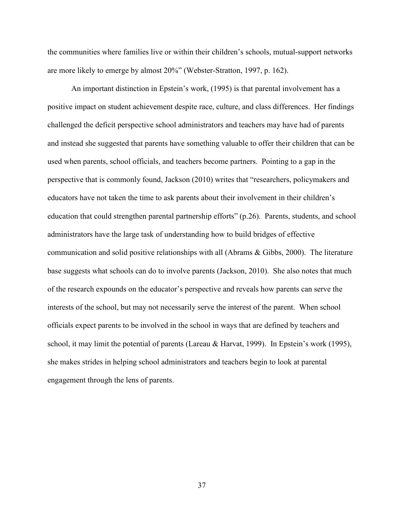the communities where families live or within their children's schools, mutual-support networks are more likely to emerge by almost 20%" (Webster-Stratton, 1997, p. 162).

An important distinction in Epstein's work, (1995) is that parental involvement has a positive impact on student achievement despite race, culture, and class differences. Her findings challenged the deficit perspective school administrators and teachers may have had of parents and instead she suggested that parents have something valuable to offer their children that can be used when parents, school officials, and teachers become partners. Pointing to a gap in the perspective that is commonly found, Jackson (2010) writes that "researchers, policymakers and educators have not taken the time to ask parents about their involvement in their children's education that could strengthen parental partnership efforts" (p.26). Parents, students, and school administrators have the large task of understanding how to build bridges of effective communication and solid positive relationships with all (Abrams & Gibbs, 2000). The literature base suggests what schools can do to involve parents (Jackson, 2010). She also notes that much of the research expounds on the educator's perspective and reveals how parents can serve the interests of the school, but may not necessarily serve the interest of the parent. When school officials expect parents to be involved in the school in ways that are defined by teachers and school, it may limit the potential of parents (Lareau & Harvat, 1999). In Epstein's work (1995), she makes strides in helping school administrators and teachers begin to look at parental engagement through the lens of parents.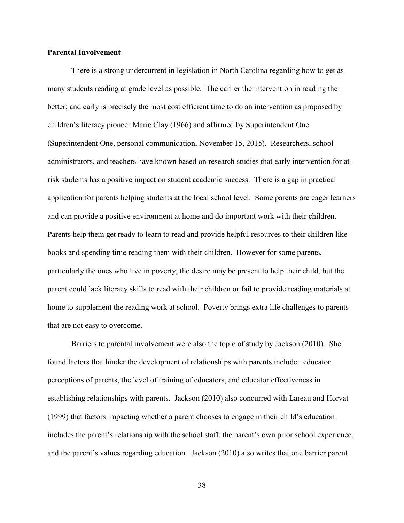## **Parental Involvement**

There is a strong undercurrent in legislation in North Carolina regarding how to get as many students reading at grade level as possible. The earlier the intervention in reading the better; and early is precisely the most cost efficient time to do an intervention as proposed by children's literacy pioneer Marie Clay (1966) and affirmed by Superintendent One (Superintendent One, personal communication, November 15, 2015). Researchers, school administrators, and teachers have known based on research studies that early intervention for atrisk students has a positive impact on student academic success. There is a gap in practical application for parents helping students at the local school level. Some parents are eager learners and can provide a positive environment at home and do important work with their children. Parents help them get ready to learn to read and provide helpful resources to their children like books and spending time reading them with their children. However for some parents, particularly the ones who live in poverty, the desire may be present to help their child, but the parent could lack literacy skills to read with their children or fail to provide reading materials at home to supplement the reading work at school. Poverty brings extra life challenges to parents that are not easy to overcome.

Barriers to parental involvement were also the topic of study by Jackson (2010). She found factors that hinder the development of relationships with parents include: educator perceptions of parents, the level of training of educators, and educator effectiveness in establishing relationships with parents. Jackson (2010) also concurred with Lareau and Horvat (1999) that factors impacting whether a parent chooses to engage in their child's education includes the parent's relationship with the school staff, the parent's own prior school experience, and the parent's values regarding education. Jackson (2010) also writes that one barrier parent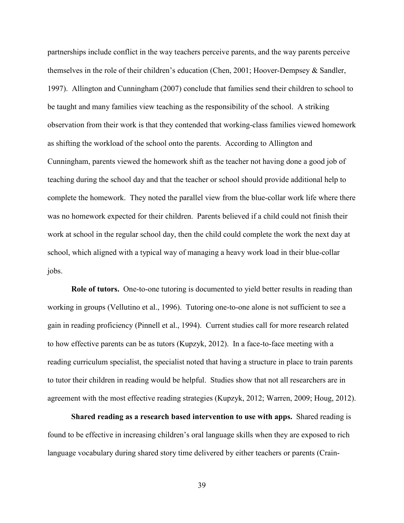partnerships include conflict in the way teachers perceive parents, and the way parents perceive themselves in the role of their children's education (Chen, 2001; Hoover-Dempsey & Sandler, 1997). Allington and Cunningham (2007) conclude that families send their children to school to be taught and many families view teaching as the responsibility of the school. A striking observation from their work is that they contended that working-class families viewed homework as shifting the workload of the school onto the parents. According to Allington and Cunningham, parents viewed the homework shift as the teacher not having done a good job of teaching during the school day and that the teacher or school should provide additional help to complete the homework. They noted the parallel view from the blue-collar work life where there was no homework expected for their children. Parents believed if a child could not finish their work at school in the regular school day, then the child could complete the work the next day at school, which aligned with a typical way of managing a heavy work load in their blue-collar jobs.

**Role of tutors.** One-to-one tutoring is documented to yield better results in reading than working in groups (Vellutino et al., 1996). Tutoring one-to-one alone is not sufficient to see a gain in reading proficiency (Pinnell et al., 1994). Current studies call for more research related to how effective parents can be as tutors (Kupzyk, 2012). In a face-to-face meeting with a reading curriculum specialist, the specialist noted that having a structure in place to train parents to tutor their children in reading would be helpful. Studies show that not all researchers are in agreement with the most effective reading strategies (Kupzyk, 2012; Warren, 2009; Houg, 2012).

**Shared reading as a research based intervention to use with apps.** Shared reading is found to be effective in increasing children's oral language skills when they are exposed to rich language vocabulary during shared story time delivered by either teachers or parents (Crain-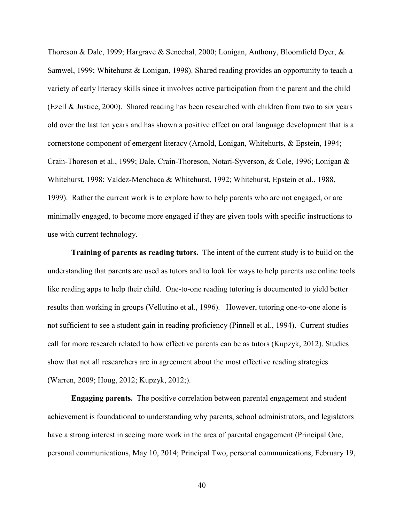Thoreson & Dale, 1999; Hargrave & Senechal, 2000; Lonigan, Anthony, Bloomfield Dyer, & Samwel, 1999; Whitehurst & Lonigan, 1998). Shared reading provides an opportunity to teach a variety of early literacy skills since it involves active participation from the parent and the child (Ezell & Justice, 2000). Shared reading has been researched with children from two to six years old over the last ten years and has shown a positive effect on oral language development that is a cornerstone component of emergent literacy (Arnold, Lonigan, Whitehurts, & Epstein, 1994; Crain-Thoreson et al., 1999; Dale, Crain-Thoreson, Notari-Syverson, & Cole, 1996; Lonigan & Whitehurst, 1998; Valdez-Menchaca & Whitehurst, 1992; Whitehurst, Epstein et al., 1988, 1999). Rather the current work is to explore how to help parents who are not engaged, or are minimally engaged, to become more engaged if they are given tools with specific instructions to use with current technology.

**Training of parents as reading tutors.** The intent of the current study is to build on the understanding that parents are used as tutors and to look for ways to help parents use online tools like reading apps to help their child. One-to-one reading tutoring is documented to yield better results than working in groups (Vellutino et al., 1996). However, tutoring one-to-one alone is not sufficient to see a student gain in reading proficiency (Pinnell et al., 1994). Current studies call for more research related to how effective parents can be as tutors (Kupzyk, 2012). Studies show that not all researchers are in agreement about the most effective reading strategies (Warren, 2009; Houg, 2012; Kupzyk, 2012;).

**Engaging parents.** The positive correlation between parental engagement and student achievement is foundational to understanding why parents, school administrators, and legislators have a strong interest in seeing more work in the area of parental engagement (Principal One, personal communications, May 10, 2014; Principal Two, personal communications, February 19,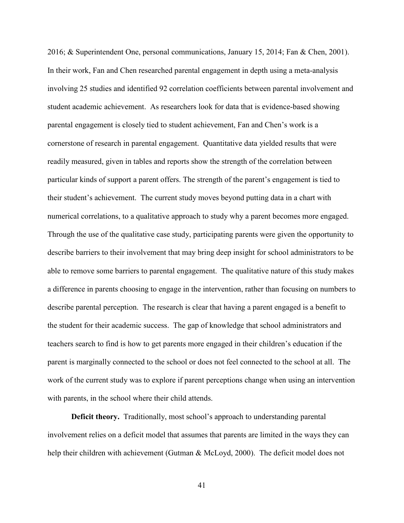2016; & Superintendent One, personal communications, January 15, 2014; Fan & Chen, 2001). In their work, Fan and Chen researched parental engagement in depth using a meta-analysis involving 25 studies and identified 92 correlation coefficients between parental involvement and student academic achievement. As researchers look for data that is evidence-based showing parental engagement is closely tied to student achievement, Fan and Chen's work is a cornerstone of research in parental engagement. Quantitative data yielded results that were readily measured, given in tables and reports show the strength of the correlation between particular kinds of support a parent offers. The strength of the parent's engagement is tied to their student's achievement. The current study moves beyond putting data in a chart with numerical correlations, to a qualitative approach to study why a parent becomes more engaged. Through the use of the qualitative case study, participating parents were given the opportunity to describe barriers to their involvement that may bring deep insight for school administrators to be able to remove some barriers to parental engagement. The qualitative nature of this study makes a difference in parents choosing to engage in the intervention, rather than focusing on numbers to describe parental perception. The research is clear that having a parent engaged is a benefit to the student for their academic success. The gap of knowledge that school administrators and teachers search to find is how to get parents more engaged in their children's education if the parent is marginally connected to the school or does not feel connected to the school at all. The work of the current study was to explore if parent perceptions change when using an intervention with parents, in the school where their child attends.

**Deficit theory.** Traditionally, most school's approach to understanding parental involvement relies on a deficit model that assumes that parents are limited in the ways they can help their children with achievement (Gutman & McLoyd, 2000). The deficit model does not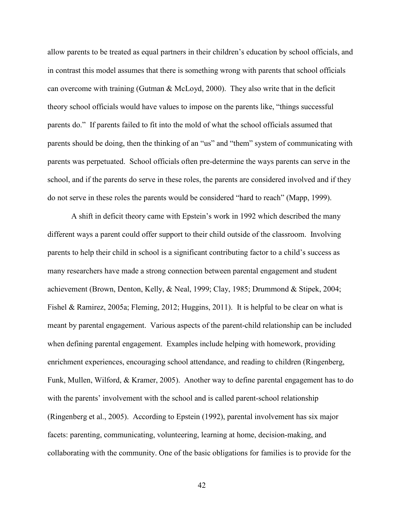allow parents to be treated as equal partners in their children's education by school officials, and in contrast this model assumes that there is something wrong with parents that school officials can overcome with training (Gutman  $\&$  McLoyd, 2000). They also write that in the deficit theory school officials would have values to impose on the parents like, "things successful parents do." If parents failed to fit into the mold of what the school officials assumed that parents should be doing, then the thinking of an "us" and "them" system of communicating with parents was perpetuated. School officials often pre-determine the ways parents can serve in the school, and if the parents do serve in these roles, the parents are considered involved and if they do not serve in these roles the parents would be considered "hard to reach" (Mapp, 1999).

A shift in deficit theory came with Epstein's work in 1992 which described the many different ways a parent could offer support to their child outside of the classroom. Involving parents to help their child in school is a significant contributing factor to a child's success as many researchers have made a strong connection between parental engagement and student achievement (Brown, Denton, Kelly, & Neal, 1999; Clay, 1985; Drummond & Stipek, 2004; Fishel & Ramirez, 2005a; Fleming, 2012; Huggins, 2011). It is helpful to be clear on what is meant by parental engagement. Various aspects of the parent-child relationship can be included when defining parental engagement. Examples include helping with homework, providing enrichment experiences, encouraging school attendance, and reading to children (Ringenberg, Funk, Mullen, Wilford, & Kramer, 2005). Another way to define parental engagement has to do with the parents' involvement with the school and is called parent-school relationship (Ringenberg et al., 2005). According to Epstein (1992), parental involvement has six major facets: parenting, communicating, volunteering, learning at home, decision-making, and collaborating with the community. One of the basic obligations for families is to provide for the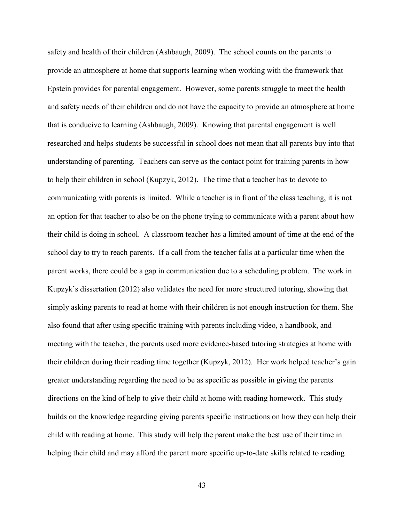safety and health of their children (Ashbaugh, 2009). The school counts on the parents to provide an atmosphere at home that supports learning when working with the framework that Epstein provides for parental engagement. However, some parents struggle to meet the health and safety needs of their children and do not have the capacity to provide an atmosphere at home that is conducive to learning (Ashbaugh, 2009). Knowing that parental engagement is well researched and helps students be successful in school does not mean that all parents buy into that understanding of parenting. Teachers can serve as the contact point for training parents in how to help their children in school (Kupzyk, 2012). The time that a teacher has to devote to communicating with parents is limited. While a teacher is in front of the class teaching, it is not an option for that teacher to also be on the phone trying to communicate with a parent about how their child is doing in school. A classroom teacher has a limited amount of time at the end of the school day to try to reach parents. If a call from the teacher falls at a particular time when the parent works, there could be a gap in communication due to a scheduling problem. The work in Kupzyk's dissertation (2012) also validates the need for more structured tutoring, showing that simply asking parents to read at home with their children is not enough instruction for them. She also found that after using specific training with parents including video, a handbook, and meeting with the teacher, the parents used more evidence-based tutoring strategies at home with their children during their reading time together (Kupzyk, 2012). Her work helped teacher's gain greater understanding regarding the need to be as specific as possible in giving the parents directions on the kind of help to give their child at home with reading homework. This study builds on the knowledge regarding giving parents specific instructions on how they can help their child with reading at home. This study will help the parent make the best use of their time in helping their child and may afford the parent more specific up-to-date skills related to reading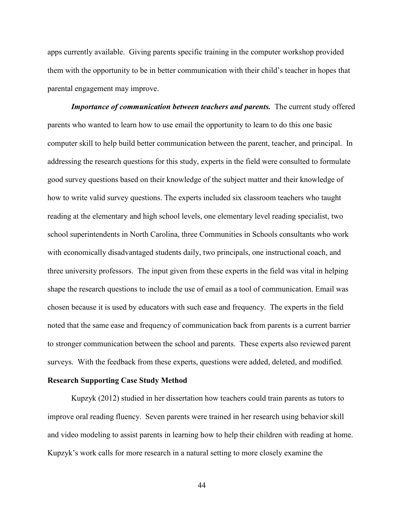apps currently available. Giving parents specific training in the computer workshop provided them with the opportunity to be in better communication with their child's teacher in hopes that parental engagement may improve.

*Importance of communication between teachers and parents.* The current study offered parents who wanted to learn how to use email the opportunity to learn to do this one basic computer skill to help build better communication between the parent, teacher, and principal. In addressing the research questions for this study, experts in the field were consulted to formulate good survey questions based on their knowledge of the subject matter and their knowledge of how to write valid survey questions. The experts included six classroom teachers who taught reading at the elementary and high school levels, one elementary level reading specialist, two school superintendents in North Carolina, three Communities in Schools consultants who work with economically disadvantaged students daily, two principals, one instructional coach, and three university professors. The input given from these experts in the field was vital in helping shape the research questions to include the use of email as a tool of communication. Email was chosen because it is used by educators with such ease and frequency. The experts in the field noted that the same ease and frequency of communication back from parents is a current barrier to stronger communication between the school and parents. These experts also reviewed parent surveys. With the feedback from these experts, questions were added, deleted, and modified.

## **Research Supporting Case Study Method**

Kupzyk (2012) studied in her dissertation how teachers could train parents as tutors to improve oral reading fluency. Seven parents were trained in her research using behavior skill and video modeling to assist parents in learning how to help their children with reading at home. Kupzyk's work calls for more research in a natural setting to more closely examine the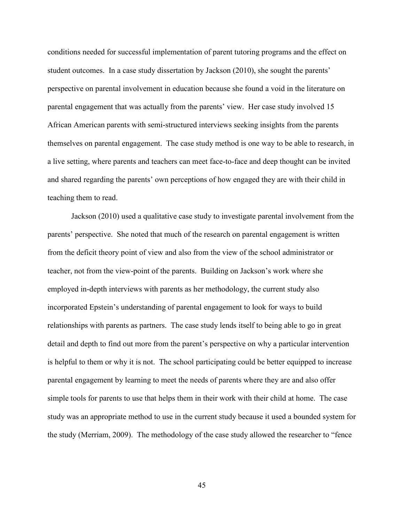conditions needed for successful implementation of parent tutoring programs and the effect on student outcomes. In a case study dissertation by Jackson (2010), she sought the parents' perspective on parental involvement in education because she found a void in the literature on parental engagement that was actually from the parents' view. Her case study involved 15 African American parents with semi-structured interviews seeking insights from the parents themselves on parental engagement. The case study method is one way to be able to research, in a live setting, where parents and teachers can meet face-to-face and deep thought can be invited and shared regarding the parents' own perceptions of how engaged they are with their child in teaching them to read.

Jackson (2010) used a qualitative case study to investigate parental involvement from the parents' perspective. She noted that much of the research on parental engagement is written from the deficit theory point of view and also from the view of the school administrator or teacher, not from the view-point of the parents. Building on Jackson's work where she employed in-depth interviews with parents as her methodology, the current study also incorporated Epstein's understanding of parental engagement to look for ways to build relationships with parents as partners. The case study lends itself to being able to go in great detail and depth to find out more from the parent's perspective on why a particular intervention is helpful to them or why it is not. The school participating could be better equipped to increase parental engagement by learning to meet the needs of parents where they are and also offer simple tools for parents to use that helps them in their work with their child at home. The case study was an appropriate method to use in the current study because it used a bounded system for the study (Merriam, 2009). The methodology of the case study allowed the researcher to "fence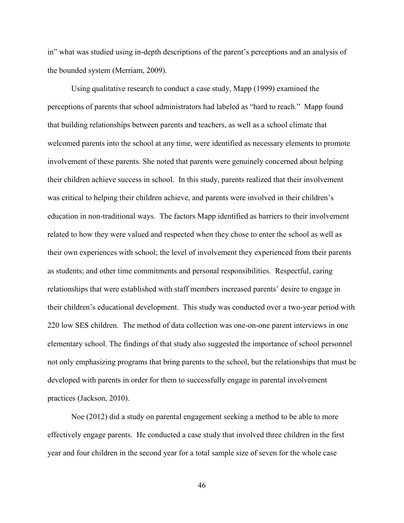in" what was studied using in-depth descriptions of the parent's perceptions and an analysis of the bounded system (Merriam, 2009).

 Using qualitative research to conduct a case study, Mapp (1999) examined the perceptions of parents that school administrators had labeled as "hard to reach." Mapp found that building relationships between parents and teachers, as well as a school climate that welcomed parents into the school at any time, were identified as necessary elements to promote involvement of these parents. She noted that parents were genuinely concerned about helping their children achieve success in school. In this study, parents realized that their involvement was critical to helping their children achieve, and parents were involved in their children's education in non-traditional ways. The factors Mapp identified as barriers to their involvement related to how they were valued and respected when they chose to enter the school as well as their own experiences with school; the level of involvement they experienced from their parents as students; and other time commitments and personal responsibilities. Respectful, caring relationships that were established with staff members increased parents' desire to engage in their children's educational development. This study was conducted over a two-year period with 220 low SES children. The method of data collection was one-on-one parent interviews in one elementary school. The findings of that study also suggested the importance of school personnel not only emphasizing programs that bring parents to the school, but the relationships that must be developed with parents in order for them to successfully engage in parental involvement practices (Jackson, 2010).

Noe (2012) did a study on parental engagement seeking a method to be able to more effectively engage parents. He conducted a case study that involved three children in the first year and four children in the second year for a total sample size of seven for the whole case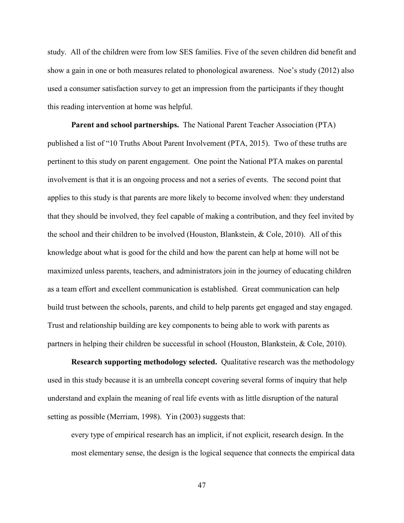study. All of the children were from low SES families. Five of the seven children did benefit and show a gain in one or both measures related to phonological awareness. Noe's study (2012) also used a consumer satisfaction survey to get an impression from the participants if they thought this reading intervention at home was helpful.

**Parent and school partnerships.** The National Parent Teacher Association (PTA) published a list of "10 Truths About Parent Involvement (PTA, 2015). Two of these truths are pertinent to this study on parent engagement. One point the National PTA makes on parental involvement is that it is an ongoing process and not a series of events. The second point that applies to this study is that parents are more likely to become involved when: they understand that they should be involved, they feel capable of making a contribution, and they feel invited by the school and their children to be involved (Houston, Blankstein, & Cole, 2010). All of this knowledge about what is good for the child and how the parent can help at home will not be maximized unless parents, teachers, and administrators join in the journey of educating children as a team effort and excellent communication is established. Great communication can help build trust between the schools, parents, and child to help parents get engaged and stay engaged. Trust and relationship building are key components to being able to work with parents as partners in helping their children be successful in school (Houston, Blankstein, & Cole, 2010).

**Research supporting methodology selected.** Qualitative research was the methodology used in this study because it is an umbrella concept covering several forms of inquiry that help understand and explain the meaning of real life events with as little disruption of the natural setting as possible (Merriam, 1998). Yin (2003) suggests that:

every type of empirical research has an implicit, if not explicit, research design. In the most elementary sense, the design is the logical sequence that connects the empirical data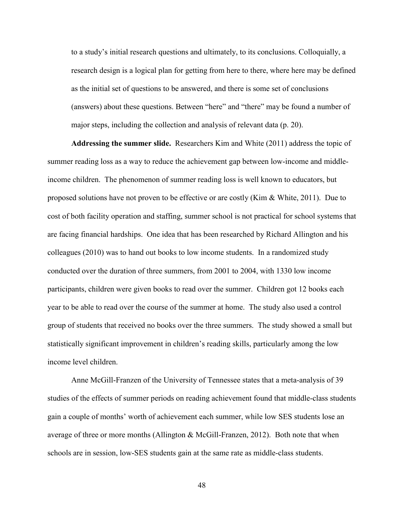to a study's initial research questions and ultimately, to its conclusions. Colloquially, a research design is a logical plan for getting from here to there, where here may be defined as the initial set of questions to be answered, and there is some set of conclusions (answers) about these questions. Between "here" and "there" may be found a number of major steps, including the collection and analysis of relevant data (p. 20).

**Addressing the summer slide.** Researchers Kim and White (2011) address the topic of summer reading loss as a way to reduce the achievement gap between low-income and middleincome children. The phenomenon of summer reading loss is well known to educators, but proposed solutions have not proven to be effective or are costly (Kim & White, 2011). Due to cost of both facility operation and staffing, summer school is not practical for school systems that are facing financial hardships. One idea that has been researched by Richard Allington and his colleagues (2010) was to hand out books to low income students. In a randomized study conducted over the duration of three summers, from 2001 to 2004, with 1330 low income participants, children were given books to read over the summer. Children got 12 books each year to be able to read over the course of the summer at home. The study also used a control group of students that received no books over the three summers. The study showed a small but statistically significant improvement in children's reading skills, particularly among the low income level children.

Anne McGill-Franzen of the University of Tennessee states that a meta-analysis of 39 studies of the effects of summer periods on reading achievement found that middle-class students gain a couple of months' worth of achievement each summer, while low SES students lose an average of three or more months (Allington & McGill-Franzen, 2012). Both note that when schools are in session, low-SES students gain at the same rate as middle-class students.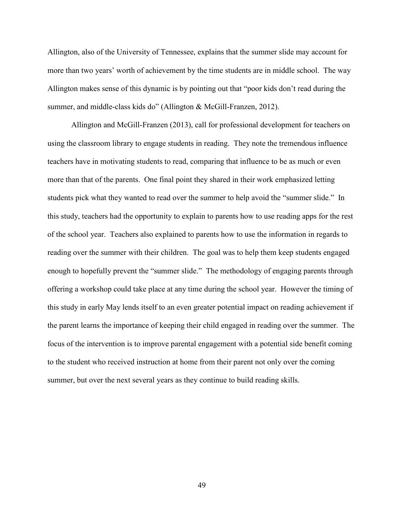Allington, also of the University of Tennessee, explains that the summer slide may account for more than two years' worth of achievement by the time students are in middle school. The way Allington makes sense of this dynamic is by pointing out that "poor kids don't read during the summer, and middle-class kids do" (Allington & McGill-Franzen, 2012).

 Allington and McGill-Franzen (2013), call for professional development for teachers on using the classroom library to engage students in reading. They note the tremendous influence teachers have in motivating students to read, comparing that influence to be as much or even more than that of the parents. One final point they shared in their work emphasized letting students pick what they wanted to read over the summer to help avoid the "summer slide." In this study, teachers had the opportunity to explain to parents how to use reading apps for the rest of the school year. Teachers also explained to parents how to use the information in regards to reading over the summer with their children. The goal was to help them keep students engaged enough to hopefully prevent the "summer slide." The methodology of engaging parents through offering a workshop could take place at any time during the school year. However the timing of this study in early May lends itself to an even greater potential impact on reading achievement if the parent learns the importance of keeping their child engaged in reading over the summer. The focus of the intervention is to improve parental engagement with a potential side benefit coming to the student who received instruction at home from their parent not only over the coming summer, but over the next several years as they continue to build reading skills.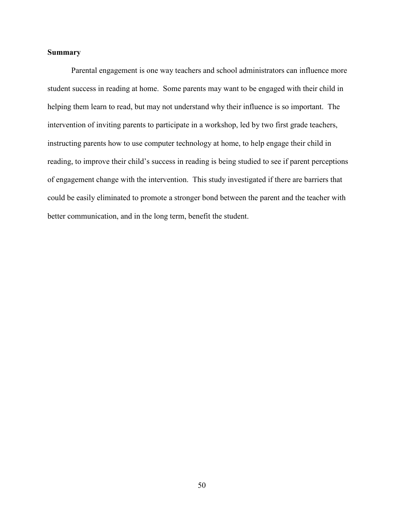## **Summary**

Parental engagement is one way teachers and school administrators can influence more student success in reading at home. Some parents may want to be engaged with their child in helping them learn to read, but may not understand why their influence is so important. The intervention of inviting parents to participate in a workshop, led by two first grade teachers, instructing parents how to use computer technology at home, to help engage their child in reading, to improve their child's success in reading is being studied to see if parent perceptions of engagement change with the intervention. This study investigated if there are barriers that could be easily eliminated to promote a stronger bond between the parent and the teacher with better communication, and in the long term, benefit the student.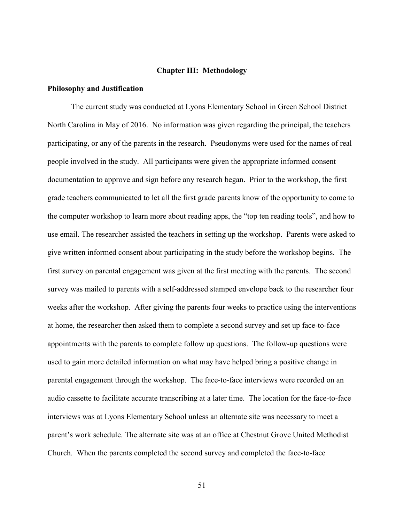## **Chapter III: Methodology**

## **Philosophy and Justification**

 The current study was conducted at Lyons Elementary School in Green School District North Carolina in May of 2016. No information was given regarding the principal, the teachers participating, or any of the parents in the research. Pseudonyms were used for the names of real people involved in the study. All participants were given the appropriate informed consent documentation to approve and sign before any research began. Prior to the workshop, the first grade teachers communicated to let all the first grade parents know of the opportunity to come to the computer workshop to learn more about reading apps, the "top ten reading tools", and how to use email. The researcher assisted the teachers in setting up the workshop. Parents were asked to give written informed consent about participating in the study before the workshop begins. The first survey on parental engagement was given at the first meeting with the parents. The second survey was mailed to parents with a self-addressed stamped envelope back to the researcher four weeks after the workshop. After giving the parents four weeks to practice using the interventions at home, the researcher then asked them to complete a second survey and set up face-to-face appointments with the parents to complete follow up questions. The follow-up questions were used to gain more detailed information on what may have helped bring a positive change in parental engagement through the workshop. The face-to-face interviews were recorded on an audio cassette to facilitate accurate transcribing at a later time. The location for the face-to-face interviews was at Lyons Elementary School unless an alternate site was necessary to meet a parent's work schedule. The alternate site was at an office at Chestnut Grove United Methodist Church. When the parents completed the second survey and completed the face-to-face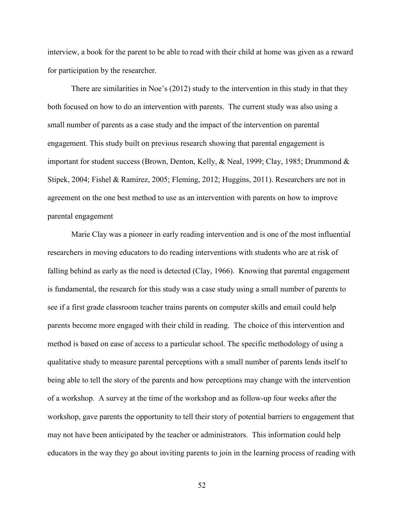interview, a book for the parent to be able to read with their child at home was given as a reward for participation by the researcher.

There are similarities in Noe's (2012) study to the intervention in this study in that they both focused on how to do an intervention with parents. The current study was also using a small number of parents as a case study and the impact of the intervention on parental engagement. This study built on previous research showing that parental engagement is important for student success (Brown, Denton, Kelly, & Neal, 1999; Clay, 1985; Drummond & Stipek, 2004; Fishel & Ramirez, 2005; Fleming, 2012; Huggins, 2011). Researchers are not in agreement on the one best method to use as an intervention with parents on how to improve parental engagement

Marie Clay was a pioneer in early reading intervention and is one of the most influential researchers in moving educators to do reading interventions with students who are at risk of falling behind as early as the need is detected (Clay, 1966). Knowing that parental engagement is fundamental, the research for this study was a case study using a small number of parents to see if a first grade classroom teacher trains parents on computer skills and email could help parents become more engaged with their child in reading. The choice of this intervention and method is based on ease of access to a particular school. The specific methodology of using a qualitative study to measure parental perceptions with a small number of parents lends itself to being able to tell the story of the parents and how perceptions may change with the intervention of a workshop. A survey at the time of the workshop and as follow-up four weeks after the workshop, gave parents the opportunity to tell their story of potential barriers to engagement that may not have been anticipated by the teacher or administrators. This information could help educators in the way they go about inviting parents to join in the learning process of reading with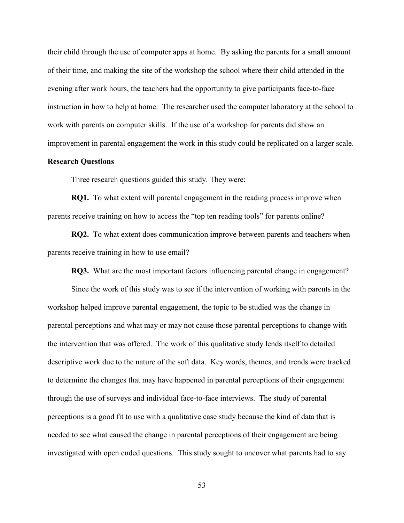their child through the use of computer apps at home. By asking the parents for a small amount of their time, and making the site of the workshop the school where their child attended in the evening after work hours, the teachers had the opportunity to give participants face-to-face instruction in how to help at home. The researcher used the computer laboratory at the school to work with parents on computer skills. If the use of a workshop for parents did show an improvement in parental engagement the work in this study could be replicated on a larger scale.

## **Research Questions**

Three research questions guided this study. They were:

**RQ1.** To what extent will parental engagement in the reading process improve when parents receive training on how to access the "top ten reading tools" for parents online?

**RQ2.** To what extent does communication improve between parents and teachers when parents receive training in how to use email?

**RQ3.** What are the most important factors influencing parental change in engagement?

Since the work of this study was to see if the intervention of working with parents in the workshop helped improve parental engagement, the topic to be studied was the change in parental perceptions and what may or may not cause those parental perceptions to change with the intervention that was offered. The work of this qualitative study lends itself to detailed descriptive work due to the nature of the soft data. Key words, themes, and trends were tracked to determine the changes that may have happened in parental perceptions of their engagement through the use of surveys and individual face-to-face interviews. The study of parental perceptions is a good fit to use with a qualitative case study because the kind of data that is needed to see what caused the change in parental perceptions of their engagement are being investigated with open ended questions. This study sought to uncover what parents had to say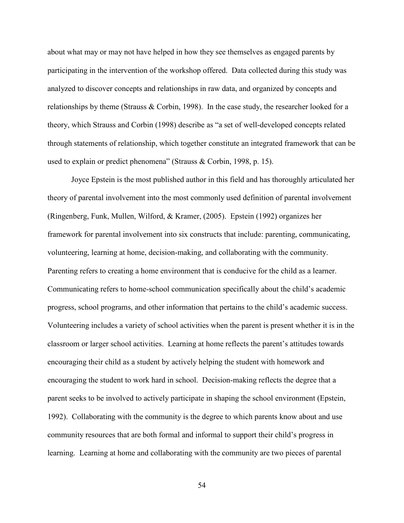about what may or may not have helped in how they see themselves as engaged parents by participating in the intervention of the workshop offered. Data collected during this study was analyzed to discover concepts and relationships in raw data, and organized by concepts and relationships by theme (Strauss  $\&$  Corbin, 1998). In the case study, the researcher looked for a theory, which Strauss and Corbin (1998) describe as "a set of well-developed concepts related through statements of relationship, which together constitute an integrated framework that can be used to explain or predict phenomena" (Strauss & Corbin, 1998, p. 15).

Joyce Epstein is the most published author in this field and has thoroughly articulated her theory of parental involvement into the most commonly used definition of parental involvement (Ringenberg, Funk, Mullen, Wilford, & Kramer, (2005). Epstein (1992) organizes her framework for parental involvement into six constructs that include: parenting, communicating, volunteering, learning at home, decision-making, and collaborating with the community. Parenting refers to creating a home environment that is conducive for the child as a learner. Communicating refers to home-school communication specifically about the child's academic progress, school programs, and other information that pertains to the child's academic success. Volunteering includes a variety of school activities when the parent is present whether it is in the classroom or larger school activities. Learning at home reflects the parent's attitudes towards encouraging their child as a student by actively helping the student with homework and encouraging the student to work hard in school. Decision-making reflects the degree that a parent seeks to be involved to actively participate in shaping the school environment (Epstein, 1992). Collaborating with the community is the degree to which parents know about and use community resources that are both formal and informal to support their child's progress in learning. Learning at home and collaborating with the community are two pieces of parental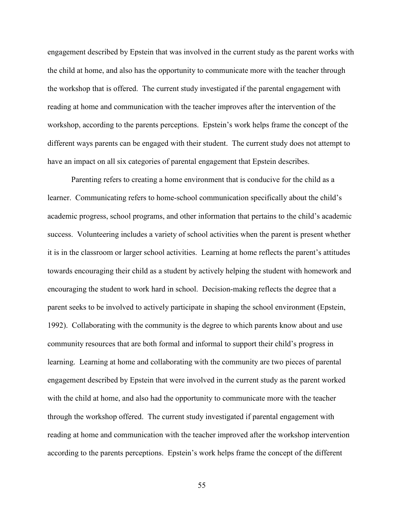engagement described by Epstein that was involved in the current study as the parent works with the child at home, and also has the opportunity to communicate more with the teacher through the workshop that is offered. The current study investigated if the parental engagement with reading at home and communication with the teacher improves after the intervention of the workshop, according to the parents perceptions. Epstein's work helps frame the concept of the different ways parents can be engaged with their student. The current study does not attempt to have an impact on all six categories of parental engagement that Epstein describes.

Parenting refers to creating a home environment that is conducive for the child as a learner. Communicating refers to home-school communication specifically about the child's academic progress, school programs, and other information that pertains to the child's academic success. Volunteering includes a variety of school activities when the parent is present whether it is in the classroom or larger school activities. Learning at home reflects the parent's attitudes towards encouraging their child as a student by actively helping the student with homework and encouraging the student to work hard in school. Decision-making reflects the degree that a parent seeks to be involved to actively participate in shaping the school environment (Epstein, 1992). Collaborating with the community is the degree to which parents know about and use community resources that are both formal and informal to support their child's progress in learning. Learning at home and collaborating with the community are two pieces of parental engagement described by Epstein that were involved in the current study as the parent worked with the child at home, and also had the opportunity to communicate more with the teacher through the workshop offered. The current study investigated if parental engagement with reading at home and communication with the teacher improved after the workshop intervention according to the parents perceptions. Epstein's work helps frame the concept of the different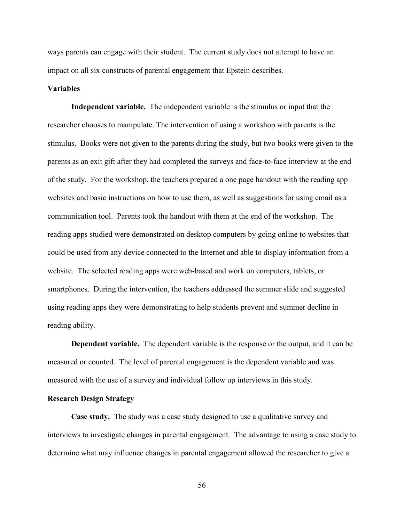ways parents can engage with their student. The current study does not attempt to have an impact on all six constructs of parental engagement that Epstein describes.

### **Variables**

**Independent variable.** The independent variable is the stimulus or input that the researcher chooses to manipulate. The intervention of using a workshop with parents is the stimulus. Books were not given to the parents during the study, but two books were given to the parents as an exit gift after they had completed the surveys and face-to-face interview at the end of the study. For the workshop, the teachers prepared a one page handout with the reading app websites and basic instructions on how to use them, as well as suggestions for using email as a communication tool. Parents took the handout with them at the end of the workshop. The reading apps studied were demonstrated on desktop computers by going online to websites that could be used from any device connected to the Internet and able to display information from a website. The selected reading apps were web-based and work on computers, tablets, or smartphones. During the intervention, the teachers addressed the summer slide and suggested using reading apps they were demonstrating to help students prevent and summer decline in reading ability.

**Dependent variable.** The dependent variable is the response or the output, and it can be measured or counted. The level of parental engagement is the dependent variable and was measured with the use of a survey and individual follow up interviews in this study.

## **Research Design Strategy**

**Case study.** The study was a case study designed to use a qualitative survey and interviews to investigate changes in parental engagement. The advantage to using a case study to determine what may influence changes in parental engagement allowed the researcher to give a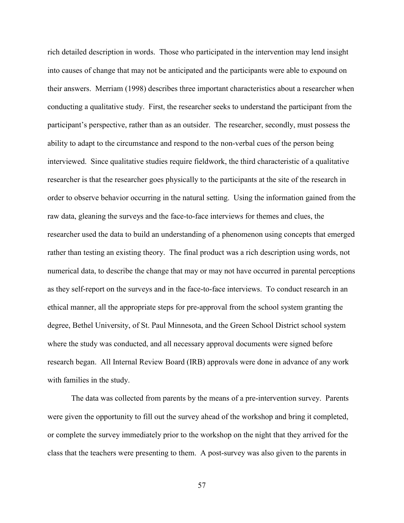rich detailed description in words. Those who participated in the intervention may lend insight into causes of change that may not be anticipated and the participants were able to expound on their answers. Merriam (1998) describes three important characteristics about a researcher when conducting a qualitative study. First, the researcher seeks to understand the participant from the participant's perspective, rather than as an outsider. The researcher, secondly, must possess the ability to adapt to the circumstance and respond to the non-verbal cues of the person being interviewed. Since qualitative studies require fieldwork, the third characteristic of a qualitative researcher is that the researcher goes physically to the participants at the site of the research in order to observe behavior occurring in the natural setting. Using the information gained from the raw data, gleaning the surveys and the face-to-face interviews for themes and clues, the researcher used the data to build an understanding of a phenomenon using concepts that emerged rather than testing an existing theory. The final product was a rich description using words, not numerical data, to describe the change that may or may not have occurred in parental perceptions as they self-report on the surveys and in the face-to-face interviews. To conduct research in an ethical manner, all the appropriate steps for pre-approval from the school system granting the degree, Bethel University, of St. Paul Minnesota, and the Green School District school system where the study was conducted, and all necessary approval documents were signed before research began. All Internal Review Board (IRB) approvals were done in advance of any work with families in the study.

The data was collected from parents by the means of a pre-intervention survey. Parents were given the opportunity to fill out the survey ahead of the workshop and bring it completed, or complete the survey immediately prior to the workshop on the night that they arrived for the class that the teachers were presenting to them. A post-survey was also given to the parents in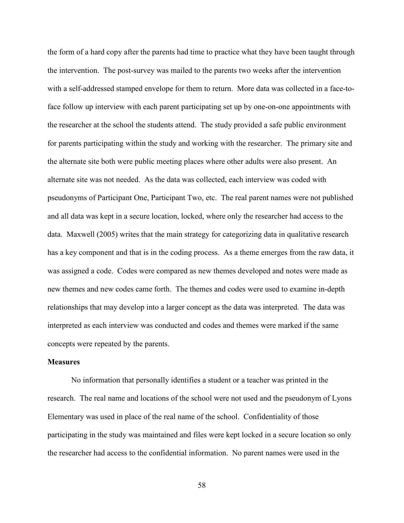the form of a hard copy after the parents had time to practice what they have been taught through the intervention. The post-survey was mailed to the parents two weeks after the intervention with a self-addressed stamped envelope for them to return. More data was collected in a face-toface follow up interview with each parent participating set up by one-on-one appointments with the researcher at the school the students attend. The study provided a safe public environment for parents participating within the study and working with the researcher. The primary site and the alternate site both were public meeting places where other adults were also present. An alternate site was not needed. As the data was collected, each interview was coded with pseudonyms of Participant One, Participant Two, etc. The real parent names were not published and all data was kept in a secure location, locked, where only the researcher had access to the data. Maxwell (2005) writes that the main strategy for categorizing data in qualitative research has a key component and that is in the coding process. As a theme emerges from the raw data, it was assigned a code. Codes were compared as new themes developed and notes were made as new themes and new codes came forth. The themes and codes were used to examine in-depth relationships that may develop into a larger concept as the data was interpreted. The data was interpreted as each interview was conducted and codes and themes were marked if the same concepts were repeated by the parents.

#### **Measures**

 No information that personally identifies a student or a teacher was printed in the research. The real name and locations of the school were not used and the pseudonym of Lyons Elementary was used in place of the real name of the school. Confidentiality of those participating in the study was maintained and files were kept locked in a secure location so only the researcher had access to the confidential information. No parent names were used in the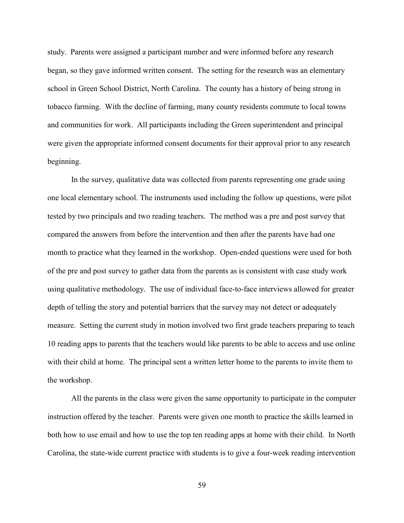study. Parents were assigned a participant number and were informed before any research began, so they gave informed written consent. The setting for the research was an elementary school in Green School District, North Carolina. The county has a history of being strong in tobacco farming. With the decline of farming, many county residents commute to local towns and communities for work. All participants including the Green superintendent and principal were given the appropriate informed consent documents for their approval prior to any research beginning.

In the survey, qualitative data was collected from parents representing one grade using one local elementary school. The instruments used including the follow up questions, were pilot tested by two principals and two reading teachers. The method was a pre and post survey that compared the answers from before the intervention and then after the parents have had one month to practice what they learned in the workshop. Open-ended questions were used for both of the pre and post survey to gather data from the parents as is consistent with case study work using qualitative methodology. The use of individual face-to-face interviews allowed for greater depth of telling the story and potential barriers that the survey may not detect or adequately measure. Setting the current study in motion involved two first grade teachers preparing to teach 10 reading apps to parents that the teachers would like parents to be able to access and use online with their child at home. The principal sent a written letter home to the parents to invite them to the workshop.

All the parents in the class were given the same opportunity to participate in the computer instruction offered by the teacher. Parents were given one month to practice the skills learned in both how to use email and how to use the top ten reading apps at home with their child. In North Carolina, the state-wide current practice with students is to give a four-week reading intervention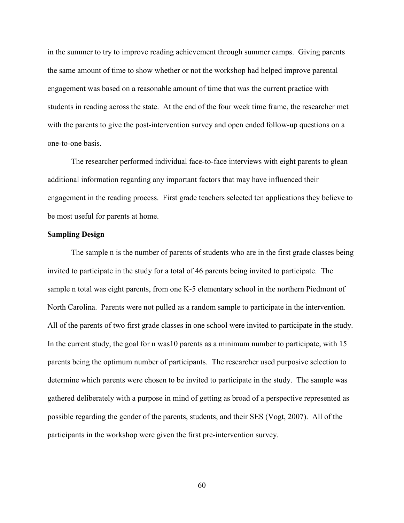in the summer to try to improve reading achievement through summer camps. Giving parents the same amount of time to show whether or not the workshop had helped improve parental engagement was based on a reasonable amount of time that was the current practice with students in reading across the state. At the end of the four week time frame, the researcher met with the parents to give the post-intervention survey and open ended follow-up questions on a one-to-one basis.

The researcher performed individual face-to-face interviews with eight parents to glean additional information regarding any important factors that may have influenced their engagement in the reading process. First grade teachers selected ten applications they believe to be most useful for parents at home.

### **Sampling Design**

The sample n is the number of parents of students who are in the first grade classes being invited to participate in the study for a total of 46 parents being invited to participate. The sample n total was eight parents, from one K-5 elementary school in the northern Piedmont of North Carolina. Parents were not pulled as a random sample to participate in the intervention. All of the parents of two first grade classes in one school were invited to participate in the study. In the current study, the goal for n was10 parents as a minimum number to participate, with 15 parents being the optimum number of participants. The researcher used purposive selection to determine which parents were chosen to be invited to participate in the study. The sample was gathered deliberately with a purpose in mind of getting as broad of a perspective represented as possible regarding the gender of the parents, students, and their SES (Vogt, 2007). All of the participants in the workshop were given the first pre-intervention survey.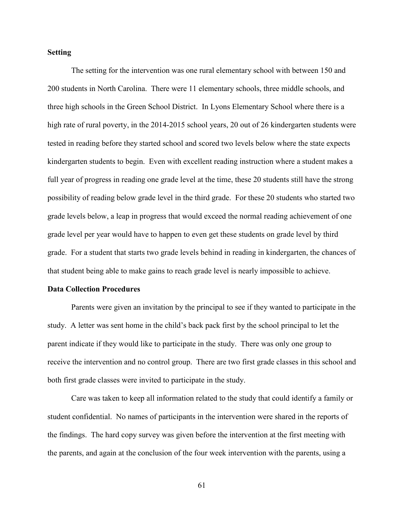## **Setting**

The setting for the intervention was one rural elementary school with between 150 and 200 students in North Carolina. There were 11 elementary schools, three middle schools, and three high schools in the Green School District. In Lyons Elementary School where there is a high rate of rural poverty, in the 2014-2015 school years, 20 out of 26 kindergarten students were tested in reading before they started school and scored two levels below where the state expects kindergarten students to begin. Even with excellent reading instruction where a student makes a full year of progress in reading one grade level at the time, these 20 students still have the strong possibility of reading below grade level in the third grade. For these 20 students who started two grade levels below, a leap in progress that would exceed the normal reading achievement of one grade level per year would have to happen to even get these students on grade level by third grade. For a student that starts two grade levels behind in reading in kindergarten, the chances of that student being able to make gains to reach grade level is nearly impossible to achieve.

#### **Data Collection Procedures**

Parents were given an invitation by the principal to see if they wanted to participate in the study. A letter was sent home in the child's back pack first by the school principal to let the parent indicate if they would like to participate in the study. There was only one group to receive the intervention and no control group. There are two first grade classes in this school and both first grade classes were invited to participate in the study.

Care was taken to keep all information related to the study that could identify a family or student confidential. No names of participants in the intervention were shared in the reports of the findings. The hard copy survey was given before the intervention at the first meeting with the parents, and again at the conclusion of the four week intervention with the parents, using a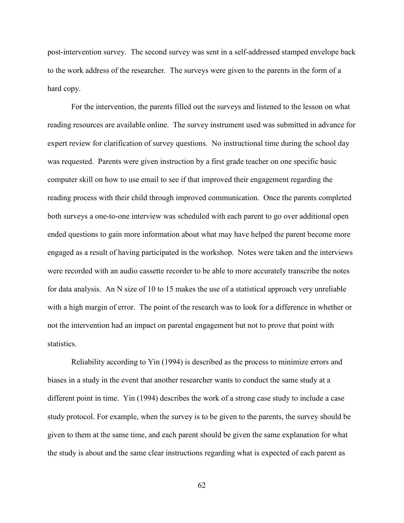post-intervention survey. The second survey was sent in a self-addressed stamped envelope back to the work address of the researcher. The surveys were given to the parents in the form of a hard copy.

 For the intervention, the parents filled out the surveys and listened to the lesson on what reading resources are available online. The survey instrument used was submitted in advance for expert review for clarification of survey questions. No instructional time during the school day was requested. Parents were given instruction by a first grade teacher on one specific basic computer skill on how to use email to see if that improved their engagement regarding the reading process with their child through improved communication. Once the parents completed both surveys a one-to-one interview was scheduled with each parent to go over additional open ended questions to gain more information about what may have helped the parent become more engaged as a result of having participated in the workshop. Notes were taken and the interviews were recorded with an audio cassette recorder to be able to more accurately transcribe the notes for data analysis. An N size of 10 to 15 makes the use of a statistical approach very unreliable with a high margin of error. The point of the research was to look for a difference in whether or not the intervention had an impact on parental engagement but not to prove that point with statistics.

Reliability according to Yin (1994) is described as the process to minimize errors and biases in a study in the event that another researcher wants to conduct the same study at a different point in time. Yin (1994) describes the work of a strong case study to include a case study protocol. For example, when the survey is to be given to the parents, the survey should be given to them at the same time, and each parent should be given the same explanation for what the study is about and the same clear instructions regarding what is expected of each parent as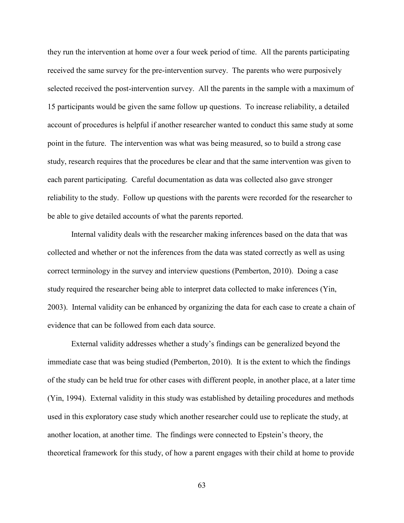they run the intervention at home over a four week period of time. All the parents participating received the same survey for the pre-intervention survey. The parents who were purposively selected received the post-intervention survey. All the parents in the sample with a maximum of 15 participants would be given the same follow up questions. To increase reliability, a detailed account of procedures is helpful if another researcher wanted to conduct this same study at some point in the future. The intervention was what was being measured, so to build a strong case study, research requires that the procedures be clear and that the same intervention was given to each parent participating. Careful documentation as data was collected also gave stronger reliability to the study. Follow up questions with the parents were recorded for the researcher to be able to give detailed accounts of what the parents reported.

Internal validity deals with the researcher making inferences based on the data that was collected and whether or not the inferences from the data was stated correctly as well as using correct terminology in the survey and interview questions (Pemberton, 2010). Doing a case study required the researcher being able to interpret data collected to make inferences (Yin, 2003). Internal validity can be enhanced by organizing the data for each case to create a chain of evidence that can be followed from each data source.

 External validity addresses whether a study's findings can be generalized beyond the immediate case that was being studied (Pemberton, 2010). It is the extent to which the findings of the study can be held true for other cases with different people, in another place, at a later time (Yin, 1994). External validity in this study was established by detailing procedures and methods used in this exploratory case study which another researcher could use to replicate the study, at another location, at another time. The findings were connected to Epstein's theory, the theoretical framework for this study, of how a parent engages with their child at home to provide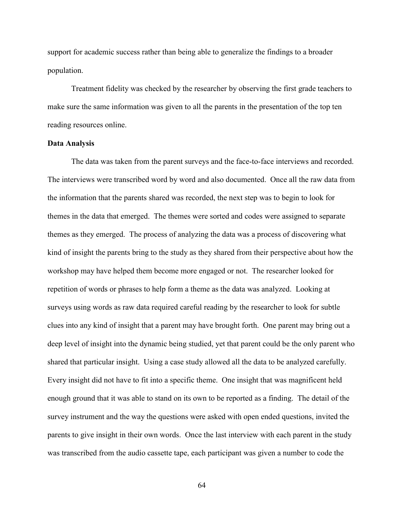support for academic success rather than being able to generalize the findings to a broader population.

Treatment fidelity was checked by the researcher by observing the first grade teachers to make sure the same information was given to all the parents in the presentation of the top ten reading resources online.

## **Data Analysis**

The data was taken from the parent surveys and the face-to-face interviews and recorded. The interviews were transcribed word by word and also documented. Once all the raw data from the information that the parents shared was recorded, the next step was to begin to look for themes in the data that emerged. The themes were sorted and codes were assigned to separate themes as they emerged. The process of analyzing the data was a process of discovering what kind of insight the parents bring to the study as they shared from their perspective about how the workshop may have helped them become more engaged or not. The researcher looked for repetition of words or phrases to help form a theme as the data was analyzed. Looking at surveys using words as raw data required careful reading by the researcher to look for subtle clues into any kind of insight that a parent may have brought forth. One parent may bring out a deep level of insight into the dynamic being studied, yet that parent could be the only parent who shared that particular insight. Using a case study allowed all the data to be analyzed carefully. Every insight did not have to fit into a specific theme. One insight that was magnificent held enough ground that it was able to stand on its own to be reported as a finding. The detail of the survey instrument and the way the questions were asked with open ended questions, invited the parents to give insight in their own words. Once the last interview with each parent in the study was transcribed from the audio cassette tape, each participant was given a number to code the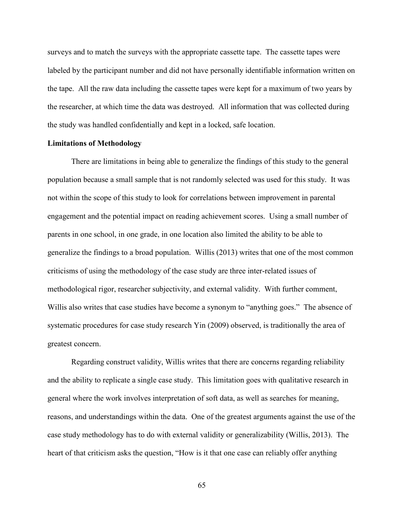surveys and to match the surveys with the appropriate cassette tape. The cassette tapes were labeled by the participant number and did not have personally identifiable information written on the tape. All the raw data including the cassette tapes were kept for a maximum of two years by the researcher, at which time the data was destroyed. All information that was collected during the study was handled confidentially and kept in a locked, safe location.

## **Limitations of Methodology**

 There are limitations in being able to generalize the findings of this study to the general population because a small sample that is not randomly selected was used for this study. It was not within the scope of this study to look for correlations between improvement in parental engagement and the potential impact on reading achievement scores. Using a small number of parents in one school, in one grade, in one location also limited the ability to be able to generalize the findings to a broad population. Willis (2013) writes that one of the most common criticisms of using the methodology of the case study are three inter-related issues of methodological rigor, researcher subjectivity, and external validity. With further comment, Willis also writes that case studies have become a synonym to "anything goes." The absence of systematic procedures for case study research Yin (2009) observed, is traditionally the area of greatest concern.

Regarding construct validity, Willis writes that there are concerns regarding reliability and the ability to replicate a single case study. This limitation goes with qualitative research in general where the work involves interpretation of soft data, as well as searches for meaning, reasons, and understandings within the data. One of the greatest arguments against the use of the case study methodology has to do with external validity or generalizability (Willis, 2013). The heart of that criticism asks the question, "How is it that one case can reliably offer anything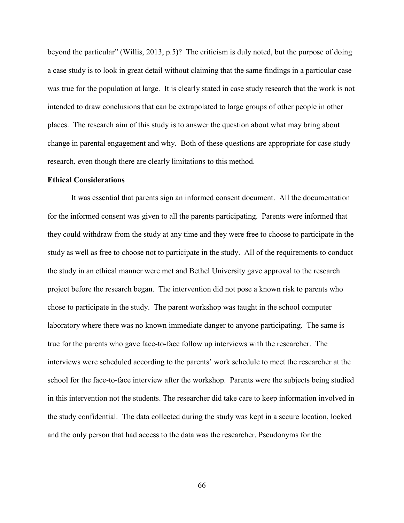beyond the particular" (Willis, 2013, p.5)? The criticism is duly noted, but the purpose of doing a case study is to look in great detail without claiming that the same findings in a particular case was true for the population at large. It is clearly stated in case study research that the work is not intended to draw conclusions that can be extrapolated to large groups of other people in other places. The research aim of this study is to answer the question about what may bring about change in parental engagement and why. Both of these questions are appropriate for case study research, even though there are clearly limitations to this method.

### **Ethical Considerations**

It was essential that parents sign an informed consent document. All the documentation for the informed consent was given to all the parents participating. Parents were informed that they could withdraw from the study at any time and they were free to choose to participate in the study as well as free to choose not to participate in the study. All of the requirements to conduct the study in an ethical manner were met and Bethel University gave approval to the research project before the research began. The intervention did not pose a known risk to parents who chose to participate in the study. The parent workshop was taught in the school computer laboratory where there was no known immediate danger to anyone participating. The same is true for the parents who gave face-to-face follow up interviews with the researcher. The interviews were scheduled according to the parents' work schedule to meet the researcher at the school for the face-to-face interview after the workshop. Parents were the subjects being studied in this intervention not the students. The researcher did take care to keep information involved in the study confidential. The data collected during the study was kept in a secure location, locked and the only person that had access to the data was the researcher. Pseudonyms for the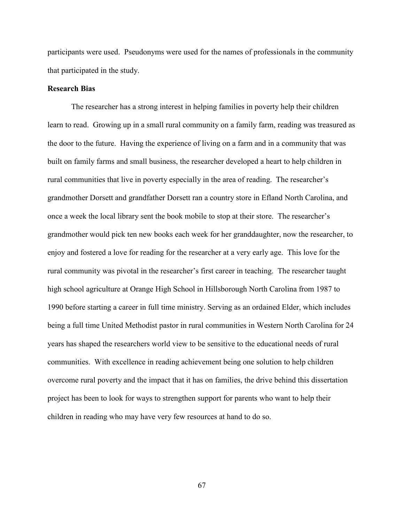participants were used. Pseudonyms were used for the names of professionals in the community that participated in the study.

## **Research Bias**

The researcher has a strong interest in helping families in poverty help their children learn to read. Growing up in a small rural community on a family farm, reading was treasured as the door to the future. Having the experience of living on a farm and in a community that was built on family farms and small business, the researcher developed a heart to help children in rural communities that live in poverty especially in the area of reading. The researcher's grandmother Dorsett and grandfather Dorsett ran a country store in Efland North Carolina, and once a week the local library sent the book mobile to stop at their store. The researcher's grandmother would pick ten new books each week for her granddaughter, now the researcher, to enjoy and fostered a love for reading for the researcher at a very early age. This love for the rural community was pivotal in the researcher's first career in teaching. The researcher taught high school agriculture at Orange High School in Hillsborough North Carolina from 1987 to 1990 before starting a career in full time ministry. Serving as an ordained Elder, which includes being a full time United Methodist pastor in rural communities in Western North Carolina for 24 years has shaped the researchers world view to be sensitive to the educational needs of rural communities. With excellence in reading achievement being one solution to help children overcome rural poverty and the impact that it has on families, the drive behind this dissertation project has been to look for ways to strengthen support for parents who want to help their children in reading who may have very few resources at hand to do so.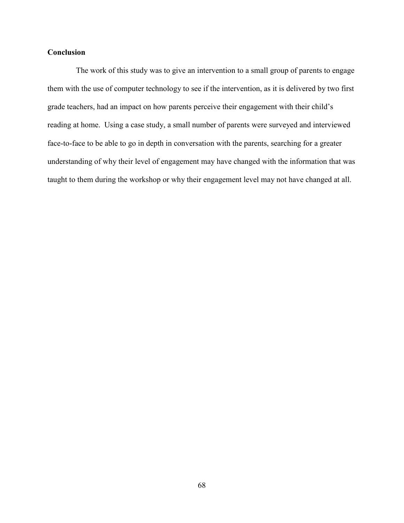# **Conclusion**

The work of this study was to give an intervention to a small group of parents to engage them with the use of computer technology to see if the intervention, as it is delivered by two first grade teachers, had an impact on how parents perceive their engagement with their child's reading at home. Using a case study, a small number of parents were surveyed and interviewed face-to-face to be able to go in depth in conversation with the parents, searching for a greater understanding of why their level of engagement may have changed with the information that was taught to them during the workshop or why their engagement level may not have changed at all.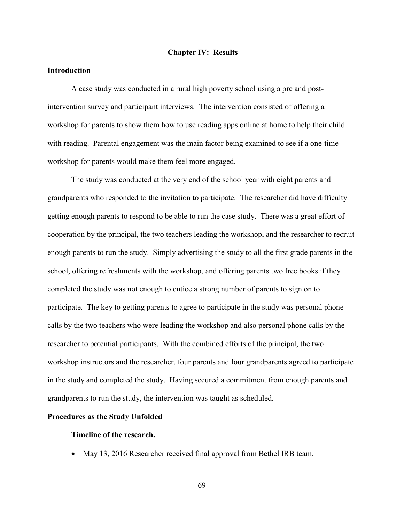## **Chapter IV: Results**

## **Introduction**

 A case study was conducted in a rural high poverty school using a pre and postintervention survey and participant interviews. The intervention consisted of offering a workshop for parents to show them how to use reading apps online at home to help their child with reading. Parental engagement was the main factor being examined to see if a one-time workshop for parents would make them feel more engaged.

The study was conducted at the very end of the school year with eight parents and grandparents who responded to the invitation to participate. The researcher did have difficulty getting enough parents to respond to be able to run the case study. There was a great effort of cooperation by the principal, the two teachers leading the workshop, and the researcher to recruit enough parents to run the study. Simply advertising the study to all the first grade parents in the school, offering refreshments with the workshop, and offering parents two free books if they completed the study was not enough to entice a strong number of parents to sign on to participate. The key to getting parents to agree to participate in the study was personal phone calls by the two teachers who were leading the workshop and also personal phone calls by the researcher to potential participants. With the combined efforts of the principal, the two workshop instructors and the researcher, four parents and four grandparents agreed to participate in the study and completed the study. Having secured a commitment from enough parents and grandparents to run the study, the intervention was taught as scheduled.

#### **Procedures as the Study Unfolded**

#### **Timeline of the research.**

• May 13, 2016 Researcher received final approval from Bethel IRB team.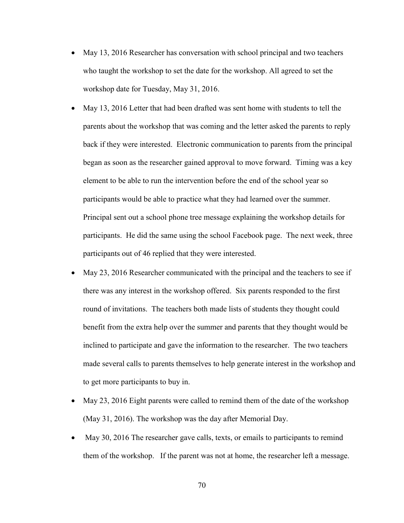- May 13, 2016 Researcher has conversation with school principal and two teachers who taught the workshop to set the date for the workshop. All agreed to set the workshop date for Tuesday, May 31, 2016.
- May 13, 2016 Letter that had been drafted was sent home with students to tell the parents about the workshop that was coming and the letter asked the parents to reply back if they were interested. Electronic communication to parents from the principal began as soon as the researcher gained approval to move forward. Timing was a key element to be able to run the intervention before the end of the school year so participants would be able to practice what they had learned over the summer. Principal sent out a school phone tree message explaining the workshop details for participants. He did the same using the school Facebook page. The next week, three participants out of 46 replied that they were interested.
- May 23, 2016 Researcher communicated with the principal and the teachers to see if there was any interest in the workshop offered. Six parents responded to the first round of invitations. The teachers both made lists of students they thought could benefit from the extra help over the summer and parents that they thought would be inclined to participate and gave the information to the researcher. The two teachers made several calls to parents themselves to help generate interest in the workshop and to get more participants to buy in.
- May 23, 2016 Eight parents were called to remind them of the date of the workshop (May 31, 2016). The workshop was the day after Memorial Day.
- May 30, 2016 The researcher gave calls, texts, or emails to participants to remind them of the workshop. If the parent was not at home, the researcher left a message.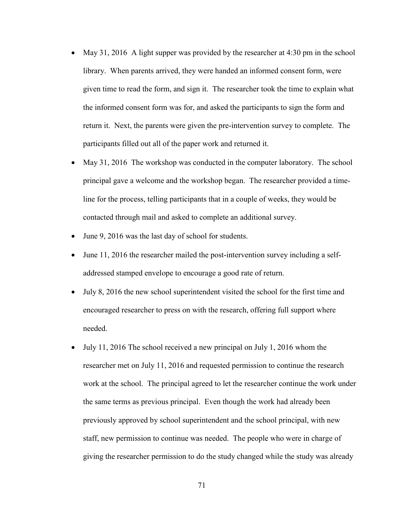- May 31, 2016 A light supper was provided by the researcher at 4:30 pm in the school library. When parents arrived, they were handed an informed consent form, were given time to read the form, and sign it. The researcher took the time to explain what the informed consent form was for, and asked the participants to sign the form and return it. Next, the parents were given the pre-intervention survey to complete. The participants filled out all of the paper work and returned it.
- May 31, 2016 The workshop was conducted in the computer laboratory. The school principal gave a welcome and the workshop began. The researcher provided a timeline for the process, telling participants that in a couple of weeks, they would be contacted through mail and asked to complete an additional survey.
- June 9, 2016 was the last day of school for students.
- June 11, 2016 the researcher mailed the post-intervention survey including a selfaddressed stamped envelope to encourage a good rate of return.
- July 8, 2016 the new school superintendent visited the school for the first time and encouraged researcher to press on with the research, offering full support where needed.
- July 11, 2016 The school received a new principal on July 1, 2016 whom the researcher met on July 11, 2016 and requested permission to continue the research work at the school. The principal agreed to let the researcher continue the work under the same terms as previous principal. Even though the work had already been previously approved by school superintendent and the school principal, with new staff, new permission to continue was needed. The people who were in charge of giving the researcher permission to do the study changed while the study was already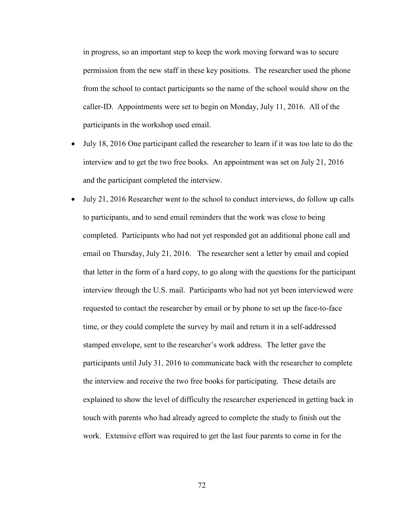in progress, so an important step to keep the work moving forward was to secure permission from the new staff in these key positions. The researcher used the phone from the school to contact participants so the name of the school would show on the caller-ID. Appointments were set to begin on Monday, July 11, 2016. All of the participants in the workshop used email.

- July 18, 2016 One participant called the researcher to learn if it was too late to do the interview and to get the two free books. An appointment was set on July 21, 2016 and the participant completed the interview.
- July 21, 2016 Researcher went to the school to conduct interviews, do follow up calls to participants, and to send email reminders that the work was close to being completed. Participants who had not yet responded got an additional phone call and email on Thursday, July 21, 2016. The researcher sent a letter by email and copied that letter in the form of a hard copy, to go along with the questions for the participant interview through the U.S. mail. Participants who had not yet been interviewed were requested to contact the researcher by email or by phone to set up the face-to-face time, or they could complete the survey by mail and return it in a self-addressed stamped envelope, sent to the researcher's work address. The letter gave the participants until July 31, 2016 to communicate back with the researcher to complete the interview and receive the two free books for participating. These details are explained to show the level of difficulty the researcher experienced in getting back in touch with parents who had already agreed to complete the study to finish out the work. Extensive effort was required to get the last four parents to come in for the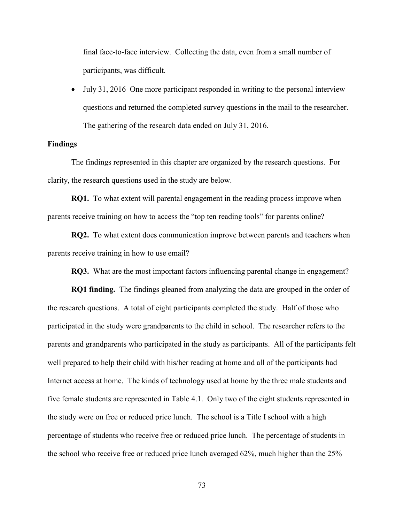final face-to-face interview. Collecting the data, even from a small number of participants, was difficult.

• July 31, 2016 One more participant responded in writing to the personal interview questions and returned the completed survey questions in the mail to the researcher. The gathering of the research data ended on July 31, 2016.

#### **Findings**

The findings represented in this chapter are organized by the research questions. For clarity, the research questions used in the study are below.

**RQ1.** To what extent will parental engagement in the reading process improve when parents receive training on how to access the "top ten reading tools" for parents online?

**RQ2.** To what extent does communication improve between parents and teachers when parents receive training in how to use email?

**RQ3.** What are the most important factors influencing parental change in engagement?

**RQ1 finding.** The findings gleaned from analyzing the data are grouped in the order of the research questions. A total of eight participants completed the study. Half of those who participated in the study were grandparents to the child in school. The researcher refers to the parents and grandparents who participated in the study as participants. All of the participants felt well prepared to help their child with his/her reading at home and all of the participants had Internet access at home. The kinds of technology used at home by the three male students and five female students are represented in Table 4.1. Only two of the eight students represented in the study were on free or reduced price lunch. The school is a Title I school with a high percentage of students who receive free or reduced price lunch. The percentage of students in the school who receive free or reduced price lunch averaged 62%, much higher than the 25%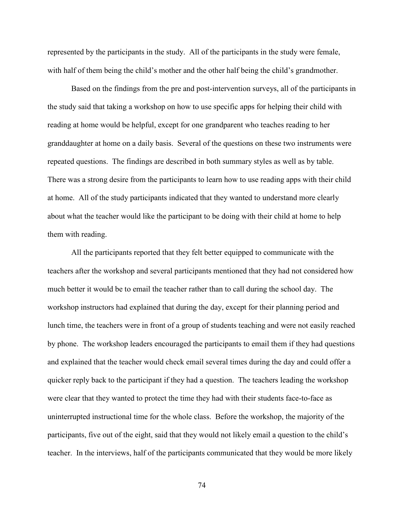represented by the participants in the study. All of the participants in the study were female, with half of them being the child's mother and the other half being the child's grandmother.

Based on the findings from the pre and post-intervention surveys, all of the participants in the study said that taking a workshop on how to use specific apps for helping their child with reading at home would be helpful, except for one grandparent who teaches reading to her granddaughter at home on a daily basis. Several of the questions on these two instruments were repeated questions. The findings are described in both summary styles as well as by table. There was a strong desire from the participants to learn how to use reading apps with their child at home. All of the study participants indicated that they wanted to understand more clearly about what the teacher would like the participant to be doing with their child at home to help them with reading.

All the participants reported that they felt better equipped to communicate with the teachers after the workshop and several participants mentioned that they had not considered how much better it would be to email the teacher rather than to call during the school day. The workshop instructors had explained that during the day, except for their planning period and lunch time, the teachers were in front of a group of students teaching and were not easily reached by phone. The workshop leaders encouraged the participants to email them if they had questions and explained that the teacher would check email several times during the day and could offer a quicker reply back to the participant if they had a question. The teachers leading the workshop were clear that they wanted to protect the time they had with their students face-to-face as uninterrupted instructional time for the whole class. Before the workshop, the majority of the participants, five out of the eight, said that they would not likely email a question to the child's teacher. In the interviews, half of the participants communicated that they would be more likely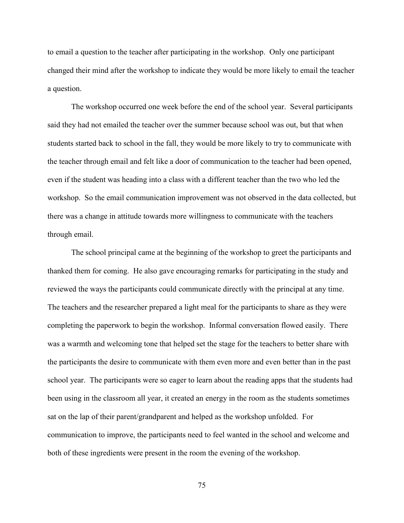to email a question to the teacher after participating in the workshop. Only one participant changed their mind after the workshop to indicate they would be more likely to email the teacher a question.

The workshop occurred one week before the end of the school year. Several participants said they had not emailed the teacher over the summer because school was out, but that when students started back to school in the fall, they would be more likely to try to communicate with the teacher through email and felt like a door of communication to the teacher had been opened, even if the student was heading into a class with a different teacher than the two who led the workshop. So the email communication improvement was not observed in the data collected, but there was a change in attitude towards more willingness to communicate with the teachers through email.

The school principal came at the beginning of the workshop to greet the participants and thanked them for coming. He also gave encouraging remarks for participating in the study and reviewed the ways the participants could communicate directly with the principal at any time. The teachers and the researcher prepared a light meal for the participants to share as they were completing the paperwork to begin the workshop. Informal conversation flowed easily. There was a warmth and welcoming tone that helped set the stage for the teachers to better share with the participants the desire to communicate with them even more and even better than in the past school year. The participants were so eager to learn about the reading apps that the students had been using in the classroom all year, it created an energy in the room as the students sometimes sat on the lap of their parent/grandparent and helped as the workshop unfolded. For communication to improve, the participants need to feel wanted in the school and welcome and both of these ingredients were present in the room the evening of the workshop.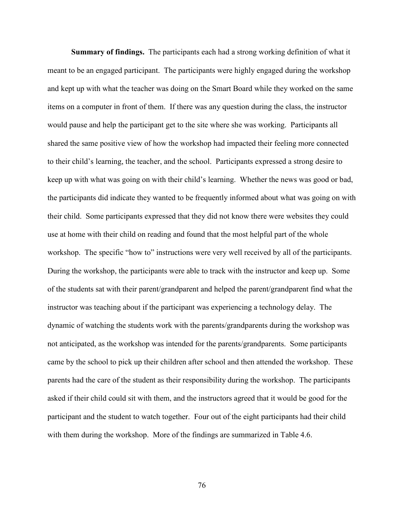**Summary of findings.** The participants each had a strong working definition of what it meant to be an engaged participant. The participants were highly engaged during the workshop and kept up with what the teacher was doing on the Smart Board while they worked on the same items on a computer in front of them. If there was any question during the class, the instructor would pause and help the participant get to the site where she was working. Participants all shared the same positive view of how the workshop had impacted their feeling more connected to their child's learning, the teacher, and the school. Participants expressed a strong desire to keep up with what was going on with their child's learning. Whether the news was good or bad, the participants did indicate they wanted to be frequently informed about what was going on with their child. Some participants expressed that they did not know there were websites they could use at home with their child on reading and found that the most helpful part of the whole workshop. The specific "how to" instructions were very well received by all of the participants. During the workshop, the participants were able to track with the instructor and keep up. Some of the students sat with their parent/grandparent and helped the parent/grandparent find what the instructor was teaching about if the participant was experiencing a technology delay. The dynamic of watching the students work with the parents/grandparents during the workshop was not anticipated, as the workshop was intended for the parents/grandparents. Some participants came by the school to pick up their children after school and then attended the workshop. These parents had the care of the student as their responsibility during the workshop. The participants asked if their child could sit with them, and the instructors agreed that it would be good for the participant and the student to watch together. Four out of the eight participants had their child with them during the workshop. More of the findings are summarized in Table 4.6.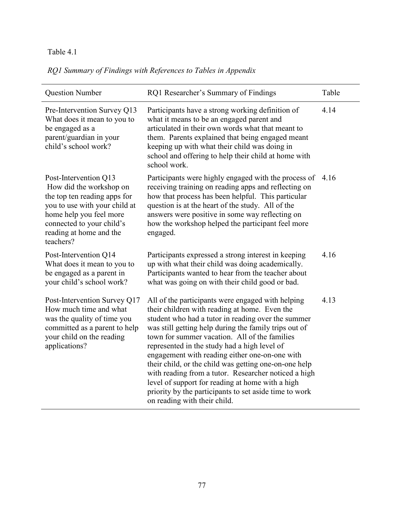# *RQ1 Summary of Findings with References to Tables in Appendix*

| <b>Question Number</b>                                                                                                                                                                                            | RQ1 Researcher's Summary of Findings                                                                                                                                                                                                                                                                                                                                                                                                                                                                                                                                                                                                | Table |
|-------------------------------------------------------------------------------------------------------------------------------------------------------------------------------------------------------------------|-------------------------------------------------------------------------------------------------------------------------------------------------------------------------------------------------------------------------------------------------------------------------------------------------------------------------------------------------------------------------------------------------------------------------------------------------------------------------------------------------------------------------------------------------------------------------------------------------------------------------------------|-------|
| Pre-Intervention Survey Q13<br>What does it mean to you to<br>be engaged as a<br>parent/guardian in your<br>child's school work?                                                                                  | Participants have a strong working definition of<br>what it means to be an engaged parent and<br>articulated in their own words what that meant to<br>them. Parents explained that being engaged meant<br>keeping up with what their child was doing in<br>school and offering to help their child at home with<br>school work.                                                                                                                                                                                                                                                                                                     | 4.14  |
| Post-Intervention Q13<br>How did the workshop on<br>the top ten reading apps for<br>you to use with your child at<br>home help you feel more<br>connected to your child's<br>reading at home and the<br>teachers? | Participants were highly engaged with the process of 4.16<br>receiving training on reading apps and reflecting on<br>how that process has been helpful. This particular<br>question is at the heart of the study. All of the<br>answers were positive in some way reflecting on<br>how the workshop helped the participant feel more<br>engaged.                                                                                                                                                                                                                                                                                    |       |
| Post-Intervention Q14<br>What does it mean to you to<br>be engaged as a parent in<br>your child's school work?                                                                                                    | Participants expressed a strong interest in keeping<br>up with what their child was doing academically.<br>Participants wanted to hear from the teacher about<br>what was going on with their child good or bad.                                                                                                                                                                                                                                                                                                                                                                                                                    | 4.16  |
| Post-Intervention Survey Q17<br>How much time and what<br>was the quality of time you<br>committed as a parent to help<br>your child on the reading<br>applications?                                              | All of the participants were engaged with helping<br>their children with reading at home. Even the<br>student who had a tutor in reading over the summer<br>was still getting help during the family trips out of<br>town for summer vacation. All of the families<br>represented in the study had a high level of<br>engagement with reading either one-on-one with<br>their child, or the child was getting one-on-one help<br>with reading from a tutor. Researcher noticed a high<br>level of support for reading at home with a high<br>priority by the participants to set aside time to work<br>on reading with their child. | 4.13  |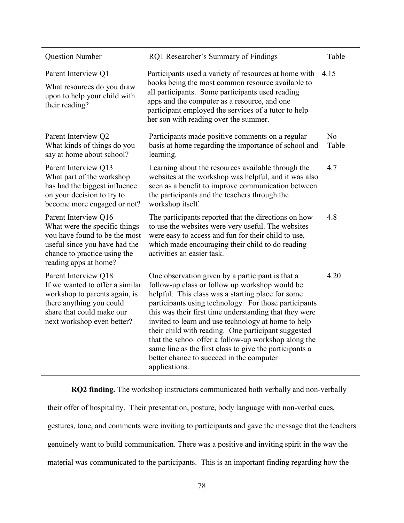| <b>Question Number</b>                                                                                                                                                           | RQ1 Researcher's Summary of Findings                                                                                                                                                                                                                                                                                                                                                                                                                                                                                                                                     | Table                   |
|----------------------------------------------------------------------------------------------------------------------------------------------------------------------------------|--------------------------------------------------------------------------------------------------------------------------------------------------------------------------------------------------------------------------------------------------------------------------------------------------------------------------------------------------------------------------------------------------------------------------------------------------------------------------------------------------------------------------------------------------------------------------|-------------------------|
| Parent Interview Q1<br>What resources do you draw<br>upon to help your child with<br>their reading?                                                                              | Participants used a variety of resources at home with<br>books being the most common resource available to<br>all participants. Some participants used reading<br>apps and the computer as a resource, and one<br>participant employed the services of a tutor to help<br>her son with reading over the summer.                                                                                                                                                                                                                                                          | 4.15                    |
| Parent Interview Q2<br>What kinds of things do you<br>say at home about school?                                                                                                  | Participants made positive comments on a regular<br>basis at home regarding the importance of school and<br>learning.                                                                                                                                                                                                                                                                                                                                                                                                                                                    | N <sub>0</sub><br>Table |
| Parent Interview Q13<br>What part of the workshop<br>has had the biggest influence<br>on your decision to try to<br>become more engaged or not?                                  | Learning about the resources available through the<br>websites at the workshop was helpful, and it was also<br>seen as a benefit to improve communication between<br>the participants and the teachers through the<br>workshop itself.                                                                                                                                                                                                                                                                                                                                   | 4.7                     |
| Parent Interview Q16<br>What were the specific things<br>you have found to be the most<br>useful since you have had the<br>chance to practice using the<br>reading apps at home? | The participants reported that the directions on how<br>to use the websites were very useful. The websites<br>were easy to access and fun for their child to use,<br>which made encouraging their child to do reading<br>activities an easier task.                                                                                                                                                                                                                                                                                                                      | 4.8                     |
| Parent Interview Q18<br>If we wanted to offer a similar<br>workshop to parents again, is<br>there anything you could<br>share that could make our<br>next workshop even better?  | One observation given by a participant is that a<br>follow-up class or follow up workshop would be<br>helpful. This class was a starting place for some<br>participants using technology. For those participants<br>this was their first time understanding that they were<br>invited to learn and use technology at home to help<br>their child with reading. One participant suggested<br>that the school offer a follow-up workshop along the<br>same line as the first class to give the participants a<br>better chance to succeed in the computer<br>applications. | 4.20                    |

**RQ2 finding.** The workshop instructors communicated both verbally and non-verbally

their offer of hospitality. Their presentation, posture, body language with non-verbal cues, gestures, tone, and comments were inviting to participants and gave the message that the teachers genuinely want to build communication. There was a positive and inviting spirit in the way the material was communicated to the participants. This is an important finding regarding how the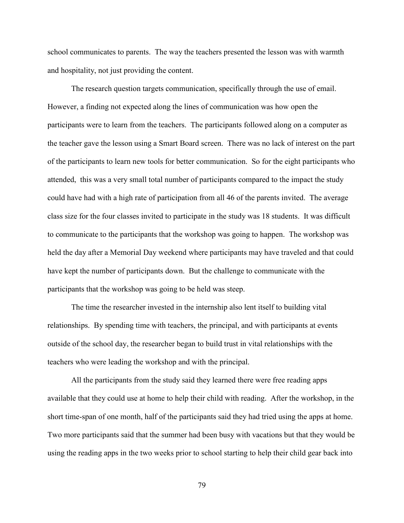school communicates to parents. The way the teachers presented the lesson was with warmth and hospitality, not just providing the content.

The research question targets communication, specifically through the use of email. However, a finding not expected along the lines of communication was how open the participants were to learn from the teachers. The participants followed along on a computer as the teacher gave the lesson using a Smart Board screen. There was no lack of interest on the part of the participants to learn new tools for better communication. So for the eight participants who attended, this was a very small total number of participants compared to the impact the study could have had with a high rate of participation from all 46 of the parents invited. The average class size for the four classes invited to participate in the study was 18 students. It was difficult to communicate to the participants that the workshop was going to happen. The workshop was held the day after a Memorial Day weekend where participants may have traveled and that could have kept the number of participants down. But the challenge to communicate with the participants that the workshop was going to be held was steep.

The time the researcher invested in the internship also lent itself to building vital relationships. By spending time with teachers, the principal, and with participants at events outside of the school day, the researcher began to build trust in vital relationships with the teachers who were leading the workshop and with the principal.

All the participants from the study said they learned there were free reading apps available that they could use at home to help their child with reading. After the workshop, in the short time-span of one month, half of the participants said they had tried using the apps at home. Two more participants said that the summer had been busy with vacations but that they would be using the reading apps in the two weeks prior to school starting to help their child gear back into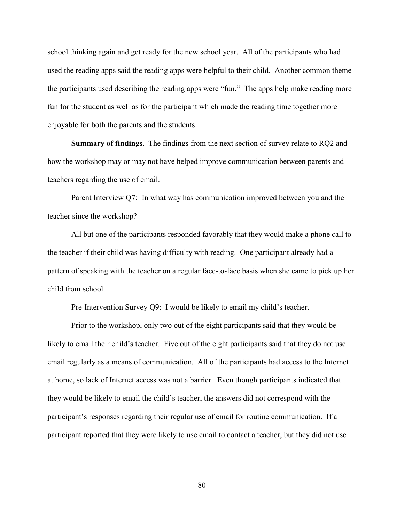school thinking again and get ready for the new school year. All of the participants who had used the reading apps said the reading apps were helpful to their child. Another common theme the participants used describing the reading apps were "fun." The apps help make reading more fun for the student as well as for the participant which made the reading time together more enjoyable for both the parents and the students.

**Summary of findings**. The findings from the next section of survey relate to RQ2 and how the workshop may or may not have helped improve communication between parents and teachers regarding the use of email.

Parent Interview Q7: In what way has communication improved between you and the teacher since the workshop?

All but one of the participants responded favorably that they would make a phone call to the teacher if their child was having difficulty with reading. One participant already had a pattern of speaking with the teacher on a regular face-to-face basis when she came to pick up her child from school.

Pre-Intervention Survey Q9: I would be likely to email my child's teacher.

Prior to the workshop, only two out of the eight participants said that they would be likely to email their child's teacher. Five out of the eight participants said that they do not use email regularly as a means of communication. All of the participants had access to the Internet at home, so lack of Internet access was not a barrier. Even though participants indicated that they would be likely to email the child's teacher, the answers did not correspond with the participant's responses regarding their regular use of email for routine communication. If a participant reported that they were likely to use email to contact a teacher, but they did not use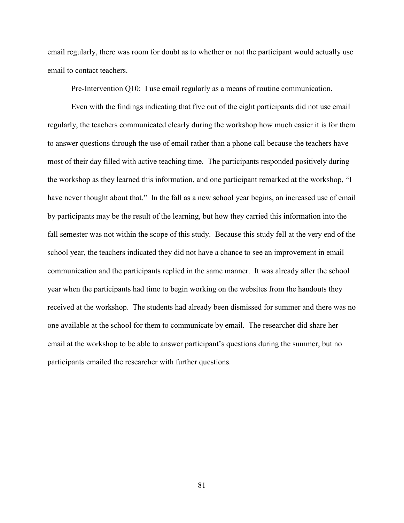email regularly, there was room for doubt as to whether or not the participant would actually use email to contact teachers.

Pre-Intervention Q10: I use email regularly as a means of routine communication.

Even with the findings indicating that five out of the eight participants did not use email regularly, the teachers communicated clearly during the workshop how much easier it is for them to answer questions through the use of email rather than a phone call because the teachers have most of their day filled with active teaching time. The participants responded positively during the workshop as they learned this information, and one participant remarked at the workshop, "I have never thought about that." In the fall as a new school year begins, an increased use of email by participants may be the result of the learning, but how they carried this information into the fall semester was not within the scope of this study. Because this study fell at the very end of the school year, the teachers indicated they did not have a chance to see an improvement in email communication and the participants replied in the same manner. It was already after the school year when the participants had time to begin working on the websites from the handouts they received at the workshop. The students had already been dismissed for summer and there was no one available at the school for them to communicate by email. The researcher did share her email at the workshop to be able to answer participant's questions during the summer, but no participants emailed the researcher with further questions.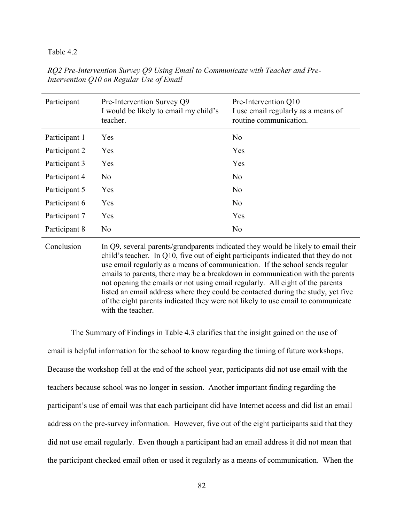| Participant   | Pre-Intervention Survey Q9<br>I would be likely to email my child's<br>teacher.                                                                                                                                                                                                                                                                                                                                                                                                                                                                                                                                       | Pre-Intervention Q10<br>I use email regularly as a means of<br>routine communication. |
|---------------|-----------------------------------------------------------------------------------------------------------------------------------------------------------------------------------------------------------------------------------------------------------------------------------------------------------------------------------------------------------------------------------------------------------------------------------------------------------------------------------------------------------------------------------------------------------------------------------------------------------------------|---------------------------------------------------------------------------------------|
| Participant 1 | Yes                                                                                                                                                                                                                                                                                                                                                                                                                                                                                                                                                                                                                   | N <sub>0</sub>                                                                        |
| Participant 2 | Yes                                                                                                                                                                                                                                                                                                                                                                                                                                                                                                                                                                                                                   | Yes                                                                                   |
| Participant 3 | Yes                                                                                                                                                                                                                                                                                                                                                                                                                                                                                                                                                                                                                   | Yes                                                                                   |
| Participant 4 | N <sub>o</sub>                                                                                                                                                                                                                                                                                                                                                                                                                                                                                                                                                                                                        | N <sub>0</sub>                                                                        |
| Participant 5 | Yes                                                                                                                                                                                                                                                                                                                                                                                                                                                                                                                                                                                                                   | N <sub>0</sub>                                                                        |
| Participant 6 | Yes                                                                                                                                                                                                                                                                                                                                                                                                                                                                                                                                                                                                                   | N <sub>0</sub>                                                                        |
| Participant 7 | Yes                                                                                                                                                                                                                                                                                                                                                                                                                                                                                                                                                                                                                   | Yes                                                                                   |
| Participant 8 | No                                                                                                                                                                                                                                                                                                                                                                                                                                                                                                                                                                                                                    | N <sub>0</sub>                                                                        |
| Conclusion    | In Q9, several parents/grandparents indicated they would be likely to email their<br>child's teacher. In Q10, five out of eight participants indicated that they do not<br>use email regularly as a means of communication. If the school sends regular<br>emails to parents, there may be a breakdown in communication with the parents<br>not opening the emails or not using email regularly. All eight of the parents<br>listed an email address where they could be contacted during the study, yet five<br>of the eight parents indicated they were not likely to use email to communicate<br>with the teacher. |                                                                                       |

*RQ2 Pre-Intervention Survey Q9 Using Email to Communicate with Teacher and Pre-Intervention Q10 on Regular Use of Email* 

The Summary of Findings in Table 4.3 clarifies that the insight gained on the use of email is helpful information for the school to know regarding the timing of future workshops. Because the workshop fell at the end of the school year, participants did not use email with the teachers because school was no longer in session. Another important finding regarding the participant's use of email was that each participant did have Internet access and did list an email address on the pre-survey information. However, five out of the eight participants said that they did not use email regularly. Even though a participant had an email address it did not mean that the participant checked email often or used it regularly as a means of communication. When the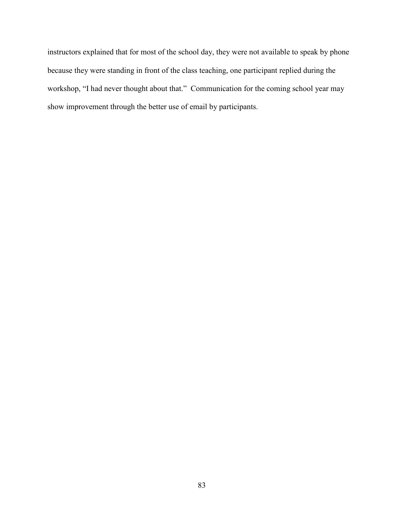instructors explained that for most of the school day, they were not available to speak by phone because they were standing in front of the class teaching, one participant replied during the workshop, "I had never thought about that." Communication for the coming school year may show improvement through the better use of email by participants.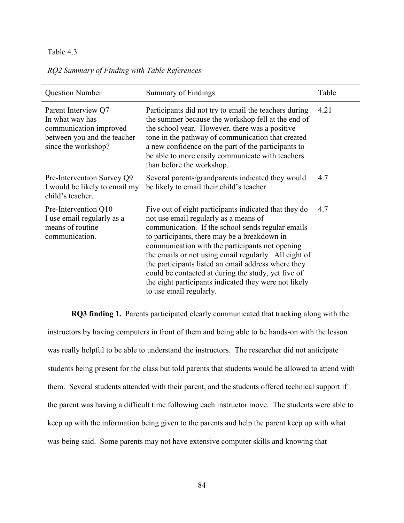|  |  |  | RQ2 Summary of Finding with Table References |
|--|--|--|----------------------------------------------|
|  |  |  |                                              |

| <b>Question Number</b>                                                                                                 | Summary of Findings                                                                                                                                                                                                                                                                                                                                                                                                                                                                                               | Table |
|------------------------------------------------------------------------------------------------------------------------|-------------------------------------------------------------------------------------------------------------------------------------------------------------------------------------------------------------------------------------------------------------------------------------------------------------------------------------------------------------------------------------------------------------------------------------------------------------------------------------------------------------------|-------|
| Parent Interview Q7<br>In what way has<br>communication improved<br>between you and the teacher<br>since the workshop? | Participants did not try to email the teachers during<br>the summer because the workshop fell at the end of<br>the school year. However, there was a positive<br>tone in the pathway of communication that created<br>a new confidence on the part of the participants to<br>be able to more easily communicate with teachers<br>than before the workshop.                                                                                                                                                        | 4.21  |
| Pre-Intervention Survey Q9<br>I would be likely to email my<br>child's teacher.                                        | Several parents/grandparents indicated they would<br>be likely to email their child's teacher.                                                                                                                                                                                                                                                                                                                                                                                                                    | 4.7   |
| Pre-Intervention Q10<br>I use email regularly as a<br>means of routine<br>communication.                               | Five out of eight participants indicated that they do<br>not use email regularly as a means of<br>communication. If the school sends regular emails<br>to participants, there may be a breakdown in<br>communication with the participants not opening<br>the emails or not using email regularly. All eight of<br>the participants listed an email address where they<br>could be contacted at during the study, yet five of<br>the eight participants indicated they were not likely<br>to use email regularly. | 4.7   |

**RQ3 finding 1.** Parents participated clearly communicated that tracking along with the instructors by having computers in front of them and being able to be hands-on with the lesson was really helpful to be able to understand the instructors. The researcher did not anticipate students being present for the class but told parents that students would be allowed to attend with them. Several students attended with their parent, and the students offered technical support if the parent was having a difficult time following each instructor move. The students were able to keep up with the information being given to the parents and help the parent keep up with what was being said. Some parents may not have extensive computer skills and knowing that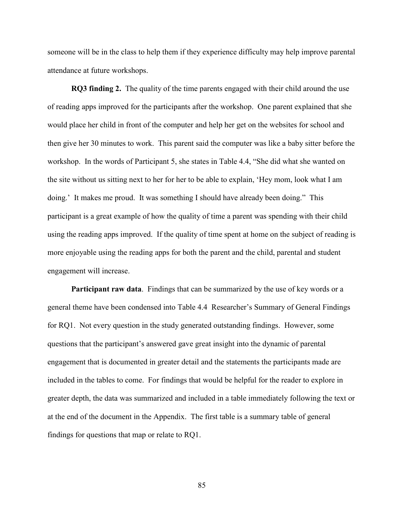someone will be in the class to help them if they experience difficulty may help improve parental attendance at future workshops.

**RQ3 finding 2.** The quality of the time parents engaged with their child around the use of reading apps improved for the participants after the workshop. One parent explained that she would place her child in front of the computer and help her get on the websites for school and then give her 30 minutes to work. This parent said the computer was like a baby sitter before the workshop. In the words of Participant 5, she states in Table 4.4, "She did what she wanted on the site without us sitting next to her for her to be able to explain, 'Hey mom, look what I am doing.' It makes me proud. It was something I should have already been doing." This participant is a great example of how the quality of time a parent was spending with their child using the reading apps improved. If the quality of time spent at home on the subject of reading is more enjoyable using the reading apps for both the parent and the child, parental and student engagement will increase.

**Participant raw data**. Findings that can be summarized by the use of key words or a general theme have been condensed into Table 4.4 Researcher's Summary of General Findings for RQ1. Not every question in the study generated outstanding findings. However, some questions that the participant's answered gave great insight into the dynamic of parental engagement that is documented in greater detail and the statements the participants made are included in the tables to come. For findings that would be helpful for the reader to explore in greater depth, the data was summarized and included in a table immediately following the text or at the end of the document in the Appendix. The first table is a summary table of general findings for questions that map or relate to RQ1.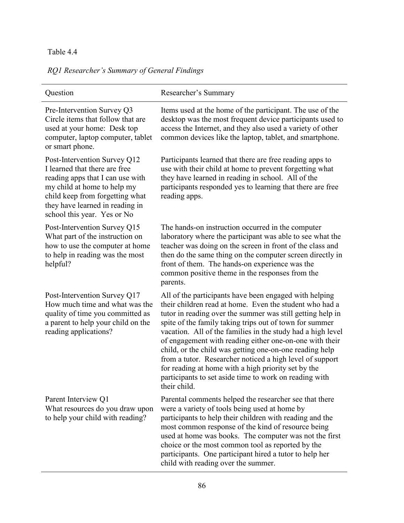*RQ1 Researcher's Summary of General Findings* 

| Question                                                                                                                                                                                                                              | Researcher's Summary                                                                                                                                                                                                                                                                                                                                                                                                                                                                                                                                                                                                         |
|---------------------------------------------------------------------------------------------------------------------------------------------------------------------------------------------------------------------------------------|------------------------------------------------------------------------------------------------------------------------------------------------------------------------------------------------------------------------------------------------------------------------------------------------------------------------------------------------------------------------------------------------------------------------------------------------------------------------------------------------------------------------------------------------------------------------------------------------------------------------------|
| Pre-Intervention Survey Q3<br>Circle items that follow that are<br>used at your home: Desk top<br>computer, laptop computer, tablet<br>or smart phone.                                                                                | Items used at the home of the participant. The use of the<br>desktop was the most frequent device participants used to<br>access the Internet, and they also used a variety of other<br>common devices like the laptop, tablet, and smartphone.                                                                                                                                                                                                                                                                                                                                                                              |
| Post-Intervention Survey Q12<br>I learned that there are free<br>reading apps that I can use with<br>my child at home to help my<br>child keep from forgetting what<br>they have learned in reading in<br>school this year. Yes or No | Participants learned that there are free reading apps to<br>use with their child at home to prevent forgetting what<br>they have learned in reading in school. All of the<br>participants responded yes to learning that there are free<br>reading apps.                                                                                                                                                                                                                                                                                                                                                                     |
| Post-Intervention Survey Q15<br>What part of the instruction on<br>how to use the computer at home<br>to help in reading was the most<br>helpful?                                                                                     | The hands-on instruction occurred in the computer<br>laboratory where the participant was able to see what the<br>teacher was doing on the screen in front of the class and<br>then do the same thing on the computer screen directly in<br>front of them. The hands-on experience was the<br>common positive theme in the responses from the<br>parents.                                                                                                                                                                                                                                                                    |
| Post-Intervention Survey Q17<br>How much time and what was the<br>quality of time you committed as<br>a parent to help your child on the<br>reading applications?                                                                     | All of the participants have been engaged with helping<br>their children read at home. Even the student who had a<br>tutor in reading over the summer was still getting help in<br>spite of the family taking trips out of town for summer<br>vacation. All of the families in the study had a high level<br>of engagement with reading either one-on-one with their<br>child, or the child was getting one-on-one reading help<br>from a tutor. Researcher noticed a high level of support<br>for reading at home with a high priority set by the<br>participants to set aside time to work on reading with<br>their child. |
| Parent Interview Q1<br>What resources do you draw upon<br>to help your child with reading?                                                                                                                                            | Parental comments helped the researcher see that there<br>were a variety of tools being used at home by<br>participants to help their children with reading and the<br>most common response of the kind of resource being<br>used at home was books. The computer was not the first<br>choice or the most common tool as reported by the<br>participants. One participant hired a tutor to help her<br>child with reading over the summer.                                                                                                                                                                                   |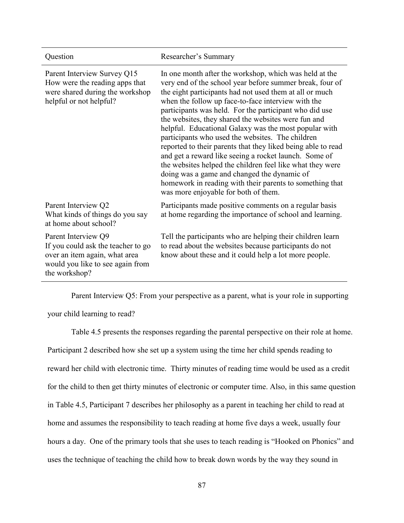| Question                                                                                                                                        | Researcher's Summary                                                                                                                                                                                                                                                                                                                                                                                                                                                                                                                                                                                                                                                                                                                                                                                       |
|-------------------------------------------------------------------------------------------------------------------------------------------------|------------------------------------------------------------------------------------------------------------------------------------------------------------------------------------------------------------------------------------------------------------------------------------------------------------------------------------------------------------------------------------------------------------------------------------------------------------------------------------------------------------------------------------------------------------------------------------------------------------------------------------------------------------------------------------------------------------------------------------------------------------------------------------------------------------|
| Parent Interview Survey Q15<br>How were the reading apps that<br>were shared during the workshop<br>helpful or not helpful?                     | In one month after the workshop, which was held at the<br>very end of the school year before summer break, four of<br>the eight participants had not used them at all or much<br>when the follow up face-to-face interview with the<br>participants was held. For the participant who did use<br>the websites, they shared the websites were fun and<br>helpful. Educational Galaxy was the most popular with<br>participants who used the websites. The children<br>reported to their parents that they liked being able to read<br>and get a reward like seeing a rocket launch. Some of<br>the websites helped the children feel like what they were<br>doing was a game and changed the dynamic of<br>homework in reading with their parents to something that<br>was more enjoyable for both of them. |
| Parent Interview Q2<br>What kinds of things do you say<br>at home about school?                                                                 | Participants made positive comments on a regular basis<br>at home regarding the importance of school and learning.                                                                                                                                                                                                                                                                                                                                                                                                                                                                                                                                                                                                                                                                                         |
| Parent Interview Q9<br>If you could ask the teacher to go<br>over an item again, what area<br>would you like to see again from<br>the workshop? | Tell the participants who are helping their children learn<br>to read about the websites because participants do not<br>know about these and it could help a lot more people.                                                                                                                                                                                                                                                                                                                                                                                                                                                                                                                                                                                                                              |

Parent Interview Q5: From your perspective as a parent, what is your role in supporting

your child learning to read?

Table 4.5 presents the responses regarding the parental perspective on their role at home. Participant 2 described how she set up a system using the time her child spends reading to reward her child with electronic time. Thirty minutes of reading time would be used as a credit for the child to then get thirty minutes of electronic or computer time. Also, in this same question in Table 4.5, Participant 7 describes her philosophy as a parent in teaching her child to read at home and assumes the responsibility to teach reading at home five days a week, usually four hours a day. One of the primary tools that she uses to teach reading is "Hooked on Phonics" and uses the technique of teaching the child how to break down words by the way they sound in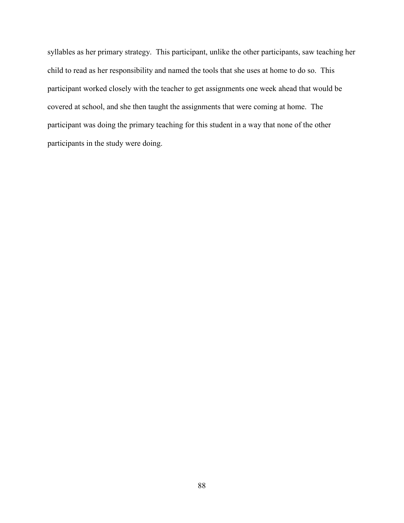syllables as her primary strategy. This participant, unlike the other participants, saw teaching her child to read as her responsibility and named the tools that she uses at home to do so. This participant worked closely with the teacher to get assignments one week ahead that would be covered at school, and she then taught the assignments that were coming at home. The participant was doing the primary teaching for this student in a way that none of the other participants in the study were doing.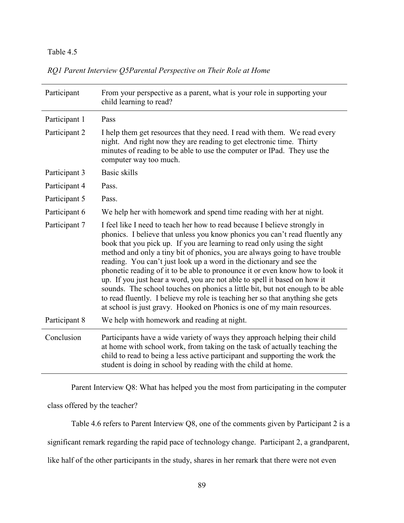|  |  | RQ1 Parent Interview Q5Parental Perspective on Their Role at Home |  |
|--|--|-------------------------------------------------------------------|--|
|  |  |                                                                   |  |

| Participant   | From your perspective as a parent, what is your role in supporting your<br>child learning to read?                                                                                                                                                                                                                                                                                                                                                                                                                                                                                                                                                                                                                                                                                                    |
|---------------|-------------------------------------------------------------------------------------------------------------------------------------------------------------------------------------------------------------------------------------------------------------------------------------------------------------------------------------------------------------------------------------------------------------------------------------------------------------------------------------------------------------------------------------------------------------------------------------------------------------------------------------------------------------------------------------------------------------------------------------------------------------------------------------------------------|
| Participant 1 | Pass                                                                                                                                                                                                                                                                                                                                                                                                                                                                                                                                                                                                                                                                                                                                                                                                  |
| Participant 2 | I help them get resources that they need. I read with them. We read every<br>night. And right now they are reading to get electronic time. Thirty<br>minutes of reading to be able to use the computer or IPad. They use the<br>computer way too much.                                                                                                                                                                                                                                                                                                                                                                                                                                                                                                                                                |
| Participant 3 | Basic skills                                                                                                                                                                                                                                                                                                                                                                                                                                                                                                                                                                                                                                                                                                                                                                                          |
| Participant 4 | Pass.                                                                                                                                                                                                                                                                                                                                                                                                                                                                                                                                                                                                                                                                                                                                                                                                 |
| Participant 5 | Pass.                                                                                                                                                                                                                                                                                                                                                                                                                                                                                                                                                                                                                                                                                                                                                                                                 |
| Participant 6 | We help her with homework and spend time reading with her at night.                                                                                                                                                                                                                                                                                                                                                                                                                                                                                                                                                                                                                                                                                                                                   |
| Participant 7 | I feel like I need to teach her how to read because I believe strongly in<br>phonics. I believe that unless you know phonics you can't read fluently any<br>book that you pick up. If you are learning to read only using the sight<br>method and only a tiny bit of phonics, you are always going to have trouble<br>reading. You can't just look up a word in the dictionary and see the<br>phonetic reading of it to be able to pronounce it or even know how to look it<br>up. If you just hear a word, you are not able to spell it based on how it<br>sounds. The school touches on phonics a little bit, but not enough to be able<br>to read fluently. I believe my role is teaching her so that anything she gets<br>at school is just gravy. Hooked on Phonics is one of my main resources. |
| Participant 8 | We help with homework and reading at night.                                                                                                                                                                                                                                                                                                                                                                                                                                                                                                                                                                                                                                                                                                                                                           |
| Conclusion    | Participants have a wide variety of ways they approach helping their child<br>at home with school work, from taking on the task of actually teaching the<br>child to read to being a less active participant and supporting the work the<br>student is doing in school by reading with the child at home.                                                                                                                                                                                                                                                                                                                                                                                                                                                                                             |

Parent Interview Q8: What has helped you the most from participating in the computer

class offered by the teacher?

Table 4.6 refers to Parent Interview Q8, one of the comments given by Participant 2 is a

significant remark regarding the rapid pace of technology change. Participant 2, a grandparent,

like half of the other participants in the study, shares in her remark that there were not even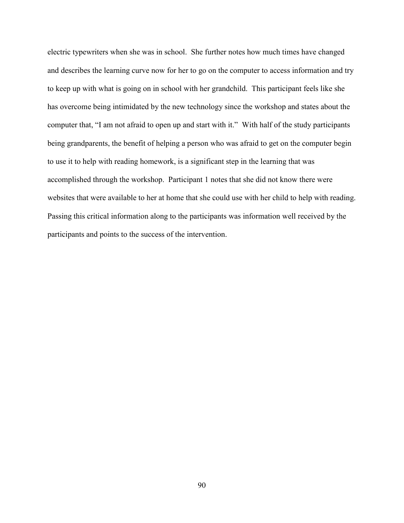electric typewriters when she was in school. She further notes how much times have changed and describes the learning curve now for her to go on the computer to access information and try to keep up with what is going on in school with her grandchild. This participant feels like she has overcome being intimidated by the new technology since the workshop and states about the computer that, "I am not afraid to open up and start with it." With half of the study participants being grandparents, the benefit of helping a person who was afraid to get on the computer begin to use it to help with reading homework, is a significant step in the learning that was accomplished through the workshop. Participant 1 notes that she did not know there were websites that were available to her at home that she could use with her child to help with reading. Passing this critical information along to the participants was information well received by the participants and points to the success of the intervention.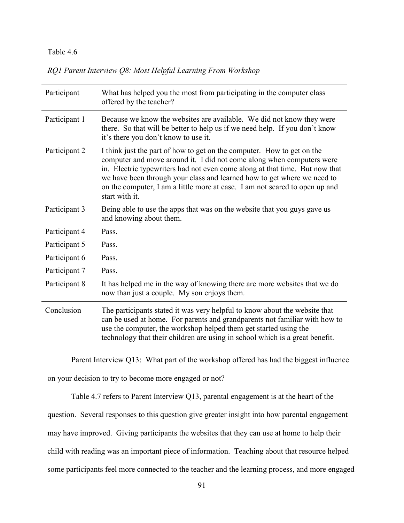|  |  |  |  | RQ1 Parent Interview Q8: Most Helpful Learning From Workshop |
|--|--|--|--|--------------------------------------------------------------|
|  |  |  |  |                                                              |

| Participant   | What has helped you the most from participating in the computer class<br>offered by the teacher?                                                                                                                                                                                                                                                                                                           |
|---------------|------------------------------------------------------------------------------------------------------------------------------------------------------------------------------------------------------------------------------------------------------------------------------------------------------------------------------------------------------------------------------------------------------------|
| Participant 1 | Because we know the websites are available. We did not know they were<br>there. So that will be better to help us if we need help. If you don't know<br>it's there you don't know to use it.                                                                                                                                                                                                               |
| Participant 2 | I think just the part of how to get on the computer. How to get on the<br>computer and move around it. I did not come along when computers were<br>in. Electric typewriters had not even come along at that time. But now that<br>we have been through your class and learned how to get where we need to<br>on the computer, I am a little more at ease. I am not scared to open up and<br>start with it. |
| Participant 3 | Being able to use the apps that was on the website that you guys gave us<br>and knowing about them.                                                                                                                                                                                                                                                                                                        |
| Participant 4 | Pass.                                                                                                                                                                                                                                                                                                                                                                                                      |
| Participant 5 | Pass.                                                                                                                                                                                                                                                                                                                                                                                                      |
| Participant 6 | Pass.                                                                                                                                                                                                                                                                                                                                                                                                      |
| Participant 7 | Pass.                                                                                                                                                                                                                                                                                                                                                                                                      |
| Participant 8 | It has helped me in the way of knowing there are more websites that we do<br>now than just a couple. My son enjoys them.                                                                                                                                                                                                                                                                                   |
| Conclusion    | The participants stated it was very helpful to know about the website that<br>can be used at home. For parents and grandparents not familiar with how to<br>use the computer, the workshop helped them get started using the<br>technology that their children are using in school which is a great benefit.                                                                                               |

Parent Interview Q13: What part of the workshop offered has had the biggest influence

on your decision to try to become more engaged or not?

Table 4.7 refers to Parent Interview Q13, parental engagement is at the heart of the

question. Several responses to this question give greater insight into how parental engagement

may have improved. Giving participants the websites that they can use at home to help their

child with reading was an important piece of information. Teaching about that resource helped

some participants feel more connected to the teacher and the learning process, and more engaged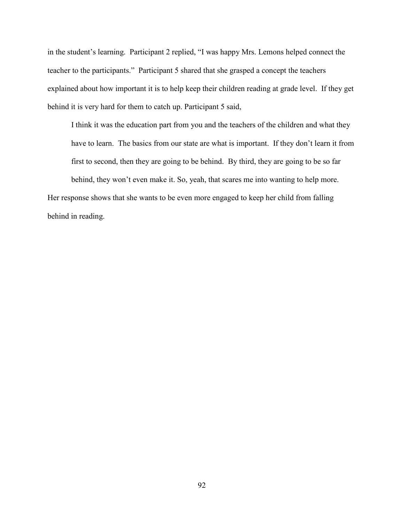in the student's learning. Participant 2 replied, "I was happy Mrs. Lemons helped connect the teacher to the participants." Participant 5 shared that she grasped a concept the teachers explained about how important it is to help keep their children reading at grade level. If they get behind it is very hard for them to catch up. Participant 5 said,

I think it was the education part from you and the teachers of the children and what they have to learn. The basics from our state are what is important. If they don't learn it from first to second, then they are going to be behind. By third, they are going to be so far behind, they won't even make it. So, yeah, that scares me into wanting to help more.

Her response shows that she wants to be even more engaged to keep her child from falling behind in reading.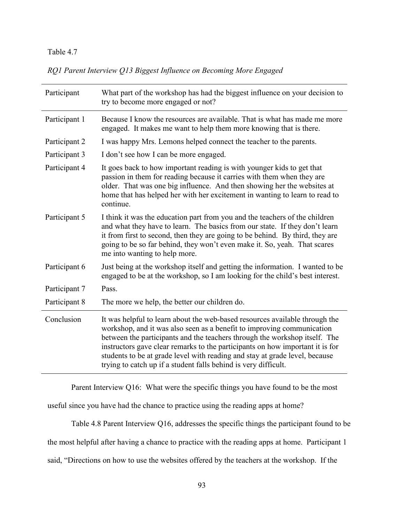*RQ1 Parent Interview Q13 Biggest Influence on Becoming More Engaged* 

| Participant   | What part of the workshop has had the biggest influence on your decision to<br>try to become more engaged or not?                                                                                                                                                                                                                                                                                                                                                      |
|---------------|------------------------------------------------------------------------------------------------------------------------------------------------------------------------------------------------------------------------------------------------------------------------------------------------------------------------------------------------------------------------------------------------------------------------------------------------------------------------|
| Participant 1 | Because I know the resources are available. That is what has made me more<br>engaged. It makes me want to help them more knowing that is there.                                                                                                                                                                                                                                                                                                                        |
| Participant 2 | I was happy Mrs. Lemons helped connect the teacher to the parents.                                                                                                                                                                                                                                                                                                                                                                                                     |
| Participant 3 | I don't see how I can be more engaged.                                                                                                                                                                                                                                                                                                                                                                                                                                 |
| Participant 4 | It goes back to how important reading is with younger kids to get that<br>passion in them for reading because it carries with them when they are<br>older. That was one big influence. And then showing her the websites at<br>home that has helped her with her excitement in wanting to learn to read to<br>continue.                                                                                                                                                |
| Participant 5 | I think it was the education part from you and the teachers of the children<br>and what they have to learn. The basics from our state. If they don't learn<br>it from first to second, then they are going to be behind. By third, they are<br>going to be so far behind, they won't even make it. So, yeah. That scares<br>me into wanting to help more.                                                                                                              |
| Participant 6 | Just being at the workshop itself and getting the information. I wanted to be<br>engaged to be at the workshop, so I am looking for the child's best interest.                                                                                                                                                                                                                                                                                                         |
| Participant 7 | Pass.                                                                                                                                                                                                                                                                                                                                                                                                                                                                  |
| Participant 8 | The more we help, the better our children do.                                                                                                                                                                                                                                                                                                                                                                                                                          |
| Conclusion    | It was helpful to learn about the web-based resources available through the<br>workshop, and it was also seen as a benefit to improving communication<br>between the participants and the teachers through the workshop itself. The<br>instructors gave clear remarks to the participants on how important it is for<br>students to be at grade level with reading and stay at grade level, because<br>trying to catch up if a student falls behind is very difficult. |

Parent Interview Q16: What were the specific things you have found to be the most

useful since you have had the chance to practice using the reading apps at home?

Table 4.8 Parent Interview Q16, addresses the specific things the participant found to be

the most helpful after having a chance to practice with the reading apps at home. Participant 1

said, "Directions on how to use the websites offered by the teachers at the workshop. If the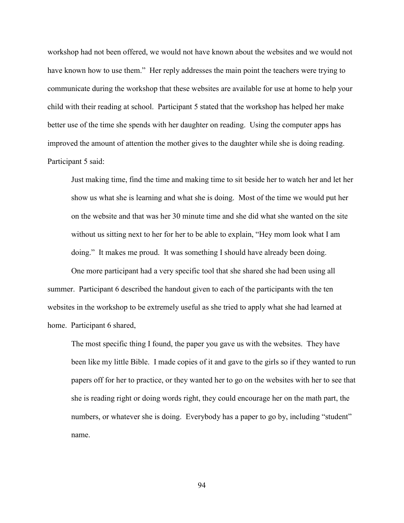workshop had not been offered, we would not have known about the websites and we would not have known how to use them." Her reply addresses the main point the teachers were trying to communicate during the workshop that these websites are available for use at home to help your child with their reading at school. Participant 5 stated that the workshop has helped her make better use of the time she spends with her daughter on reading. Using the computer apps has improved the amount of attention the mother gives to the daughter while she is doing reading. Participant 5 said:

Just making time, find the time and making time to sit beside her to watch her and let her show us what she is learning and what she is doing. Most of the time we would put her on the website and that was her 30 minute time and she did what she wanted on the site without us sitting next to her for her to be able to explain, "Hey mom look what I am doing." It makes me proud. It was something I should have already been doing.

One more participant had a very specific tool that she shared she had been using all summer. Participant 6 described the handout given to each of the participants with the ten websites in the workshop to be extremely useful as she tried to apply what she had learned at home. Participant 6 shared,

The most specific thing I found, the paper you gave us with the websites. They have been like my little Bible. I made copies of it and gave to the girls so if they wanted to run papers off for her to practice, or they wanted her to go on the websites with her to see that she is reading right or doing words right, they could encourage her on the math part, the numbers, or whatever she is doing. Everybody has a paper to go by, including "student" name.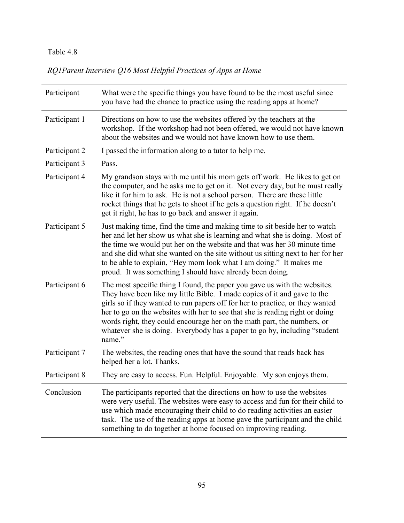# *RQ1Parent Interview Q16 Most Helpful Practices of Apps at Home*

| Participant   | What were the specific things you have found to be the most useful since<br>you have had the chance to practice using the reading apps at home?                                                                                                                                                                                                                                                                                                                                          |
|---------------|------------------------------------------------------------------------------------------------------------------------------------------------------------------------------------------------------------------------------------------------------------------------------------------------------------------------------------------------------------------------------------------------------------------------------------------------------------------------------------------|
| Participant 1 | Directions on how to use the websites offered by the teachers at the<br>workshop. If the workshop had not been offered, we would not have known<br>about the websites and we would not have known how to use them.                                                                                                                                                                                                                                                                       |
| Participant 2 | I passed the information along to a tutor to help me.                                                                                                                                                                                                                                                                                                                                                                                                                                    |
| Participant 3 | Pass.                                                                                                                                                                                                                                                                                                                                                                                                                                                                                    |
| Participant 4 | My grandson stays with me until his mom gets off work. He likes to get on<br>the computer, and he asks me to get on it. Not every day, but he must really<br>like it for him to ask. He is not a school person. There are these little<br>rocket things that he gets to shoot if he gets a question right. If he doesn't<br>get it right, he has to go back and answer it again.                                                                                                         |
| Participant 5 | Just making time, find the time and making time to sit beside her to watch<br>her and let her show us what she is learning and what she is doing. Most of<br>the time we would put her on the website and that was her 30 minute time<br>and she did what she wanted on the site without us sitting next to her for her<br>to be able to explain, "Hey mom look what I am doing." It makes me<br>proud. It was something I should have already been doing.                               |
| Participant 6 | The most specific thing I found, the paper you gave us with the websites.<br>They have been like my little Bible. I made copies of it and gave to the<br>girls so if they wanted to run papers off for her to practice, or they wanted<br>her to go on the websites with her to see that she is reading right or doing<br>words right, they could encourage her on the math part, the numbers, or<br>whatever she is doing. Everybody has a paper to go by, including "student<br>name." |
| Participant 7 | The websites, the reading ones that have the sound that reads back has<br>helped her a lot. Thanks.                                                                                                                                                                                                                                                                                                                                                                                      |
| Participant 8 | They are easy to access. Fun. Helpful. Enjoyable. My son enjoys them.                                                                                                                                                                                                                                                                                                                                                                                                                    |
| Conclusion    | The participants reported that the directions on how to use the websites<br>were very useful. The websites were easy to access and fun for their child to<br>use which made encouraging their child to do reading activities an easier<br>task. The use of the reading apps at home gave the participant and the child<br>something to do together at home focused on improving reading.                                                                                                 |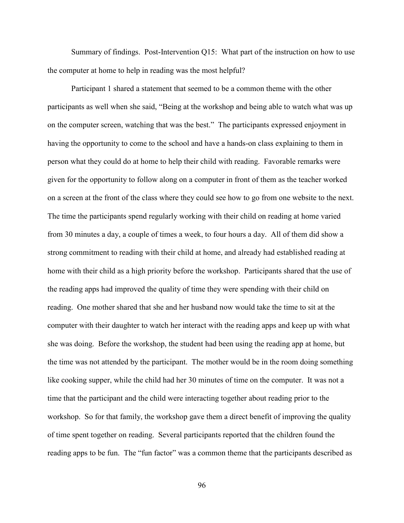Summary of findings. Post-Intervention Q15: What part of the instruction on how to use the computer at home to help in reading was the most helpful?

Participant 1 shared a statement that seemed to be a common theme with the other participants as well when she said, "Being at the workshop and being able to watch what was up on the computer screen, watching that was the best." The participants expressed enjoyment in having the opportunity to come to the school and have a hands-on class explaining to them in person what they could do at home to help their child with reading. Favorable remarks were given for the opportunity to follow along on a computer in front of them as the teacher worked on a screen at the front of the class where they could see how to go from one website to the next. The time the participants spend regularly working with their child on reading at home varied from 30 minutes a day, a couple of times a week, to four hours a day. All of them did show a strong commitment to reading with their child at home, and already had established reading at home with their child as a high priority before the workshop. Participants shared that the use of the reading apps had improved the quality of time they were spending with their child on reading. One mother shared that she and her husband now would take the time to sit at the computer with their daughter to watch her interact with the reading apps and keep up with what she was doing. Before the workshop, the student had been using the reading app at home, but the time was not attended by the participant. The mother would be in the room doing something like cooking supper, while the child had her 30 minutes of time on the computer. It was not a time that the participant and the child were interacting together about reading prior to the workshop. So for that family, the workshop gave them a direct benefit of improving the quality of time spent together on reading. Several participants reported that the children found the reading apps to be fun. The "fun factor" was a common theme that the participants described as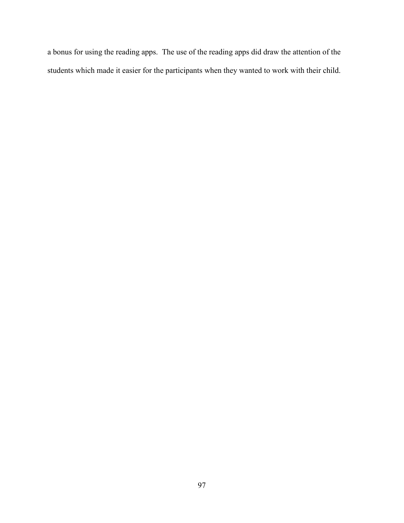a bonus for using the reading apps. The use of the reading apps did draw the attention of the students which made it easier for the participants when they wanted to work with their child.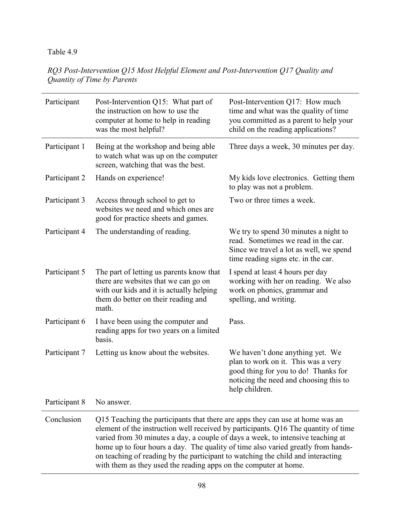*RQ3 Post-Intervention Q15 Most Helpful Element and Post-Intervention Q17 Quality and Quantity of Time by Parents* 

| Participant   | Post-Intervention Q15: What part of<br>the instruction on how to use the<br>computer at home to help in reading<br>was the most helpful?                                                                                                                                                                                                                                                                                                                                                          | Post-Intervention Q17: How much<br>time and what was the quality of time<br>you committed as a parent to help your<br>child on the reading applications?                    |
|---------------|---------------------------------------------------------------------------------------------------------------------------------------------------------------------------------------------------------------------------------------------------------------------------------------------------------------------------------------------------------------------------------------------------------------------------------------------------------------------------------------------------|-----------------------------------------------------------------------------------------------------------------------------------------------------------------------------|
| Participant 1 | Being at the workshop and being able<br>to watch what was up on the computer<br>screen, watching that was the best.                                                                                                                                                                                                                                                                                                                                                                               | Three days a week, 30 minutes per day.                                                                                                                                      |
| Participant 2 | Hands on experience!                                                                                                                                                                                                                                                                                                                                                                                                                                                                              | My kids love electronics. Getting them<br>to play was not a problem.                                                                                                        |
| Participant 3 | Access through school to get to<br>websites we need and which ones are<br>good for practice sheets and games.                                                                                                                                                                                                                                                                                                                                                                                     | Two or three times a week.                                                                                                                                                  |
| Participant 4 | The understanding of reading.                                                                                                                                                                                                                                                                                                                                                                                                                                                                     | We try to spend 30 minutes a night to<br>read. Sometimes we read in the car.<br>Since we travel a lot as well, we spend<br>time reading signs etc. in the car.              |
| Participant 5 | The part of letting us parents know that<br>there are websites that we can go on<br>with our kids and it is actually helping<br>them do better on their reading and<br>math.                                                                                                                                                                                                                                                                                                                      | I spend at least 4 hours per day<br>working with her on reading. We also<br>work on phonics, grammar and<br>spelling, and writing.                                          |
| Participant 6 | I have been using the computer and<br>reading apps for two years on a limited<br>basis.                                                                                                                                                                                                                                                                                                                                                                                                           | Pass.                                                                                                                                                                       |
| Participant 7 | Letting us know about the websites.                                                                                                                                                                                                                                                                                                                                                                                                                                                               | We haven't done anything yet. We<br>plan to work on it. This was a very<br>good thing for you to do! Thanks for<br>noticing the need and choosing this to<br>help children. |
| Participant 8 | No answer.                                                                                                                                                                                                                                                                                                                                                                                                                                                                                        |                                                                                                                                                                             |
| Conclusion    | Q15 Teaching the participants that there are apps they can use at home was an<br>element of the instruction well received by participants. Q16 The quantity of time<br>varied from 30 minutes a day, a couple of days a week, to intensive teaching at<br>home up to four hours a day. The quality of time also varied greatly from hands-<br>on teaching of reading by the participant to watching the child and interacting<br>with them as they used the reading apps on the computer at home. |                                                                                                                                                                             |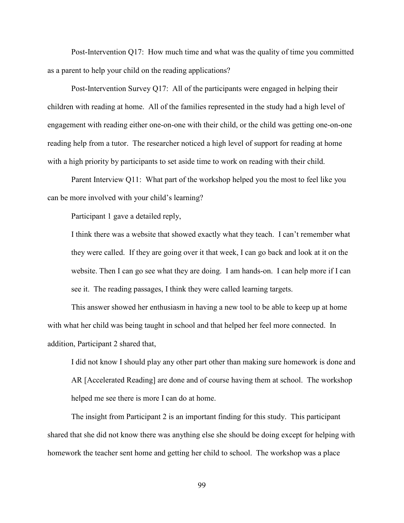Post-Intervention Q17: How much time and what was the quality of time you committed as a parent to help your child on the reading applications?

Post-Intervention Survey Q17: All of the participants were engaged in helping their children with reading at home. All of the families represented in the study had a high level of engagement with reading either one-on-one with their child, or the child was getting one-on-one reading help from a tutor. The researcher noticed a high level of support for reading at home with a high priority by participants to set aside time to work on reading with their child.

Parent Interview Q11: What part of the workshop helped you the most to feel like you can be more involved with your child's learning?

Participant 1 gave a detailed reply,

I think there was a website that showed exactly what they teach. I can't remember what they were called. If they are going over it that week, I can go back and look at it on the website. Then I can go see what they are doing. I am hands-on. I can help more if I can see it. The reading passages, I think they were called learning targets.

This answer showed her enthusiasm in having a new tool to be able to keep up at home with what her child was being taught in school and that helped her feel more connected. In addition, Participant 2 shared that,

I did not know I should play any other part other than making sure homework is done and AR [Accelerated Reading] are done and of course having them at school. The workshop helped me see there is more I can do at home.

The insight from Participant 2 is an important finding for this study. This participant shared that she did not know there was anything else she should be doing except for helping with homework the teacher sent home and getting her child to school. The workshop was a place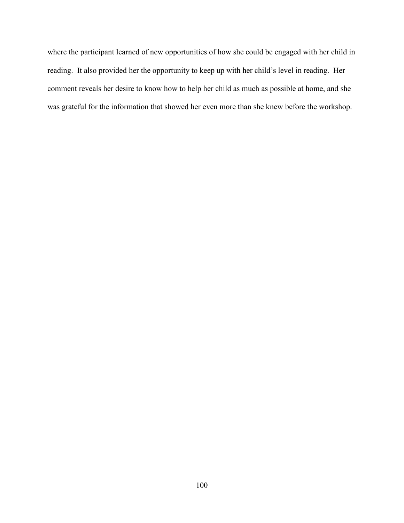where the participant learned of new opportunities of how she could be engaged with her child in reading. It also provided her the opportunity to keep up with her child's level in reading. Her comment reveals her desire to know how to help her child as much as possible at home, and she was grateful for the information that showed her even more than she knew before the workshop.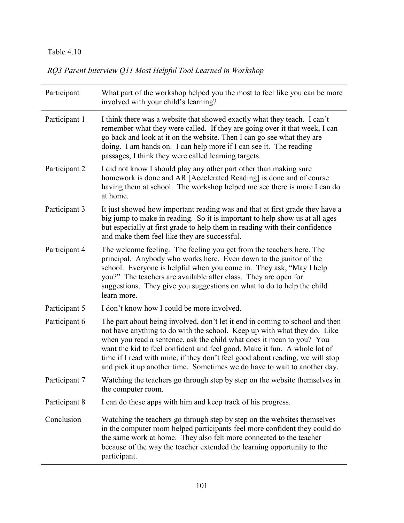*RQ3 Parent Interview Q11 Most Helpful Tool Learned in Workshop* 

| Participant   | What part of the workshop helped you the most to feel like you can be more<br>involved with your child's learning?                                                                                                                                                                                                                                                                                                                                                           |
|---------------|------------------------------------------------------------------------------------------------------------------------------------------------------------------------------------------------------------------------------------------------------------------------------------------------------------------------------------------------------------------------------------------------------------------------------------------------------------------------------|
| Participant 1 | I think there was a website that showed exactly what they teach. I can't<br>remember what they were called. If they are going over it that week, I can<br>go back and look at it on the website. Then I can go see what they are<br>doing. I am hands on. I can help more if I can see it. The reading<br>passages, I think they were called learning targets.                                                                                                               |
| Participant 2 | I did not know I should play any other part other than making sure<br>homework is done and AR [Accelerated Reading] is done and of course<br>having them at school. The workshop helped me see there is more I can do<br>at home.                                                                                                                                                                                                                                            |
| Participant 3 | It just showed how important reading was and that at first grade they have a<br>big jump to make in reading. So it is important to help show us at all ages<br>but especially at first grade to help them in reading with their confidence<br>and make them feel like they are successful.                                                                                                                                                                                   |
| Participant 4 | The welcome feeling. The feeling you get from the teachers here. The<br>principal. Anybody who works here. Even down to the janitor of the<br>school. Everyone is helpful when you come in. They ask, "May I help<br>you?" The teachers are available after class. They are open for<br>suggestions. They give you suggestions on what to do to help the child<br>learn more.                                                                                                |
| Participant 5 | I don't know how I could be more involved.                                                                                                                                                                                                                                                                                                                                                                                                                                   |
| Participant 6 | The part about being involved, don't let it end in coming to school and then<br>not have anything to do with the school. Keep up with what they do. Like<br>when you read a sentence, ask the child what does it mean to you? You<br>want the kid to feel confident and feel good. Make it fun. A whole lot of<br>time if I read with mine, if they don't feel good about reading, we will stop<br>and pick it up another time. Sometimes we do have to wait to another day. |
| Participant 7 | Watching the teachers go through step by step on the website themselves in<br>the computer room.                                                                                                                                                                                                                                                                                                                                                                             |
| Participant 8 | I can do these apps with him and keep track of his progress.                                                                                                                                                                                                                                                                                                                                                                                                                 |
| Conclusion    | Watching the teachers go through step by step on the websites themselves<br>in the computer room helped participants feel more confident they could do<br>the same work at home. They also felt more connected to the teacher<br>because of the way the teacher extended the learning opportunity to the<br>participant.                                                                                                                                                     |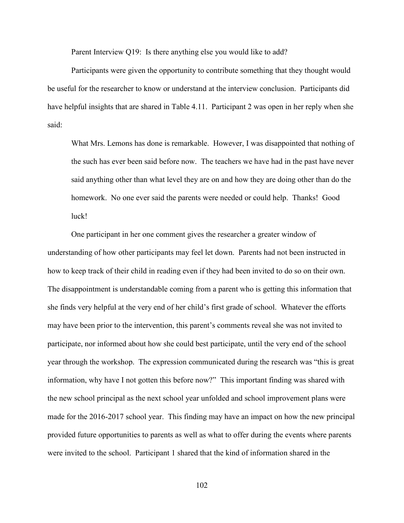Parent Interview Q19: Is there anything else you would like to add?

Participants were given the opportunity to contribute something that they thought would be useful for the researcher to know or understand at the interview conclusion. Participants did have helpful insights that are shared in Table 4.11. Participant 2 was open in her reply when she said:

What Mrs. Lemons has done is remarkable. However, I was disappointed that nothing of the such has ever been said before now. The teachers we have had in the past have never said anything other than what level they are on and how they are doing other than do the homework. No one ever said the parents were needed or could help. Thanks! Good luck!

One participant in her one comment gives the researcher a greater window of understanding of how other participants may feel let down. Parents had not been instructed in how to keep track of their child in reading even if they had been invited to do so on their own. The disappointment is understandable coming from a parent who is getting this information that she finds very helpful at the very end of her child's first grade of school. Whatever the efforts may have been prior to the intervention, this parent's comments reveal she was not invited to participate, nor informed about how she could best participate, until the very end of the school year through the workshop. The expression communicated during the research was "this is great information, why have I not gotten this before now?" This important finding was shared with the new school principal as the next school year unfolded and school improvement plans were made for the 2016-2017 school year. This finding may have an impact on how the new principal provided future opportunities to parents as well as what to offer during the events where parents were invited to the school. Participant 1 shared that the kind of information shared in the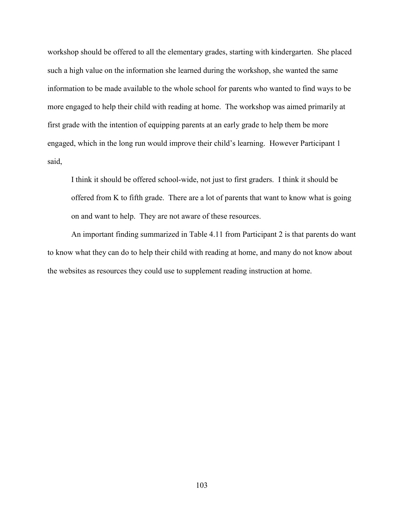workshop should be offered to all the elementary grades, starting with kindergarten. She placed such a high value on the information she learned during the workshop, she wanted the same information to be made available to the whole school for parents who wanted to find ways to be more engaged to help their child with reading at home. The workshop was aimed primarily at first grade with the intention of equipping parents at an early grade to help them be more engaged, which in the long run would improve their child's learning. However Participant 1 said,

I think it should be offered school-wide, not just to first graders. I think it should be offered from K to fifth grade. There are a lot of parents that want to know what is going on and want to help. They are not aware of these resources.

An important finding summarized in Table 4.11 from Participant 2 is that parents do want to know what they can do to help their child with reading at home, and many do not know about the websites as resources they could use to supplement reading instruction at home.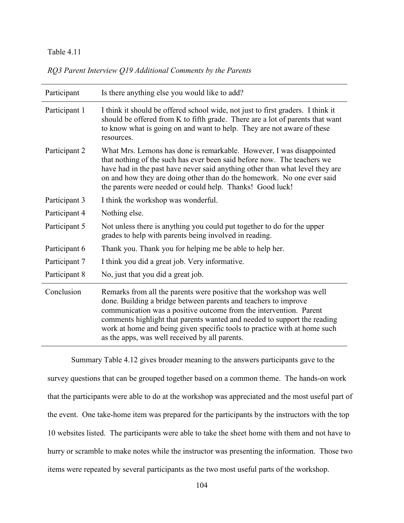| RQ3 Parent Interview Q19 Additional Comments by the Parents |  |  |  |
|-------------------------------------------------------------|--|--|--|
|                                                             |  |  |  |

| Participant   | Is there anything else you would like to add?                                                                                                                                                                                                                                                                                                                                                                             |
|---------------|---------------------------------------------------------------------------------------------------------------------------------------------------------------------------------------------------------------------------------------------------------------------------------------------------------------------------------------------------------------------------------------------------------------------------|
| Participant 1 | I think it should be offered school wide, not just to first graders. I think it<br>should be offered from K to fifth grade. There are a lot of parents that want<br>to know what is going on and want to help. They are not aware of these<br>resources.                                                                                                                                                                  |
| Participant 2 | What Mrs. Lemons has done is remarkable. However, I was disappointed<br>that nothing of the such has ever been said before now. The teachers we<br>have had in the past have never said anything other than what level they are<br>on and how they are doing other than do the homework. No one ever said<br>the parents were needed or could help. Thanks! Good luck!                                                    |
| Participant 3 | I think the workshop was wonderful.                                                                                                                                                                                                                                                                                                                                                                                       |
| Participant 4 | Nothing else.                                                                                                                                                                                                                                                                                                                                                                                                             |
| Participant 5 | Not unless there is anything you could put together to do for the upper<br>grades to help with parents being involved in reading.                                                                                                                                                                                                                                                                                         |
| Participant 6 | Thank you. Thank you for helping me be able to help her.                                                                                                                                                                                                                                                                                                                                                                  |
| Participant 7 | I think you did a great job. Very informative.                                                                                                                                                                                                                                                                                                                                                                            |
| Participant 8 | No, just that you did a great job.                                                                                                                                                                                                                                                                                                                                                                                        |
| Conclusion    | Remarks from all the parents were positive that the workshop was well<br>done. Building a bridge between parents and teachers to improve<br>communication was a positive outcome from the intervention. Parent<br>comments highlight that parents wanted and needed to support the reading<br>work at home and being given specific tools to practice with at home such<br>as the apps, was well received by all parents. |

 Summary Table 4.12 gives broader meaning to the answers participants gave to the survey questions that can be grouped together based on a common theme. The hands-on work that the participants were able to do at the workshop was appreciated and the most useful part of the event. One take-home item was prepared for the participants by the instructors with the top 10 websites listed. The participants were able to take the sheet home with them and not have to hurry or scramble to make notes while the instructor was presenting the information. Those two items were repeated by several participants as the two most useful parts of the workshop.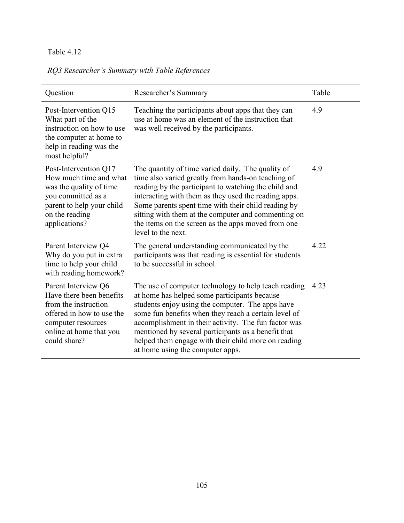# *RQ3 Researcher's Summary with Table References*

| Question                                                                                                                                                              | Researcher's Summary                                                                                                                                                                                                                                                                                                                                                                                                       | Table |
|-----------------------------------------------------------------------------------------------------------------------------------------------------------------------|----------------------------------------------------------------------------------------------------------------------------------------------------------------------------------------------------------------------------------------------------------------------------------------------------------------------------------------------------------------------------------------------------------------------------|-------|
| Post-Intervention Q15<br>What part of the<br>instruction on how to use<br>the computer at home to<br>help in reading was the<br>most helpful?                         | Teaching the participants about apps that they can<br>use at home was an element of the instruction that<br>was well received by the participants.                                                                                                                                                                                                                                                                         | 4.9   |
| Post-Intervention Q17<br>How much time and what<br>was the quality of time<br>you committed as a<br>parent to help your child<br>on the reading<br>applications?      | The quantity of time varied daily. The quality of<br>time also varied greatly from hands-on teaching of<br>reading by the participant to watching the child and<br>interacting with them as they used the reading apps.<br>Some parents spent time with their child reading by<br>sitting with them at the computer and commenting on<br>the items on the screen as the apps moved from one<br>level to the next.          | 4.9   |
| Parent Interview Q4<br>Why do you put in extra<br>time to help your child<br>with reading homework?                                                                   | The general understanding communicated by the<br>participants was that reading is essential for students<br>to be successful in school.                                                                                                                                                                                                                                                                                    | 4.22  |
| Parent Interview Q6<br>Have there been benefits<br>from the instruction<br>offered in how to use the<br>computer resources<br>online at home that you<br>could share? | The use of computer technology to help teach reading<br>at home has helped some participants because<br>students enjoy using the computer. The apps have<br>some fun benefits when they reach a certain level of<br>accomplishment in their activity. The fun factor was<br>mentioned by several participants as a benefit that<br>helped them engage with their child more on reading<br>at home using the computer apps. | 4.23  |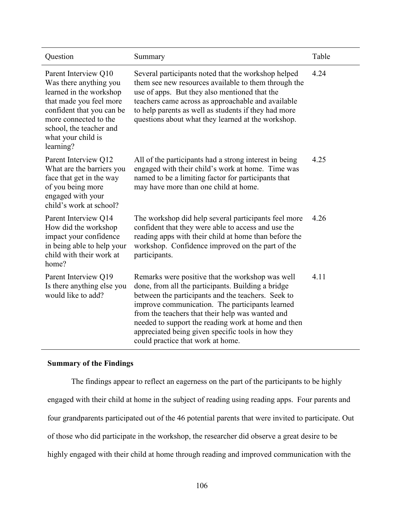| Question                                                                                                                                                                                                                 | Summary                                                                                                                                                                                                                                                                                                                                                                                                               | Table |
|--------------------------------------------------------------------------------------------------------------------------------------------------------------------------------------------------------------------------|-----------------------------------------------------------------------------------------------------------------------------------------------------------------------------------------------------------------------------------------------------------------------------------------------------------------------------------------------------------------------------------------------------------------------|-------|
| Parent Interview Q10<br>Was there anything you<br>learned in the workshop<br>that made you feel more<br>confident that you can be<br>more connected to the<br>school, the teacher and<br>what your child is<br>learning? | Several participants noted that the workshop helped<br>them see new resources available to them through the<br>use of apps. But they also mentioned that the<br>teachers came across as approachable and available<br>to help parents as well as students if they had more<br>questions about what they learned at the workshop.                                                                                      | 4.24  |
| Parent Interview Q12<br>What are the barriers you<br>face that get in the way<br>of you being more<br>engaged with your<br>child's work at school?                                                                       | All of the participants had a strong interest in being<br>engaged with their child's work at home. Time was<br>named to be a limiting factor for participants that<br>may have more than one child at home.                                                                                                                                                                                                           | 4.25  |
| Parent Interview Q14<br>How did the workshop<br>impact your confidence<br>in being able to help your<br>child with their work at<br>home?                                                                                | The workshop did help several participants feel more<br>confident that they were able to access and use the<br>reading apps with their child at home than before the<br>workshop. Confidence improved on the part of the<br>participants.                                                                                                                                                                             | 4.26  |
| Parent Interview Q19<br>Is there anything else you<br>would like to add?                                                                                                                                                 | Remarks were positive that the workshop was well<br>done, from all the participants. Building a bridge<br>between the participants and the teachers. Seek to<br>improve communication. The participants learned<br>from the teachers that their help was wanted and<br>needed to support the reading work at home and then<br>appreciated being given specific tools in how they<br>could practice that work at home. | 4.11  |

### **Summary of the Findings**

 The findings appear to reflect an eagerness on the part of the participants to be highly engaged with their child at home in the subject of reading using reading apps. Four parents and four grandparents participated out of the 46 potential parents that were invited to participate. Out of those who did participate in the workshop, the researcher did observe a great desire to be highly engaged with their child at home through reading and improved communication with the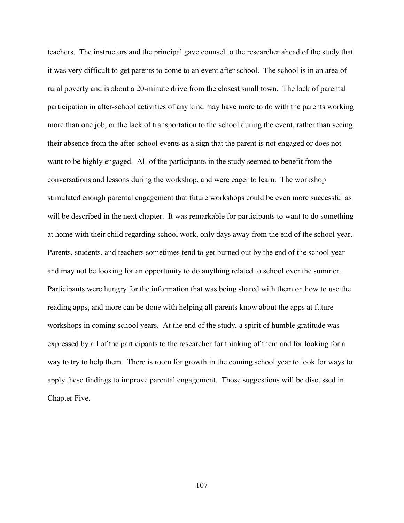teachers. The instructors and the principal gave counsel to the researcher ahead of the study that it was very difficult to get parents to come to an event after school. The school is in an area of rural poverty and is about a 20-minute drive from the closest small town. The lack of parental participation in after-school activities of any kind may have more to do with the parents working more than one job, or the lack of transportation to the school during the event, rather than seeing their absence from the after-school events as a sign that the parent is not engaged or does not want to be highly engaged. All of the participants in the study seemed to benefit from the conversations and lessons during the workshop, and were eager to learn. The workshop stimulated enough parental engagement that future workshops could be even more successful as will be described in the next chapter. It was remarkable for participants to want to do something at home with their child regarding school work, only days away from the end of the school year. Parents, students, and teachers sometimes tend to get burned out by the end of the school year and may not be looking for an opportunity to do anything related to school over the summer. Participants were hungry for the information that was being shared with them on how to use the reading apps, and more can be done with helping all parents know about the apps at future workshops in coming school years. At the end of the study, a spirit of humble gratitude was expressed by all of the participants to the researcher for thinking of them and for looking for a way to try to help them. There is room for growth in the coming school year to look for ways to apply these findings to improve parental engagement. Those suggestions will be discussed in Chapter Five.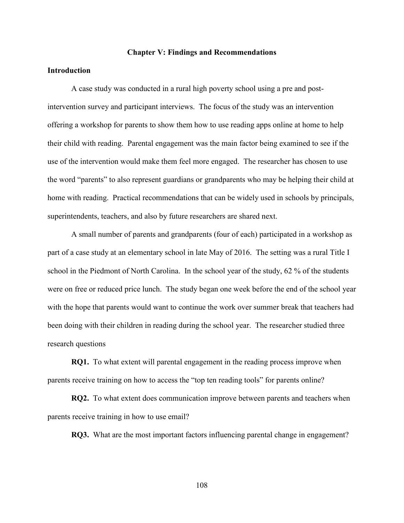#### **Chapter V: Findings and Recommendations**

## **Introduction**

A case study was conducted in a rural high poverty school using a pre and postintervention survey and participant interviews. The focus of the study was an intervention offering a workshop for parents to show them how to use reading apps online at home to help their child with reading. Parental engagement was the main factor being examined to see if the use of the intervention would make them feel more engaged. The researcher has chosen to use the word "parents" to also represent guardians or grandparents who may be helping their child at home with reading. Practical recommendations that can be widely used in schools by principals, superintendents, teachers, and also by future researchers are shared next.

A small number of parents and grandparents (four of each) participated in a workshop as part of a case study at an elementary school in late May of 2016. The setting was a rural Title I school in the Piedmont of North Carolina. In the school year of the study, 62 % of the students were on free or reduced price lunch. The study began one week before the end of the school year with the hope that parents would want to continue the work over summer break that teachers had been doing with their children in reading during the school year. The researcher studied three research questions

**RQ1.** To what extent will parental engagement in the reading process improve when parents receive training on how to access the "top ten reading tools" for parents online?

**RQ2.** To what extent does communication improve between parents and teachers when parents receive training in how to use email?

**RQ3.** What are the most important factors influencing parental change in engagement?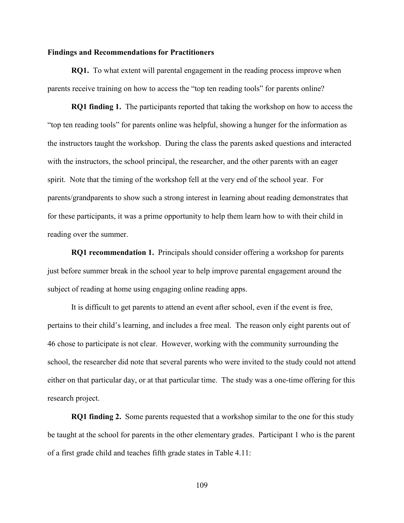#### **Findings and Recommendations for Practitioners**

**RQ1.** To what extent will parental engagement in the reading process improve when parents receive training on how to access the "top ten reading tools" for parents online?

**RQ1 finding 1.** The participants reported that taking the workshop on how to access the "top ten reading tools" for parents online was helpful, showing a hunger for the information as the instructors taught the workshop. During the class the parents asked questions and interacted with the instructors, the school principal, the researcher, and the other parents with an eager spirit. Note that the timing of the workshop fell at the very end of the school year. For parents/grandparents to show such a strong interest in learning about reading demonstrates that for these participants, it was a prime opportunity to help them learn how to with their child in reading over the summer.

**RQ1 recommendation 1.** Principals should consider offering a workshop for parents just before summer break in the school year to help improve parental engagement around the subject of reading at home using engaging online reading apps.

It is difficult to get parents to attend an event after school, even if the event is free, pertains to their child's learning, and includes a free meal. The reason only eight parents out of 46 chose to participate is not clear. However, working with the community surrounding the school, the researcher did note that several parents who were invited to the study could not attend either on that particular day, or at that particular time. The study was a one-time offering for this research project.

**RQ1 finding 2.** Some parents requested that a workshop similar to the one for this study be taught at the school for parents in the other elementary grades. Participant 1 who is the parent of a first grade child and teaches fifth grade states in Table 4.11: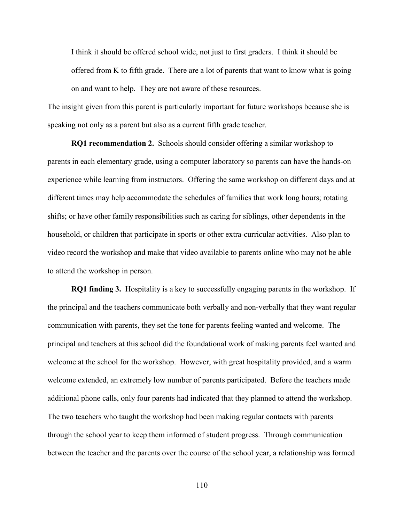I think it should be offered school wide, not just to first graders. I think it should be offered from K to fifth grade. There are a lot of parents that want to know what is going on and want to help. They are not aware of these resources.

The insight given from this parent is particularly important for future workshops because she is speaking not only as a parent but also as a current fifth grade teacher.

**RQ1 recommendation 2.** Schools should consider offering a similar workshop to parents in each elementary grade, using a computer laboratory so parents can have the hands-on experience while learning from instructors. Offering the same workshop on different days and at different times may help accommodate the schedules of families that work long hours; rotating shifts; or have other family responsibilities such as caring for siblings, other dependents in the household, or children that participate in sports or other extra-curricular activities. Also plan to video record the workshop and make that video available to parents online who may not be able to attend the workshop in person.

**RQ1 finding 3.** Hospitality is a key to successfully engaging parents in the workshop. If the principal and the teachers communicate both verbally and non-verbally that they want regular communication with parents, they set the tone for parents feeling wanted and welcome. The principal and teachers at this school did the foundational work of making parents feel wanted and welcome at the school for the workshop. However, with great hospitality provided, and a warm welcome extended, an extremely low number of parents participated. Before the teachers made additional phone calls, only four parents had indicated that they planned to attend the workshop. The two teachers who taught the workshop had been making regular contacts with parents through the school year to keep them informed of student progress. Through communication between the teacher and the parents over the course of the school year, a relationship was formed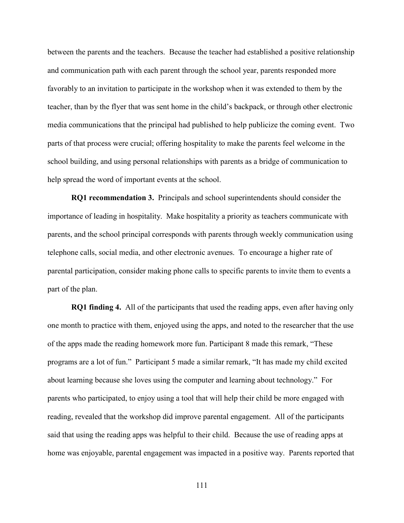between the parents and the teachers. Because the teacher had established a positive relationship and communication path with each parent through the school year, parents responded more favorably to an invitation to participate in the workshop when it was extended to them by the teacher, than by the flyer that was sent home in the child's backpack, or through other electronic media communications that the principal had published to help publicize the coming event. Two parts of that process were crucial; offering hospitality to make the parents feel welcome in the school building, and using personal relationships with parents as a bridge of communication to help spread the word of important events at the school.

**RQ1 recommendation 3.** Principals and school superintendents should consider the importance of leading in hospitality. Make hospitality a priority as teachers communicate with parents, and the school principal corresponds with parents through weekly communication using telephone calls, social media, and other electronic avenues. To encourage a higher rate of parental participation, consider making phone calls to specific parents to invite them to events a part of the plan.

**RQ1 finding 4.** All of the participants that used the reading apps, even after having only one month to practice with them, enjoyed using the apps, and noted to the researcher that the use of the apps made the reading homework more fun. Participant 8 made this remark, "These programs are a lot of fun." Participant 5 made a similar remark, "It has made my child excited about learning because she loves using the computer and learning about technology." For parents who participated, to enjoy using a tool that will help their child be more engaged with reading, revealed that the workshop did improve parental engagement. All of the participants said that using the reading apps was helpful to their child. Because the use of reading apps at home was enjoyable, parental engagement was impacted in a positive way. Parents reported that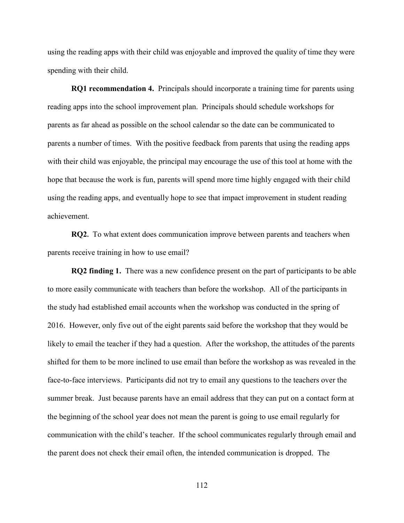using the reading apps with their child was enjoyable and improved the quality of time they were spending with their child.

**RQ1 recommendation 4.** Principals should incorporate a training time for parents using reading apps into the school improvement plan. Principals should schedule workshops for parents as far ahead as possible on the school calendar so the date can be communicated to parents a number of times. With the positive feedback from parents that using the reading apps with their child was enjoyable, the principal may encourage the use of this tool at home with the hope that because the work is fun, parents will spend more time highly engaged with their child using the reading apps, and eventually hope to see that impact improvement in student reading achievement.

**RQ2.** To what extent does communication improve between parents and teachers when parents receive training in how to use email?

**RQ2 finding 1.** There was a new confidence present on the part of participants to be able to more easily communicate with teachers than before the workshop. All of the participants in the study had established email accounts when the workshop was conducted in the spring of 2016. However, only five out of the eight parents said before the workshop that they would be likely to email the teacher if they had a question. After the workshop, the attitudes of the parents shifted for them to be more inclined to use email than before the workshop as was revealed in the face-to-face interviews. Participants did not try to email any questions to the teachers over the summer break. Just because parents have an email address that they can put on a contact form at the beginning of the school year does not mean the parent is going to use email regularly for communication with the child's teacher. If the school communicates regularly through email and the parent does not check their email often, the intended communication is dropped. The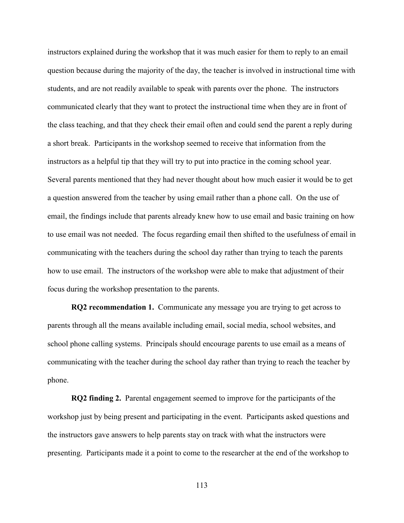instructors explained during the workshop that it was much easier for them to reply to an email question because during the majority of the day, the teacher is involved in instructional time with students, and are not readily available to speak with parents over the phone. The instructors communicated clearly that they want to protect the instructional time when they are in front of the class teaching, and that they check their email often and could send the parent a reply during a short break. Participants in the workshop seemed to receive that information from the instructors as a helpful tip that they will try to put into practice in the coming school year. Several parents mentioned that they had never thought about how much easier it would be to get a question answered from the teacher by using email rather than a phone call. On the use of email, the findings include that parents already knew how to use email and basic training on how to use email was not needed. The focus regarding email then shifted to the usefulness of email in communicating with the teachers during the school day rather than trying to teach the parents how to use email. The instructors of the workshop were able to make that adjustment of their focus during the workshop presentation to the parents.

**RQ2 recommendation 1.** Communicate any message you are trying to get across to parents through all the means available including email, social media, school websites, and school phone calling systems. Principals should encourage parents to use email as a means of communicating with the teacher during the school day rather than trying to reach the teacher by phone.

**RQ2 finding 2.** Parental engagement seemed to improve for the participants of the workshop just by being present and participating in the event. Participants asked questions and the instructors gave answers to help parents stay on track with what the instructors were presenting. Participants made it a point to come to the researcher at the end of the workshop to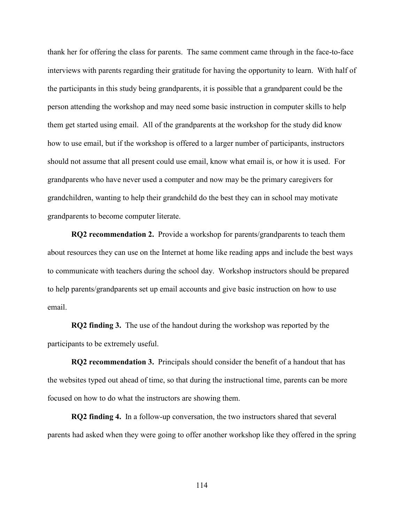thank her for offering the class for parents. The same comment came through in the face-to-face interviews with parents regarding their gratitude for having the opportunity to learn. With half of the participants in this study being grandparents, it is possible that a grandparent could be the person attending the workshop and may need some basic instruction in computer skills to help them get started using email. All of the grandparents at the workshop for the study did know how to use email, but if the workshop is offered to a larger number of participants, instructors should not assume that all present could use email, know what email is, or how it is used. For grandparents who have never used a computer and now may be the primary caregivers for grandchildren, wanting to help their grandchild do the best they can in school may motivate grandparents to become computer literate.

**RQ2 recommendation 2.** Provide a workshop for parents/grandparents to teach them about resources they can use on the Internet at home like reading apps and include the best ways to communicate with teachers during the school day. Workshop instructors should be prepared to help parents/grandparents set up email accounts and give basic instruction on how to use email.

**RQ2 finding 3.** The use of the handout during the workshop was reported by the participants to be extremely useful.

**RQ2 recommendation 3.** Principals should consider the benefit of a handout that has the websites typed out ahead of time, so that during the instructional time, parents can be more focused on how to do what the instructors are showing them.

**RQ2 finding 4.** In a follow-up conversation, the two instructors shared that several parents had asked when they were going to offer another workshop like they offered in the spring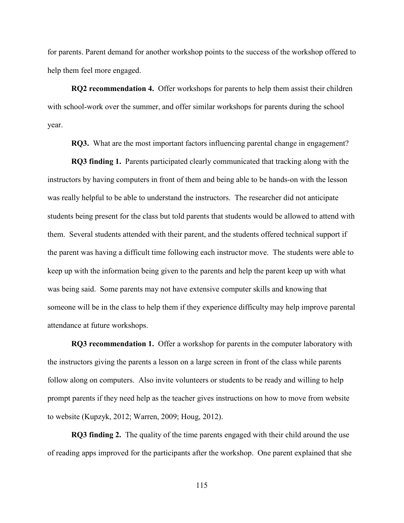for parents. Parent demand for another workshop points to the success of the workshop offered to help them feel more engaged.

**RQ2 recommendation 4.** Offer workshops for parents to help them assist their children with school-work over the summer, and offer similar workshops for parents during the school year.

**RQ3.** What are the most important factors influencing parental change in engagement?

**RQ3 finding 1.** Parents participated clearly communicated that tracking along with the instructors by having computers in front of them and being able to be hands-on with the lesson was really helpful to be able to understand the instructors. The researcher did not anticipate students being present for the class but told parents that students would be allowed to attend with them. Several students attended with their parent, and the students offered technical support if the parent was having a difficult time following each instructor move. The students were able to keep up with the information being given to the parents and help the parent keep up with what was being said. Some parents may not have extensive computer skills and knowing that someone will be in the class to help them if they experience difficulty may help improve parental attendance at future workshops.

**RQ3 recommendation 1.** Offer a workshop for parents in the computer laboratory with the instructors giving the parents a lesson on a large screen in front of the class while parents follow along on computers. Also invite volunteers or students to be ready and willing to help prompt parents if they need help as the teacher gives instructions on how to move from website to website (Kupzyk, 2012; Warren, 2009; Houg, 2012).

**RQ3 finding 2.** The quality of the time parents engaged with their child around the use of reading apps improved for the participants after the workshop. One parent explained that she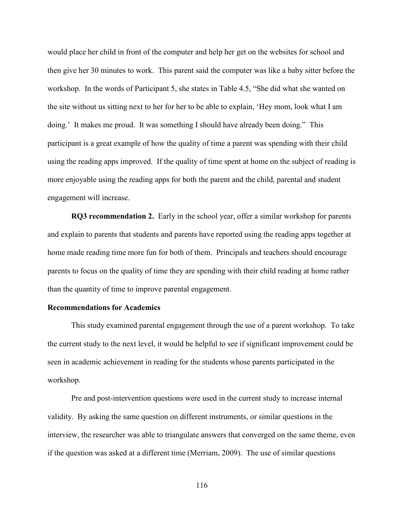would place her child in front of the computer and help her get on the websites for school and then give her 30 minutes to work. This parent said the computer was like a baby sitter before the workshop. In the words of Participant 5, she states in Table 4.5, "She did what she wanted on the site without us sitting next to her for her to be able to explain, 'Hey mom, look what I am doing.' It makes me proud. It was something I should have already been doing." This participant is a great example of how the quality of time a parent was spending with their child using the reading apps improved. If the quality of time spent at home on the subject of reading is more enjoyable using the reading apps for both the parent and the child, parental and student engagement will increase.

**RQ3 recommendation 2.** Early in the school year, offer a similar workshop for parents and explain to parents that students and parents have reported using the reading apps together at home made reading time more fun for both of them. Principals and teachers should encourage parents to focus on the quality of time they are spending with their child reading at home rather than the quantity of time to improve parental engagement.

#### **Recommendations for Academics**

This study examined parental engagement through the use of a parent workshop. To take the current study to the next level, it would be helpful to see if significant improvement could be seen in academic achievement in reading for the students whose parents participated in the workshop.

Pre and post-intervention questions were used in the current study to increase internal validity. By asking the same question on different instruments, or similar questions in the interview, the researcher was able to triangulate answers that converged on the same theme, even if the question was asked at a different time (Merriam, 2009). The use of similar questions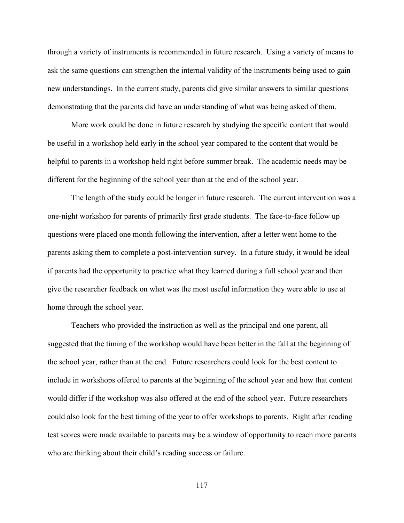through a variety of instruments is recommended in future research. Using a variety of means to ask the same questions can strengthen the internal validity of the instruments being used to gain new understandings. In the current study, parents did give similar answers to similar questions demonstrating that the parents did have an understanding of what was being asked of them.

More work could be done in future research by studying the specific content that would be useful in a workshop held early in the school year compared to the content that would be helpful to parents in a workshop held right before summer break. The academic needs may be different for the beginning of the school year than at the end of the school year.

The length of the study could be longer in future research. The current intervention was a one-night workshop for parents of primarily first grade students. The face-to-face follow up questions were placed one month following the intervention, after a letter went home to the parents asking them to complete a post-intervention survey. In a future study, it would be ideal if parents had the opportunity to practice what they learned during a full school year and then give the researcher feedback on what was the most useful information they were able to use at home through the school year.

Teachers who provided the instruction as well as the principal and one parent, all suggested that the timing of the workshop would have been better in the fall at the beginning of the school year, rather than at the end. Future researchers could look for the best content to include in workshops offered to parents at the beginning of the school year and how that content would differ if the workshop was also offered at the end of the school year. Future researchers could also look for the best timing of the year to offer workshops to parents. Right after reading test scores were made available to parents may be a window of opportunity to reach more parents who are thinking about their child's reading success or failure.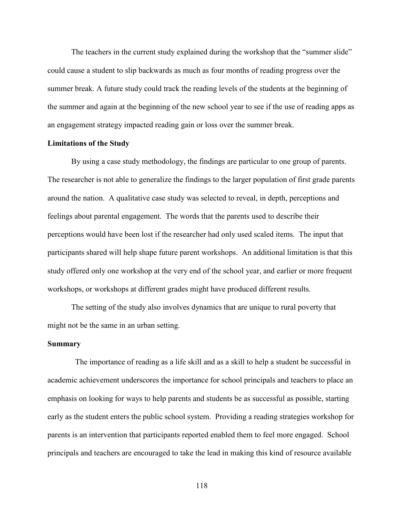The teachers in the current study explained during the workshop that the "summer slide" could cause a student to slip backwards as much as four months of reading progress over the summer break. A future study could track the reading levels of the students at the beginning of the summer and again at the beginning of the new school year to see if the use of reading apps as an engagement strategy impacted reading gain or loss over the summer break.

#### **Limitations of the Study**

By using a case study methodology, the findings are particular to one group of parents. The researcher is not able to generalize the findings to the larger population of first grade parents around the nation. A qualitative case study was selected to reveal, in depth, perceptions and feelings about parental engagement. The words that the parents used to describe their perceptions would have been lost if the researcher had only used scaled items. The input that participants shared will help shape future parent workshops. An additional limitation is that this study offered only one workshop at the very end of the school year, and earlier or more frequent workshops, or workshops at different grades might have produced different results.

The setting of the study also involves dynamics that are unique to rural poverty that might not be the same in an urban setting.

#### **Summary**

 The importance of reading as a life skill and as a skill to help a student be successful in academic achievement underscores the importance for school principals and teachers to place an emphasis on looking for ways to help parents and students be as successful as possible, starting early as the student enters the public school system. Providing a reading strategies workshop for parents is an intervention that participants reported enabled them to feel more engaged. School principals and teachers are encouraged to take the lead in making this kind of resource available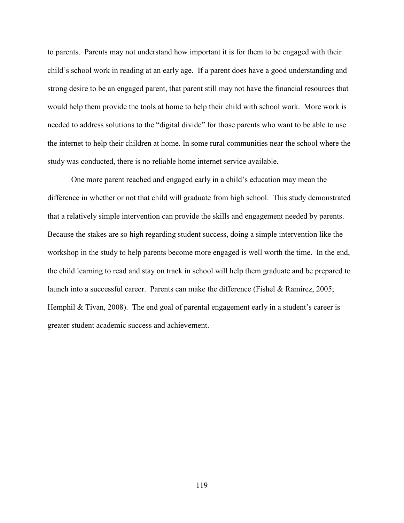to parents. Parents may not understand how important it is for them to be engaged with their child's school work in reading at an early age. If a parent does have a good understanding and strong desire to be an engaged parent, that parent still may not have the financial resources that would help them provide the tools at home to help their child with school work. More work is needed to address solutions to the "digital divide" for those parents who want to be able to use the internet to help their children at home. In some rural communities near the school where the study was conducted, there is no reliable home internet service available.

One more parent reached and engaged early in a child's education may mean the difference in whether or not that child will graduate from high school. This study demonstrated that a relatively simple intervention can provide the skills and engagement needed by parents. Because the stakes are so high regarding student success, doing a simple intervention like the workshop in the study to help parents become more engaged is well worth the time. In the end, the child learning to read and stay on track in school will help them graduate and be prepared to launch into a successful career. Parents can make the difference (Fishel & Ramirez, 2005; Hemphil & Tivan, 2008). The end goal of parental engagement early in a student's career is greater student academic success and achievement.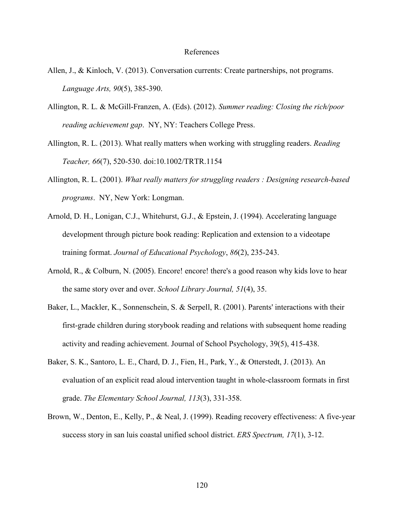#### References

- Allen, J., & Kinloch, V. (2013). Conversation currents: Create partnerships, not programs. *Language Arts, 90*(5), 385-390.
- Allington, R. L. & McGill-Franzen, A. (Eds). (2012). *Summer reading: Closing the rich/poor reading achievement gap*. NY, NY: Teachers College Press.
- Allington, R. L. (2013). What really matters when working with struggling readers. *Reading Teacher, 66*(7), 520-530. doi:10.1002/TRTR.1154
- Allington, R. L. (2001). *What really matters for struggling readers : Designing research-based programs*. NY, New York: Longman.
- Arnold, D. H., Lonigan, C.J., Whitehurst, G.J., & Epstein, J. (1994). Accelerating language development through picture book reading: Replication and extension to a videotape training format. *Journal of Educational Psychology*, *86*(2), 235-243.
- Arnold, R., & Colburn, N. (2005). Encore! encore! there's a good reason why kids love to hear the same story over and over. *School Library Journal, 51*(4), 35.
- Baker, L., Mackler, K., Sonnenschein, S. & Serpell, R. (2001). Parents' interactions with their first-grade children during storybook reading and relations with subsequent home reading activity and reading achievement. Journal of School Psychology, 39(5), 415-438.
- Baker, S. K., Santoro, L. E., Chard, D. J., Fien, H., Park, Y., & Otterstedt, J. (2013). An evaluation of an explicit read aloud intervention taught in whole-classroom formats in first grade. *The Elementary School Journal, 113*(3), 331-358.
- Brown, W., Denton, E., Kelly, P., & Neal, J. (1999). Reading recovery effectiveness: A five-year success story in san luis coastal unified school district. *ERS Spectrum, 17*(1), 3-12.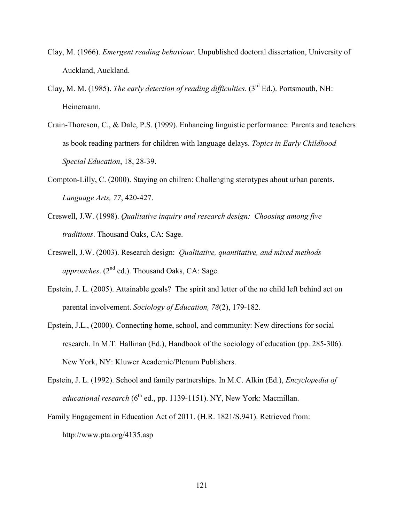- Clay, M. (1966). *Emergent reading behaviour*. Unpublished doctoral dissertation, University of Auckland, Auckland.
- Clay, M. M. (1985). *The early detection of reading difficulties.* (3<sup>rd</sup> Ed.). Portsmouth, NH: Heinemann.
- Crain-Thoreson, C., & Dale, P.S. (1999). Enhancing linguistic performance: Parents and teachers as book reading partners for children with language delays. *Topics in Early Childhood Special Education*, 18, 28-39.
- Compton-Lilly, C. (2000). Staying on chilren: Challenging sterotypes about urban parents. *Language Arts, 77*, 420-427.
- Creswell, J.W. (1998). *Qualitative inquiry and research design: Choosing among five traditions*. Thousand Oaks, CA: Sage.
- Creswell, J.W. (2003). Research design: *Qualitative, quantitative, and mixed methods approaches*. (2nd ed.). Thousand Oaks, CA: Sage.
- Epstein, J. L. (2005). Attainable goals? The spirit and letter of the no child left behind act on parental involvement. *Sociology of Education, 78*(2), 179-182.
- Epstein, J.L., (2000). Connecting home, school, and community: New directions for social research. In M.T. Hallinan (Ed.), Handbook of the sociology of education (pp. 285-306). New York, NY: Kluwer Academic/Plenum Publishers.
- Epstein, J. L. (1992). School and family partnerships. In M.C. Alkin (Ed.), *Encyclopedia of educational research* ( $6<sup>th</sup>$  ed., pp. 1139-1151). NY, New York: Macmillan.
- Family Engagement in Education Act of 2011. (H.R. 1821/S.941). Retrieved from: http://www.pta.org/4135.asp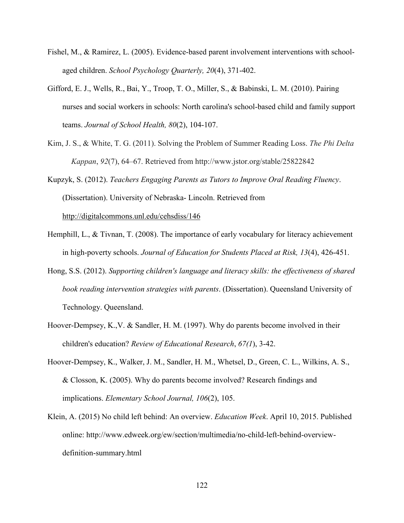- Fishel, M., & Ramirez, L. (2005). Evidence-based parent involvement interventions with schoolaged children. *School Psychology Quarterly, 20*(4), 371-402.
- Gifford, E. J., Wells, R., Bai, Y., Troop, T. O., Miller, S., & Babinski, L. M. (2010). Pairing nurses and social workers in schools: North carolina's school-based child and family support teams. *Journal of School Health, 80*(2), 104-107.
- Kim, J. S., & White, T. G. (2011). Solving the Problem of Summer Reading Loss. *The Phi Delta Kappan*, *92*(7), 64–67. Retrieved from http://www.jstor.org/stable/25822842

Kupzyk, S. (2012). *Teachers Engaging Parents as Tutors to Improve Oral Reading Fluency*. (Dissertation). University of Nebraska- Lincoln. Retrieved from <http://digitalcommons.unl.edu/cehsdiss/146>

- Hemphill, L., & Tivnan, T. (2008). The importance of early vocabulary for literacy achievement in high-poverty schools. *Journal of Education for Students Placed at Risk, 13*(4), 426-451.
- Hong, S.S. (2012). *Supporting children's language and literacy skills: the effectiveness of shared book reading intervention strategies with parents*. (Dissertation). Queensland University of Technology. Queensland.
- Hoover-Dempsey, K.,V. & Sandler, H. M. (1997). Why do parents become involved in their children's education? *Review of Educational Research*, *67(1*), 3-42.
- Hoover-Dempsey, K., Walker, J. M., Sandler, H. M., Whetsel, D., Green, C. L., Wilkins, A. S., & Closson, K. (2005). Why do parents become involved? Research findings and implications. *Elementary School Journal, 106*(2), 105.
- Klein, A. (2015) No child left behind: An overview. *Education Week*. April 10, 2015. Published online: http://www.edweek.org/ew/section/multimedia/no-child-left-behind-overviewdefinition-summary.html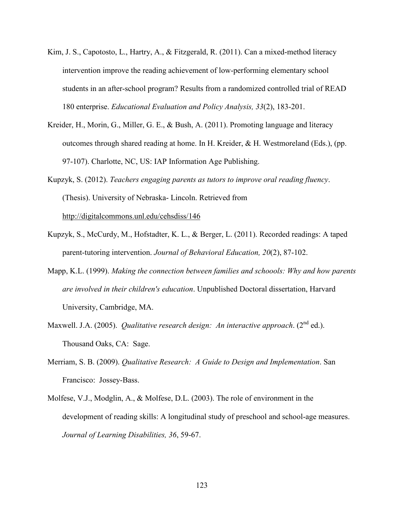- Kim, J. S., Capotosto, L., Hartry, A., & Fitzgerald, R. (2011). Can a mixed-method literacy intervention improve the reading achievement of low-performing elementary school students in an after-school program? Results from a randomized controlled trial of READ 180 enterprise. *Educational Evaluation and Policy Analysis, 33*(2), 183-201.
- Kreider, H., Morin, G., Miller, G. E., & Bush, A. (2011). Promoting language and literacy outcomes through shared reading at home. In H. Kreider, & H. Westmoreland (Eds.), (pp. 97-107). Charlotte, NC, US: IAP Information Age Publishing.
- Kupzyk, S. (2012). *Teachers engaging parents as tutors to improve oral reading fluency*. (Thesis). University of Nebraska- Lincoln. Retrieved from <http://digitalcommons.unl.edu/cehsdiss/146>
- Kupzyk, S., McCurdy, M., Hofstadter, K. L., & Berger, L. (2011). Recorded readings: A taped parent-tutoring intervention. *Journal of Behavioral Education, 20*(2), 87-102.
- Mapp, K.L. (1999). *Making the connection between families and schoools: Why and how parents are involved in their children's education*. Unpublished Doctoral dissertation, Harvard University, Cambridge, MA.
- Maxwell. J.A. (2005). *Qualitative research design: An interactive approach.* (2<sup>nd</sup> ed.). Thousand Oaks, CA: Sage.
- Merriam, S. B. (2009). *Qualitative Research: A Guide to Design and Implementation*. San Francisco: Jossey-Bass.
- Molfese, V.J., Modglin, A., & Molfese, D.L. (2003). The role of environment in the development of reading skills: A longitudinal study of preschool and school-age measures. *Journal of Learning Disabilities, 36*, 59-67.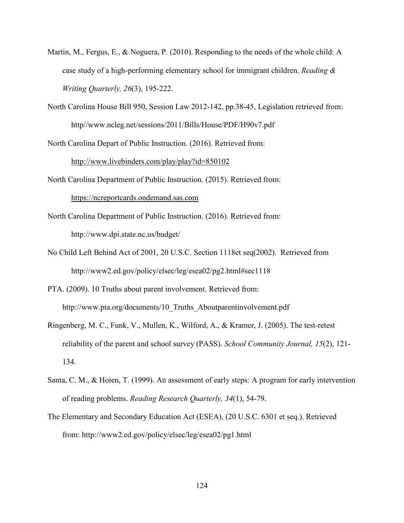- Martin, M., Fergus, E., & Noguera, P. (2010). Responding to the needs of the whole child: A case study of a high-performing elementary school for immigrant children. *Reading & Writing Quarterly, 26*(3), 195-222.
- North Carolina House Bill 950, Session Law 2012-142, pp.38-45, Legislation retrieved from: http//www.ncleg.net/sessions/2011/Bills/House/PDF/H90v7.pdf

North Carolina Depart of Public Instruction. (2016). Retrieved from:

<http://www.livebinders.com/play/play?id=850102>

North Carolina Department of Public Instruction. (2015). Retrieved from:

[https://ncreportcards.ondemand.sas.com](https://ncreportcards.ondemand.sas.com/)

- North Carolina Department of Public Instruction. (2016). Retrieved from: <http://www.dpi.state.nc.us/budget/>
- No Child Left Behind Act of 2001, 20 U.S.C. Section 1118et seq(2002). Retrieved from http://www2.ed.gov/policy/elsec/leg/esea02/pg2.html#sec1118
- PTA. (2009). 10 Truths about parent involvement. Retrieved from: http://www.pta.org/documents/10 Truths Aboutparentinvolvement.pdf
- Ringenberg, M. C., Funk, V., Mullen, K., Wilford, A., & Kramer, J. (2005). The test-retest reliability of the parent and school survey (PASS). *School Community Journal, 15*(2), 121- 134.
- Santa, C. M., & Hoien, T. (1999). An assessment of early steps: A program for early intervention of reading problems. *Reading Research Quarterly, 34*(1), 54-79.
- The Elementary and Secondary Education Act (ESEA), (20 U.S.C. 6301 et seq.). Retrieved from: http://www2.ed.gov/policy/elsec/leg/esea02/pg1.html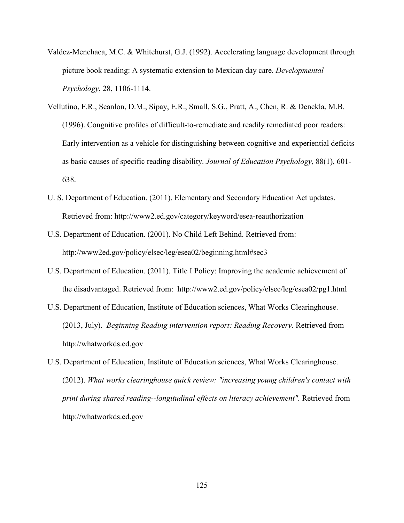- Valdez-Menchaca, M.C. & Whitehurst, G.J. (1992). Accelerating language development through picture book reading: A systematic extension to Mexican day care. *Developmental Psychology*, 28, 1106-1114.
- Vellutino, F.R., Scanlon, D.M., Sipay, E.R., Small, S.G., Pratt, A., Chen, R. & Denckla, M.B. (1996). Congnitive profiles of difficult-to-remediate and readily remediated poor readers: Early intervention as a vehicle for distinguishing between cognitive and experiential deficits as basic causes of specific reading disability. *Journal of Education Psychology*, 88(1), 601- 638.
- U. S. Department of Education. (2011). Elementary and Secondary Education Act updates. Retrieved from:<http://www2.ed.gov/category/keyword/esea-reauthorization>
- U.S. Department of Education. (2001). No Child Left Behind. Retrieved from: [http://www2ed.gov/policy/elsec/leg/esea02/beginning.html#sec3](http://www2ed.gov/policy/elsec/leg/esea02/beginning.html%23sec3)
- U.S. Department of Education. (2011). Title I Policy: Improving the academic achievement of the disadvantaged. Retrieved from: <http://www2.ed.gov/policy/elsec/leg/esea02/pg1.html>
- U.S. Department of Education, Institute of Education sciences, What Works Clearinghouse. (2013, July). *Beginning Reading intervention report: Reading Recovery*. Retrieved from http://whatworkds.ed.gov
- U.S. Department of Education, Institute of Education sciences, What Works Clearinghouse. (2012). *What works clearinghouse quick review: "increasing young children's contact with print during shared reading--longitudinal effects on literacy achievement".* Retrieved from http://whatworkds.ed.gov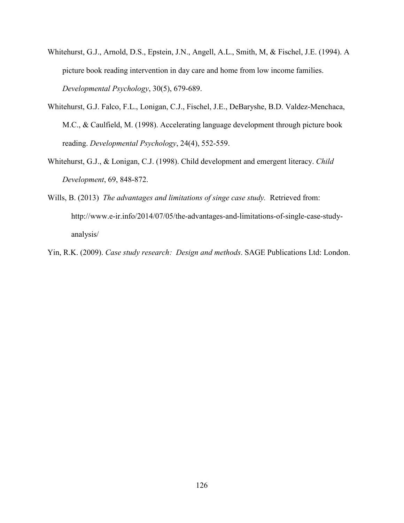- Whitehurst, G.J., Arnold, D.S., Epstein, J.N., Angell, A.L., Smith, M, & Fischel, J.E. (1994). A picture book reading intervention in day care and home from low income families. *Developmental Psychology*, 30(5), 679-689.
- Whitehurst, G.J. Falco, F.L., Lonigan, C.J., Fischel, J.E., DeBaryshe, B.D. Valdez-Menchaca, M.C., & Caulfield, M. (1998). Accelerating language development through picture book reading. *Developmental Psychology*, 24(4), 552-559.
- Whitehurst, G.J., & Lonigan, C.J. (1998). Child development and emergent literacy. *Child Development*, 69, 848-872.
- Wills, B. (2013) *The advantages and limitations of singe case study.* Retrieved from: [http://www.e-ir.info/2014/07/05/the-advantages-and-limitations-of-single-case-study](http://www.e-ir.info/2014/07/05/the-advantages-and-limitations-of-single-case-study-analysis/)[analysis/](http://www.e-ir.info/2014/07/05/the-advantages-and-limitations-of-single-case-study-analysis/)
- Yin, R.K. (2009). *Case study research: Design and methods*. SAGE Publications Ltd: London.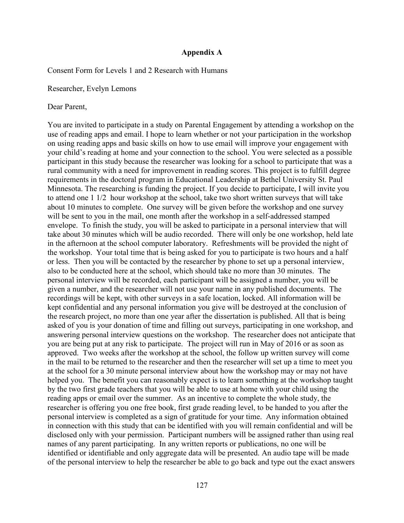### **Appendix A**

Consent Form for Levels 1 and 2 Research with Humans

Researcher, Evelyn Lemons

Dear Parent,

You are invited to participate in a study on Parental Engagement by attending a workshop on the use of reading apps and email. I hope to learn whether or not your participation in the workshop on using reading apps and basic skills on how to use email will improve your engagement with your child's reading at home and your connection to the school. You were selected as a possible participant in this study because the researcher was looking for a school to participate that was a rural community with a need for improvement in reading scores. This project is to fulfill degree requirements in the doctoral program in Educational Leadership at Bethel University St. Paul Minnesota. The researching is funding the project. If you decide to participate, I will invite you to attend one 1 1/2 hour workshop at the school, take two short written surveys that will take about 10 minutes to complete. One survey will be given before the workshop and one survey will be sent to you in the mail, one month after the workshop in a self-addressed stamped envelope. To finish the study, you will be asked to participate in a personal interview that will take about 30 minutes which will be audio recorded. There will only be one workshop, held late in the afternoon at the school computer laboratory. Refreshments will be provided the night of the workshop. Your total time that is being asked for you to participate is two hours and a half or less. Then you will be contacted by the researcher by phone to set up a personal interview, also to be conducted here at the school, which should take no more than 30 minutes. The personal interview will be recorded, each participant will be assigned a number, you will be given a number, and the researcher will not use your name in any published documents. The recordings will be kept, with other surveys in a safe location, locked. All information will be kept confidential and any personal information you give will be destroyed at the conclusion of the research project, no more than one year after the dissertation is published. All that is being asked of you is your donation of time and filling out surveys, participating in one workshop, and answering personal interview questions on the workshop. The researcher does not anticipate that you are being put at any risk to participate. The project will run in May of 2016 or as soon as approved. Two weeks after the workshop at the school, the follow up written survey will come in the mail to be returned to the researcher and then the researcher will set up a time to meet you at the school for a 30 minute personal interview about how the workshop may or may not have helped you. The benefit you can reasonably expect is to learn something at the workshop taught by the two first grade teachers that you will be able to use at home with your child using the reading apps or email over the summer. As an incentive to complete the whole study, the researcher is offering you one free book, first grade reading level, to be handed to you after the personal interview is completed as a sign of gratitude for your time. Any information obtained in connection with this study that can be identified with you will remain confidential and will be disclosed only with your permission. Participant numbers will be assigned rather than using real names of any parent participating. In any written reports or publications, no one will be identified or identifiable and only aggregate data will be presented. An audio tape will be made of the personal interview to help the researcher be able to go back and type out the exact answers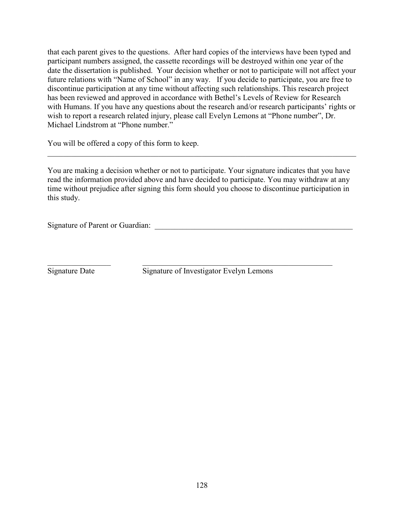that each parent gives to the questions. After hard copies of the interviews have been typed and participant numbers assigned, the cassette recordings will be destroyed within one year of the date the dissertation is published. Your decision whether or not to participate will not affect your future relations with "Name of School" in any way. If you decide to participate, you are free to discontinue participation at any time without affecting such relationships. This research project has been reviewed and approved in accordance with Bethel's Levels of Review for Research with Humans. If you have any questions about the research and/or research participants' rights or wish to report a research related injury, please call Evelyn Lemons at "Phone number", Dr. Michael Lindstrom at "Phone number."

You will be offered a copy of this form to keep.

You are making a decision whether or not to participate. Your signature indicates that you have read the information provided above and have decided to participate. You may withdraw at any time without prejudice after signing this form should you choose to discontinue participation in this study.

\_\_\_\_\_\_\_\_\_\_\_\_\_\_\_\_\_\_\_\_\_\_\_\_\_\_\_\_\_\_\_\_\_\_\_\_\_\_\_\_\_\_\_\_\_\_\_\_\_\_\_\_\_\_\_\_\_\_\_\_\_\_\_\_\_\_\_\_\_\_\_\_\_\_\_\_\_\_

Signature of Parent or Guardian:

 $\_$  , and the set of the set of the set of the set of the set of the set of the set of the set of the set of the set of the set of the set of the set of the set of the set of the set of the set of the set of the set of th

Signature Date Signature of Investigator Evelyn Lemons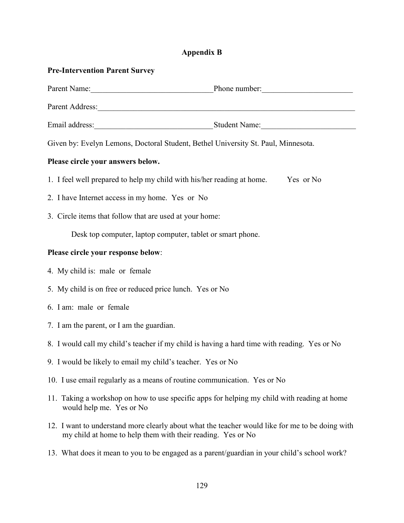# **Appendix B**

| <b>Pre-Intervention Parent Survey</b>                                                                                                                          |  |  |
|----------------------------------------------------------------------------------------------------------------------------------------------------------------|--|--|
| Parent Name: Phone number:                                                                                                                                     |  |  |
|                                                                                                                                                                |  |  |
|                                                                                                                                                                |  |  |
| Given by: Evelyn Lemons, Doctoral Student, Bethel University St. Paul, Minnesota.                                                                              |  |  |
| Please circle your answers below.                                                                                                                              |  |  |
| 1. I feel well prepared to help my child with his/her reading at home.<br>Yes or No                                                                            |  |  |
| 2. I have Internet access in my home. Yes or No                                                                                                                |  |  |
| 3. Circle items that follow that are used at your home:                                                                                                        |  |  |
| Desk top computer, laptop computer, tablet or smart phone.                                                                                                     |  |  |
| Please circle your response below:                                                                                                                             |  |  |
| 4. My child is: male or female                                                                                                                                 |  |  |
| 5. My child is on free or reduced price lunch. Yes or No                                                                                                       |  |  |
| 6. I am: male or female                                                                                                                                        |  |  |
| 7. I am the parent, or I am the guardian.                                                                                                                      |  |  |
| 8. I would call my child's teacher if my child is having a hard time with reading. Yes or No                                                                   |  |  |
| 9. I would be likely to email my child's teacher. Yes or No                                                                                                    |  |  |
| 10. I use email regularly as a means of routine communication. Yes or No                                                                                       |  |  |
| 11. Taking a workshop on how to use specific apps for helping my child with reading at home<br>would help me. Yes or No                                        |  |  |
| 12. I want to understand more clearly about what the teacher would like for me to be doing with<br>my child at home to help them with their reading. Yes or No |  |  |

13. What does it mean to you to be engaged as a parent/guardian in your child's school work?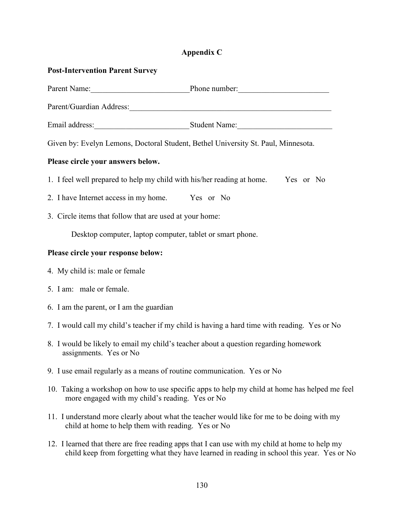## **Appendix C**

## **Post-Intervention Parent Survey**

| Parent Name: Phone number:                                                                                                                                                                                                     |  |  |
|--------------------------------------------------------------------------------------------------------------------------------------------------------------------------------------------------------------------------------|--|--|
| Parent/Guardian Address: 2008. [1] David Strategy and Strategy and Strategy and Strategy and Strategy and Strategy and Strategy and Strategy and Strategy and Strategy and Strategy and Strategy and Strategy and Strategy and |  |  |
|                                                                                                                                                                                                                                |  |  |
| Given by: Evelyn Lemons, Doctoral Student, Bethel University St. Paul, Minnesota.                                                                                                                                              |  |  |
| Please circle your answers below.                                                                                                                                                                                              |  |  |
| 1. I feel well prepared to help my child with his/her reading at home. Yes or No                                                                                                                                               |  |  |
| 2. I have Internet access in my home. Yes or No                                                                                                                                                                                |  |  |
| 3. Circle items that follow that are used at your home:                                                                                                                                                                        |  |  |
| Desktop computer, laptop computer, tablet or smart phone.                                                                                                                                                                      |  |  |
| Please circle your response below:                                                                                                                                                                                             |  |  |
| 4. My child is: male or female                                                                                                                                                                                                 |  |  |
| 5. I am: male or female.                                                                                                                                                                                                       |  |  |

- 6. I am the parent, or I am the guardian
- 7. I would call my child's teacher if my child is having a hard time with reading. Yes or No
- 8. I would be likely to email my child's teacher about a question regarding homework assignments. Yes or No
- 9. I use email regularly as a means of routine communication. Yes or No
- 10. Taking a workshop on how to use specific apps to help my child at home has helped me feel more engaged with my child's reading. Yes or No
- 11. I understand more clearly about what the teacher would like for me to be doing with my child at home to help them with reading. Yes or No
- 12. I learned that there are free reading apps that I can use with my child at home to help my child keep from forgetting what they have learned in reading in school this year. Yes or No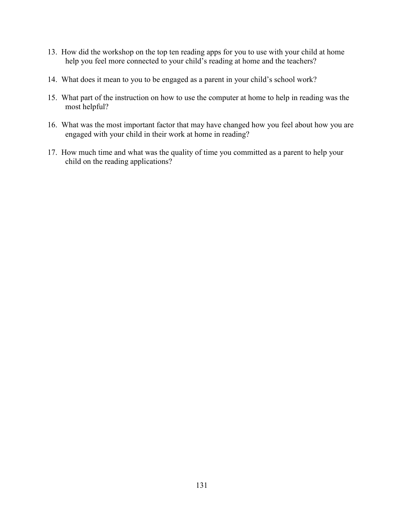- 13. How did the workshop on the top ten reading apps for you to use with your child at home help you feel more connected to your child's reading at home and the teachers?
- 14. What does it mean to you to be engaged as a parent in your child's school work?
- 15. What part of the instruction on how to use the computer at home to help in reading was the most helpful?
- 16. What was the most important factor that may have changed how you feel about how you are engaged with your child in their work at home in reading?
- 17. How much time and what was the quality of time you committed as a parent to help your child on the reading applications?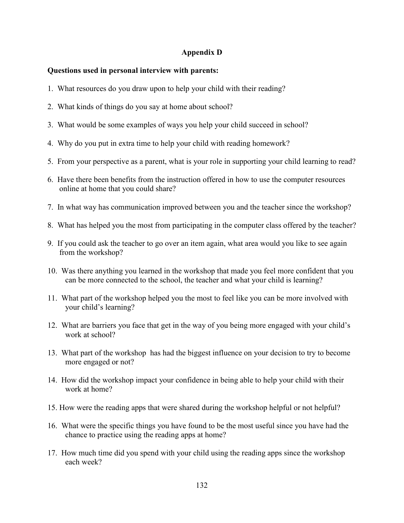## **Appendix D**

## **Questions used in personal interview with parents:**

- 1. What resources do you draw upon to help your child with their reading?
- 2. What kinds of things do you say at home about school?
- 3. What would be some examples of ways you help your child succeed in school?
- 4. Why do you put in extra time to help your child with reading homework?
- 5. From your perspective as a parent, what is your role in supporting your child learning to read?
- 6. Have there been benefits from the instruction offered in how to use the computer resources online at home that you could share?
- 7. In what way has communication improved between you and the teacher since the workshop?
- 8. What has helped you the most from participating in the computer class offered by the teacher?
- 9. If you could ask the teacher to go over an item again, what area would you like to see again from the workshop?
- 10. Was there anything you learned in the workshop that made you feel more confident that you can be more connected to the school, the teacher and what your child is learning?
- 11. What part of the workshop helped you the most to feel like you can be more involved with your child's learning?
- 12. What are barriers you face that get in the way of you being more engaged with your child's work at school?
- 13. What part of the workshop has had the biggest influence on your decision to try to become more engaged or not?
- 14. How did the workshop impact your confidence in being able to help your child with their work at home?
- 15. How were the reading apps that were shared during the workshop helpful or not helpful?
- 16. What were the specific things you have found to be the most useful since you have had the chance to practice using the reading apps at home?
- 17. How much time did you spend with your child using the reading apps since the workshop each week?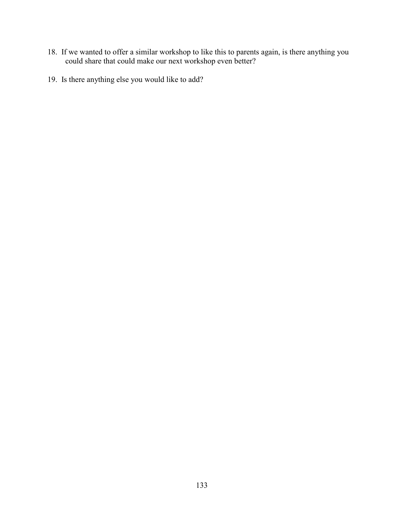- 18. If we wanted to offer a similar workshop to like this to parents again, is there anything you could share that could make our next workshop even better?
- 19. Is there anything else you would like to add?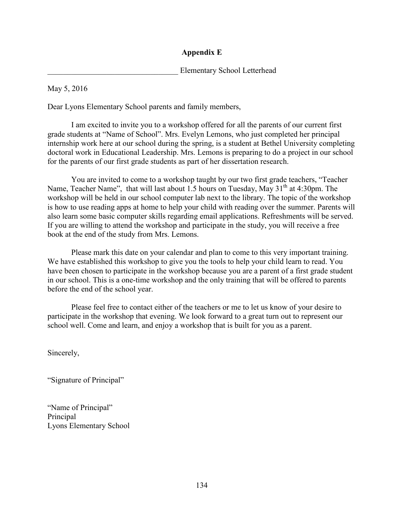## **Appendix E**

Elementary School Letterhead

May 5, 2016

Dear Lyons Elementary School parents and family members,

 I am excited to invite you to a workshop offered for all the parents of our current first grade students at "Name of School". Mrs. Evelyn Lemons, who just completed her principal internship work here at our school during the spring, is a student at Bethel University completing doctoral work in Educational Leadership. Mrs. Lemons is preparing to do a project in our school for the parents of our first grade students as part of her dissertation research.

You are invited to come to a workshop taught by our two first grade teachers, "Teacher Name, Teacher Name", that will last about 1.5 hours on Tuesday, May  $31<sup>th</sup>$  at 4:30pm. The workshop will be held in our school computer lab next to the library. The topic of the workshop is how to use reading apps at home to help your child with reading over the summer. Parents will also learn some basic computer skills regarding email applications. Refreshments will be served. If you are willing to attend the workshop and participate in the study, you will receive a free book at the end of the study from Mrs. Lemons.

Please mark this date on your calendar and plan to come to this very important training. We have established this workshop to give you the tools to help your child learn to read. You have been chosen to participate in the workshop because you are a parent of a first grade student in our school. This is a one-time workshop and the only training that will be offered to parents before the end of the school year.

Please feel free to contact either of the teachers or me to let us know of your desire to participate in the workshop that evening. We look forward to a great turn out to represent our school well. Come and learn, and enjoy a workshop that is built for you as a parent.

Sincerely,

"Signature of Principal"

"Name of Principal" Principal Lyons Elementary School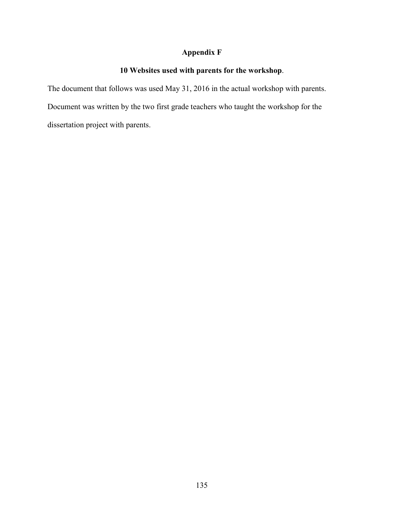## **Appendix F**

## **10 Websites used with parents for the workshop**.

The document that follows was used May 31, 2016 in the actual workshop with parents. Document was written by the two first grade teachers who taught the workshop for the dissertation project with parents.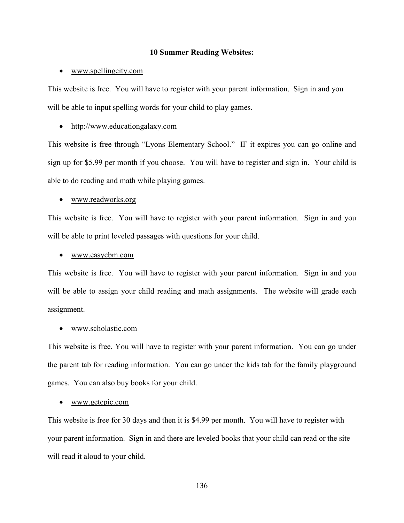### **10 Summer Reading Websites:**

#### • [www.spellingcity.com](http://www.spellingcity.com/)

This website is free. You will have to register with your parent information. Sign in and you will be able to input spelling words for your child to play games.

#### • [http://www.educationgalaxy.com](http://www.educationgalaxy.com/)

This website is free through "Lyons Elementary School." IF it expires you can go online and sign up for \$5.99 per month if you choose. You will have to register and sign in. Your child is able to do reading and math while playing games.

### • [www.readworks.org](http://www.readworks.org/)

This website is free. You will have to register with your parent information. Sign in and you will be able to print leveled passages with questions for your child.

#### • [www.easycbm.com](http://www.easycbm.com/)

This website is free. You will have to register with your parent information. Sign in and you will be able to assign your child reading and math assignments. The website will grade each assignment.

#### • [www.scholastic.com](http://www.scholastic.com/)

This website is free. You will have to register with your parent information. You can go under the parent tab for reading information. You can go under the kids tab for the family playground games. You can also buy books for your child.

#### • [www.getepic.com](http://www.getepic.com/)

This website is free for 30 days and then it is \$4.99 per month. You will have to register with your parent information. Sign in and there are leveled books that your child can read or the site will read it aloud to your child.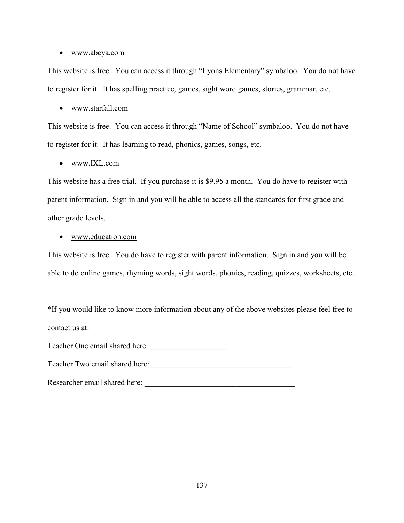### • [www.abcya.com](http://www.abcya.com/)

This website is free. You can access it through "Lyons Elementary" symbaloo. You do not have to register for it. It has spelling practice, games, sight word games, stories, grammar, etc.

## • [www.starfall.com](http://www.starfall.com/)

This website is free. You can access it through "Name of School" symbaloo. You do not have to register for it. It has learning to read, phonics, games, songs, etc.

## • [www.IXL.com](http://www.ixl.com/)

This website has a free trial. If you purchase it is \$9.95 a month. You do have to register with parent information. Sign in and you will be able to access all the standards for first grade and other grade levels.

### • [www.education.com](http://www.education.com/)

This website is free. You do have to register with parent information. Sign in and you will be able to do online games, rhyming words, sight words, phonics, reading, quizzes, worksheets, etc.

\*If you would like to know more information about any of the above websites please feel free to contact us at:

Teacher One email shared here:\_\_\_\_\_\_\_\_\_\_\_\_\_\_\_\_\_\_\_\_

Teacher Two email shared here:\_\_\_\_\_\_\_\_\_\_\_\_\_\_\_\_\_\_\_\_\_\_\_\_\_\_\_\_\_\_\_\_\_\_\_\_

Researcher email shared here: \_\_\_\_\_\_\_\_\_\_\_\_\_\_\_\_\_\_\_\_\_\_\_\_\_\_\_\_\_\_\_\_\_\_\_\_\_\_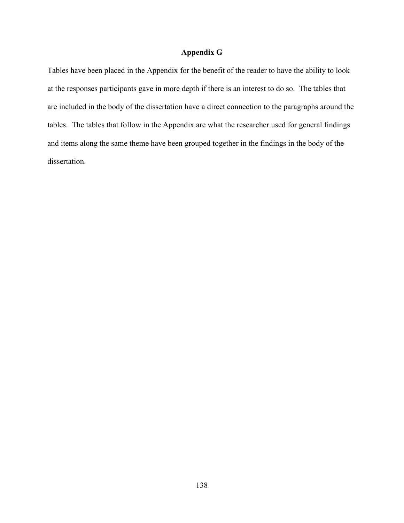### **Appendix G**

Tables have been placed in the Appendix for the benefit of the reader to have the ability to look at the responses participants gave in more depth if there is an interest to do so. The tables that are included in the body of the dissertation have a direct connection to the paragraphs around the tables. The tables that follow in the Appendix are what the researcher used for general findings and items along the same theme have been grouped together in the findings in the body of the dissertation.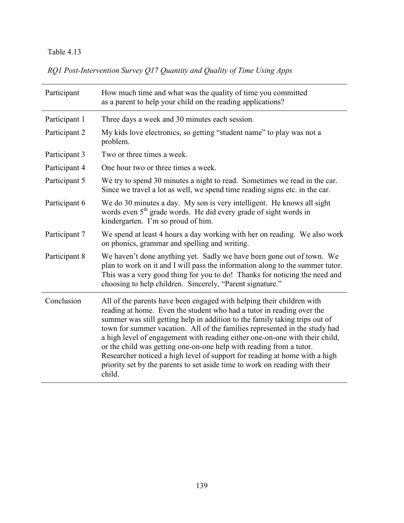*RQ1 Post-Intervention Survey Q17 Quantity and Quality of Time Using Apps* 

| Participant   | How much time and what was the quality of time you committed<br>as a parent to help your child on the reading applications?                                                                                                                                                                                                                                                                                                                                                                                                                                                                                                              |  |
|---------------|------------------------------------------------------------------------------------------------------------------------------------------------------------------------------------------------------------------------------------------------------------------------------------------------------------------------------------------------------------------------------------------------------------------------------------------------------------------------------------------------------------------------------------------------------------------------------------------------------------------------------------------|--|
| Participant 1 | Three days a week and 30 minutes each session.                                                                                                                                                                                                                                                                                                                                                                                                                                                                                                                                                                                           |  |
| Participant 2 | My kids love electronics, so getting "student name" to play was not a<br>problem.                                                                                                                                                                                                                                                                                                                                                                                                                                                                                                                                                        |  |
| Participant 3 | Two or three times a week.                                                                                                                                                                                                                                                                                                                                                                                                                                                                                                                                                                                                               |  |
| Participant 4 | One hour two or three times a week.                                                                                                                                                                                                                                                                                                                                                                                                                                                                                                                                                                                                      |  |
| Participant 5 | We try to spend 30 minutes a night to read. Sometimes we read in the car.<br>Since we travel a lot as well, we spend time reading signs etc. in the car.                                                                                                                                                                                                                                                                                                                                                                                                                                                                                 |  |
| Participant 6 | We do 30 minutes a day. My son is very intelligent. He knows all sight<br>words even 5 <sup>th</sup> grade words. He did every grade of sight words in<br>kindergarten. I'm so proud of him.                                                                                                                                                                                                                                                                                                                                                                                                                                             |  |
| Participant 7 | We spend at least 4 hours a day working with her on reading. We also work<br>on phonics, grammar and spelling and writing.                                                                                                                                                                                                                                                                                                                                                                                                                                                                                                               |  |
| Participant 8 | We haven't done anything yet. Sadly we have been gone out of town. We<br>plan to work on it and I will pass the information along to the summer tutor.<br>This was a very good thing for you to do! Thanks for noticing the need and<br>choosing to help children. Sincerely, "Parent signature."                                                                                                                                                                                                                                                                                                                                        |  |
| Conclusion    | All of the parents have been engaged with helping their children with<br>reading at home. Even the student who had a tutor in reading over the<br>summer was still getting help in addition to the family taking trips out of<br>town for summer vacation. All of the families represented in the study had<br>a high level of engagement with reading either one-on-one with their child,<br>or the child was getting one-on-one help with reading from a tutor.<br>Researcher noticed a high level of support for reading at home with a high<br>priority set by the parents to set aside time to work on reading with their<br>child. |  |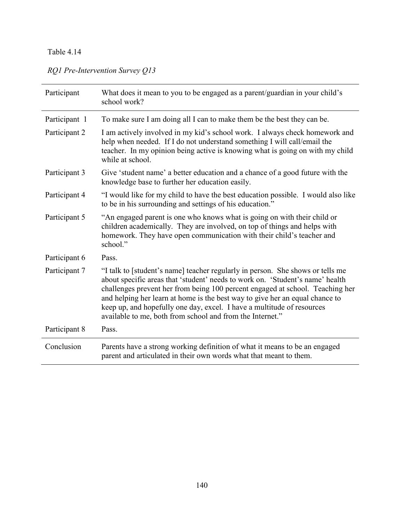# *RQ1 Pre-Intervention Survey Q13*

| Participant   | What does it mean to you to be engaged as a parent/guardian in your child's<br>school work?                                                                                                                                                                                                                                                                                                                                                                             |  |
|---------------|-------------------------------------------------------------------------------------------------------------------------------------------------------------------------------------------------------------------------------------------------------------------------------------------------------------------------------------------------------------------------------------------------------------------------------------------------------------------------|--|
| Participant 1 | To make sure I am doing all I can to make them be the best they can be.                                                                                                                                                                                                                                                                                                                                                                                                 |  |
| Participant 2 | I am actively involved in my kid's school work. I always check homework and<br>help when needed. If I do not understand something I will call/email the<br>teacher. In my opinion being active is knowing what is going on with my child<br>while at school.                                                                                                                                                                                                            |  |
| Participant 3 | Give 'student name' a better education and a chance of a good future with the<br>knowledge base to further her education easily.                                                                                                                                                                                                                                                                                                                                        |  |
| Participant 4 | "I would like for my child to have the best education possible. I would also like<br>to be in his surrounding and settings of his education."                                                                                                                                                                                                                                                                                                                           |  |
| Participant 5 | "An engaged parent is one who knows what is going on with their child or<br>children academically. They are involved, on top of things and helps with<br>homework. They have open communication with their child's teacher and<br>school."                                                                                                                                                                                                                              |  |
| Participant 6 | Pass.                                                                                                                                                                                                                                                                                                                                                                                                                                                                   |  |
| Participant 7 | "I talk to [student's name] teacher regularly in person. She shows or tells me<br>about specific areas that 'student' needs to work on. 'Student's name' health<br>challenges prevent her from being 100 percent engaged at school. Teaching her<br>and helping her learn at home is the best way to give her an equal chance to<br>keep up, and hopefully one day, excel. I have a multitude of resources<br>available to me, both from school and from the Internet." |  |
| Participant 8 | Pass.                                                                                                                                                                                                                                                                                                                                                                                                                                                                   |  |
| Conclusion    | Parents have a strong working definition of what it means to be an engaged<br>parent and articulated in their own words what that meant to them.                                                                                                                                                                                                                                                                                                                        |  |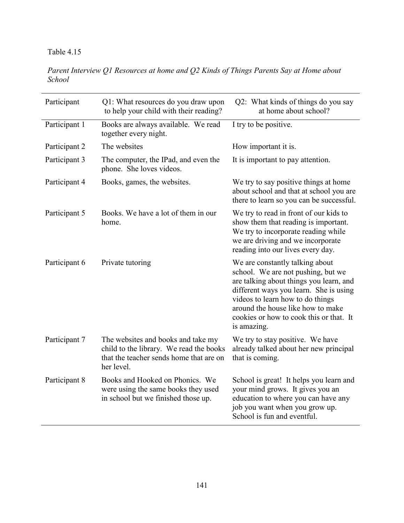*Parent Interview Q1 Resources at home and Q2 Kinds of Things Parents Say at Home about School* 

| Participant   | Q1: What resources do you draw upon<br>to help your child with their reading?                                                          | Q2: What kinds of things do you say<br>at home about school?                                                                                                                                                                                                                                  |
|---------------|----------------------------------------------------------------------------------------------------------------------------------------|-----------------------------------------------------------------------------------------------------------------------------------------------------------------------------------------------------------------------------------------------------------------------------------------------|
| Participant 1 | Books are always available. We read<br>together every night.                                                                           | I try to be positive.                                                                                                                                                                                                                                                                         |
| Participant 2 | The websites                                                                                                                           | How important it is.                                                                                                                                                                                                                                                                          |
| Participant 3 | The computer, the IPad, and even the<br>phone. She loves videos.                                                                       | It is important to pay attention.                                                                                                                                                                                                                                                             |
| Participant 4 | Books, games, the websites.                                                                                                            | We try to say positive things at home<br>about school and that at school you are<br>there to learn so you can be successful.                                                                                                                                                                  |
| Participant 5 | Books. We have a lot of them in our<br>home.                                                                                           | We try to read in front of our kids to<br>show them that reading is important.<br>We try to incorporate reading while<br>we are driving and we incorporate<br>reading into our lives every day.                                                                                               |
| Participant 6 | Private tutoring                                                                                                                       | We are constantly talking about<br>school. We are not pushing, but we<br>are talking about things you learn, and<br>different ways you learn. She is using<br>videos to learn how to do things<br>around the house like how to make<br>cookies or how to cook this or that. It<br>is amazing. |
| Participant 7 | The websites and books and take my<br>child to the library. We read the books<br>that the teacher sends home that are on<br>her level. | We try to stay positive. We have<br>already talked about her new principal<br>that is coming.                                                                                                                                                                                                 |
| Participant 8 | Books and Hooked on Phonics. We<br>were using the same books they used<br>in school but we finished those up.                          | School is great! It helps you learn and<br>your mind grows. It gives you an<br>education to where you can have any<br>job you want when you grow up.<br>School is fun and eventful.                                                                                                           |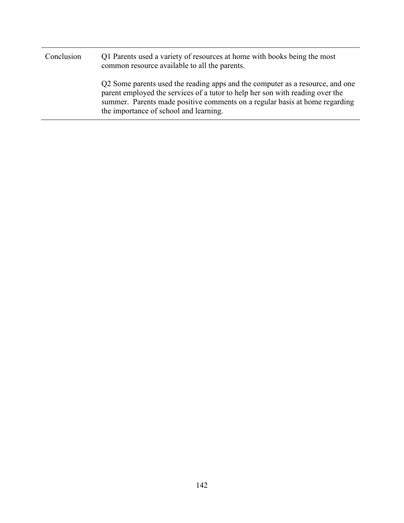| Conclusion | Q1 Parents used a variety of resources at home with books being the most<br>common resource available to all the parents.                                                                                                                                                               |
|------------|-----------------------------------------------------------------------------------------------------------------------------------------------------------------------------------------------------------------------------------------------------------------------------------------|
|            | Q2 Some parents used the reading apps and the computer as a resource, and one<br>parent employed the services of a tutor to help her son with reading over the<br>summer. Parents made positive comments on a regular basis at home regarding<br>the importance of school and learning. |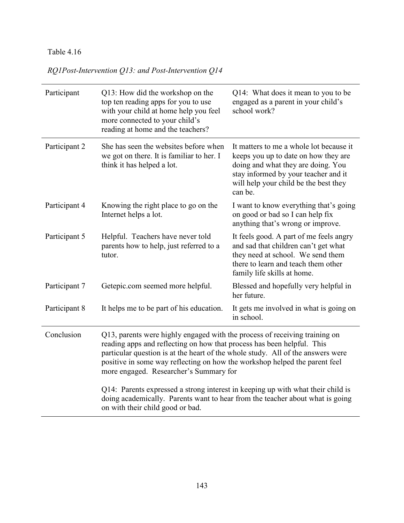*RQ1Post-Intervention Q13: and Post-Intervention Q14* 

| Participant   | Q13: How did the workshop on the<br>top ten reading apps for you to use<br>with your child at home help you feel<br>more connected to your child's<br>reading at home and the teachers?                                                                                                                                                                                                                                                                                                                                                                                 | Q14: What does it mean to you to be<br>engaged as a parent in your child's<br>school work?                                                                                                                        |
|---------------|-------------------------------------------------------------------------------------------------------------------------------------------------------------------------------------------------------------------------------------------------------------------------------------------------------------------------------------------------------------------------------------------------------------------------------------------------------------------------------------------------------------------------------------------------------------------------|-------------------------------------------------------------------------------------------------------------------------------------------------------------------------------------------------------------------|
| Participant 2 | She has seen the websites before when<br>we got on there. It is familiar to her. I<br>think it has helped a lot.                                                                                                                                                                                                                                                                                                                                                                                                                                                        | It matters to me a whole lot because it<br>keeps you up to date on how they are<br>doing and what they are doing. You<br>stay informed by your teacher and it<br>will help your child be the best they<br>can be. |
| Participant 4 | Knowing the right place to go on the<br>Internet helps a lot.                                                                                                                                                                                                                                                                                                                                                                                                                                                                                                           | I want to know everything that's going<br>on good or bad so I can help fix<br>anything that's wrong or improve.                                                                                                   |
| Participant 5 | Helpful. Teachers have never told<br>parents how to help, just referred to a<br>tutor.                                                                                                                                                                                                                                                                                                                                                                                                                                                                                  | It feels good. A part of me feels angry<br>and sad that children can't get what<br>they need at school. We send them<br>there to learn and teach them other<br>family life skills at home.                        |
| Participant 7 | Getepic.com seemed more helpful.                                                                                                                                                                                                                                                                                                                                                                                                                                                                                                                                        | Blessed and hopefully very helpful in<br>her future.                                                                                                                                                              |
| Participant 8 | It helps me to be part of his education.                                                                                                                                                                                                                                                                                                                                                                                                                                                                                                                                | It gets me involved in what is going on<br>in school.                                                                                                                                                             |
| Conclusion    | Q13, parents were highly engaged with the process of receiving training on<br>reading apps and reflecting on how that process has been helpful. This<br>particular question is at the heart of the whole study. All of the answers were<br>positive in some way reflecting on how the workshop helped the parent feel<br>more engaged. Researcher's Summary for<br>Q14: Parents expressed a strong interest in keeping up with what their child is<br>doing academically. Parents want to hear from the teacher about what is going<br>on with their child good or bad. |                                                                                                                                                                                                                   |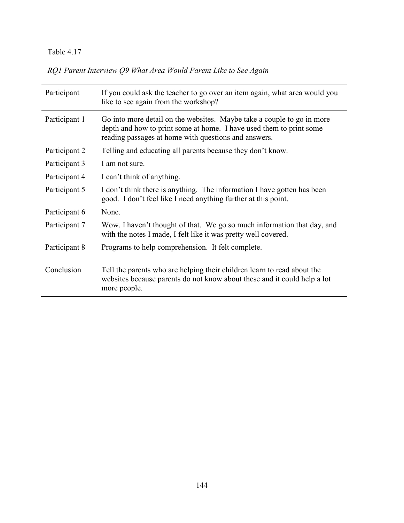*RQ1 Parent Interview Q9 What Area Would Parent Like to See Again* 

| Participant   | If you could ask the teacher to go over an item again, what area would you<br>like to see again from the workshop?                                                                                    |
|---------------|-------------------------------------------------------------------------------------------------------------------------------------------------------------------------------------------------------|
| Participant 1 | Go into more detail on the websites. Maybe take a couple to go in more<br>depth and how to print some at home. I have used them to print some<br>reading passages at home with questions and answers. |
| Participant 2 | Telling and educating all parents because they don't know.                                                                                                                                            |
| Participant 3 | I am not sure.                                                                                                                                                                                        |
| Participant 4 | I can't think of anything.                                                                                                                                                                            |
| Participant 5 | I don't think there is anything. The information I have gotten has been<br>good. I don't feel like I need anything further at this point.                                                             |
| Participant 6 | None.                                                                                                                                                                                                 |
| Participant 7 | Wow. I haven't thought of that. We go so much information that day, and<br>with the notes I made, I felt like it was pretty well covered.                                                             |
| Participant 8 | Programs to help comprehension. It felt complete.                                                                                                                                                     |
| Conclusion    | Tell the parents who are helping their children learn to read about the<br>websites because parents do not know about these and it could help a lot<br>more people.                                   |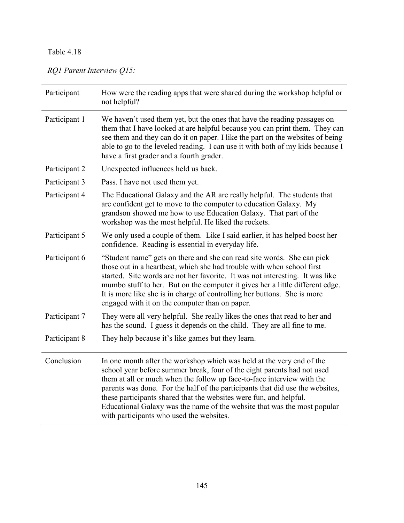# *RQ1 Parent Interview Q15:*

| Participant   | How were the reading apps that were shared during the workshop helpful or<br>not helpful?                                                                                                                                                                                                                                                                                                                                                                                                                 |
|---------------|-----------------------------------------------------------------------------------------------------------------------------------------------------------------------------------------------------------------------------------------------------------------------------------------------------------------------------------------------------------------------------------------------------------------------------------------------------------------------------------------------------------|
| Participant 1 | We haven't used them yet, but the ones that have the reading passages on<br>them that I have looked at are helpful because you can print them. They can<br>see them and they can do it on paper. I like the part on the websites of being<br>able to go to the leveled reading. I can use it with both of my kids because I<br>have a first grader and a fourth grader.                                                                                                                                   |
| Participant 2 | Unexpected influences held us back.                                                                                                                                                                                                                                                                                                                                                                                                                                                                       |
| Participant 3 | Pass. I have not used them yet.                                                                                                                                                                                                                                                                                                                                                                                                                                                                           |
| Participant 4 | The Educational Galaxy and the AR are really helpful. The students that<br>are confident get to move to the computer to education Galaxy. My<br>grandson showed me how to use Education Galaxy. That part of the<br>workshop was the most helpful. He liked the rockets.                                                                                                                                                                                                                                  |
| Participant 5 | We only used a couple of them. Like I said earlier, it has helped boost her<br>confidence. Reading is essential in everyday life.                                                                                                                                                                                                                                                                                                                                                                         |
| Participant 6 | "Student name" gets on there and she can read site words. She can pick<br>those out in a heartbeat, which she had trouble with when school first<br>started. Site words are not her favorite. It was not interesting. It was like<br>mumbo stuff to her. But on the computer it gives her a little different edge.<br>It is more like she is in charge of controlling her buttons. She is more<br>engaged with it on the computer than on paper.                                                          |
| Participant 7 | They were all very helpful. She really likes the ones that read to her and<br>has the sound. I guess it depends on the child. They are all fine to me.                                                                                                                                                                                                                                                                                                                                                    |
| Participant 8 | They help because it's like games but they learn.                                                                                                                                                                                                                                                                                                                                                                                                                                                         |
| Conclusion    | In one month after the workshop which was held at the very end of the<br>school year before summer break, four of the eight parents had not used<br>them at all or much when the follow up face-to-face interview with the<br>parents was done. For the half of the participants that did use the websites,<br>these participants shared that the websites were fun, and helpful.<br>Educational Galaxy was the name of the website that was the most popular<br>with participants who used the websites. |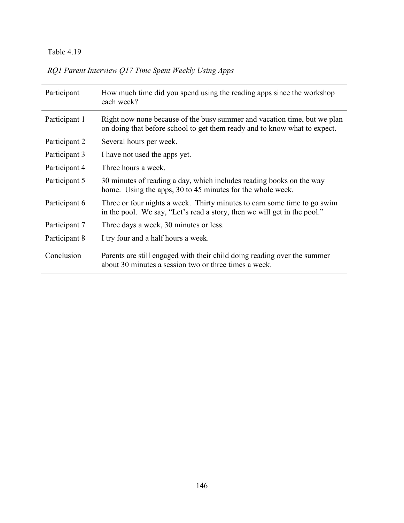| RQ1 Parent Interview Q17 Time Spent Weekly Using Apps |  |  |  |
|-------------------------------------------------------|--|--|--|
|                                                       |  |  |  |

| Participant   | How much time did you spend using the reading apps since the workshop<br>each week?                                                                   |  |
|---------------|-------------------------------------------------------------------------------------------------------------------------------------------------------|--|
| Participant 1 | Right now none because of the busy summer and vacation time, but we plan<br>on doing that before school to get them ready and to know what to expect. |  |
| Participant 2 | Several hours per week.                                                                                                                               |  |
| Participant 3 | I have not used the apps yet.                                                                                                                         |  |
| Participant 4 | Three hours a week.                                                                                                                                   |  |
| Participant 5 | 30 minutes of reading a day, which includes reading books on the way<br>home. Using the apps, 30 to 45 minutes for the whole week.                    |  |
| Participant 6 | Three or four nights a week. Thirty minutes to earn some time to go swim<br>in the pool. We say, "Let's read a story, then we will get in the pool."  |  |
| Participant 7 | Three days a week, 30 minutes or less.                                                                                                                |  |
| Participant 8 | I try four and a half hours a week.                                                                                                                   |  |
| Conclusion    | Parents are still engaged with their child doing reading over the summer<br>about 30 minutes a session two or three times a week.                     |  |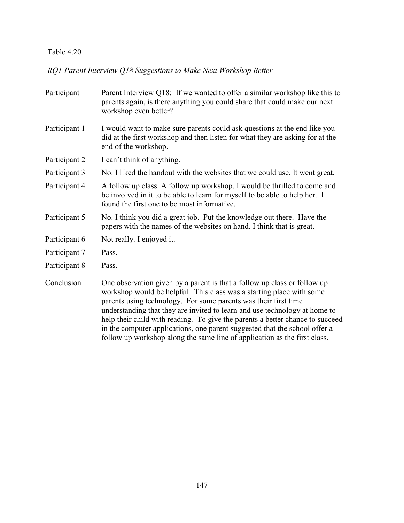*RQ1 Parent Interview Q18 Suggestions to Make Next Workshop Better* 

| Participant   | Parent Interview Q18: If we wanted to offer a similar workshop like this to<br>parents again, is there anything you could share that could make our next<br>workshop even better?                                                                                                                                                                                                                                                                                                                                                             |
|---------------|-----------------------------------------------------------------------------------------------------------------------------------------------------------------------------------------------------------------------------------------------------------------------------------------------------------------------------------------------------------------------------------------------------------------------------------------------------------------------------------------------------------------------------------------------|
| Participant 1 | I would want to make sure parents could ask questions at the end like you<br>did at the first workshop and then listen for what they are asking for at the<br>end of the workshop.                                                                                                                                                                                                                                                                                                                                                            |
| Participant 2 | I can't think of anything.                                                                                                                                                                                                                                                                                                                                                                                                                                                                                                                    |
| Participant 3 | No. I liked the handout with the websites that we could use. It went great.                                                                                                                                                                                                                                                                                                                                                                                                                                                                   |
| Participant 4 | A follow up class. A follow up workshop. I would be thrilled to come and<br>be involved in it to be able to learn for myself to be able to help her. I<br>found the first one to be most informative.                                                                                                                                                                                                                                                                                                                                         |
| Participant 5 | No. I think you did a great job. Put the knowledge out there. Have the<br>papers with the names of the websites on hand. I think that is great.                                                                                                                                                                                                                                                                                                                                                                                               |
| Participant 6 | Not really. I enjoyed it.                                                                                                                                                                                                                                                                                                                                                                                                                                                                                                                     |
| Participant 7 | Pass.                                                                                                                                                                                                                                                                                                                                                                                                                                                                                                                                         |
| Participant 8 | Pass.                                                                                                                                                                                                                                                                                                                                                                                                                                                                                                                                         |
| Conclusion    | One observation given by a parent is that a follow up class or follow up<br>workshop would be helpful. This class was a starting place with some<br>parents using technology. For some parents was their first time<br>understanding that they are invited to learn and use technology at home to<br>help their child with reading. To give the parents a better chance to succeed<br>in the computer applications, one parent suggested that the school offer a<br>follow up workshop along the same line of application as the first class. |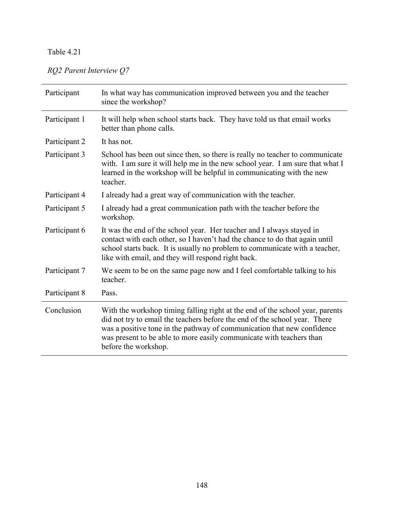# *RQ2 Parent Interview Q7*

| Participant   | In what way has communication improved between you and the teacher<br>since the workshop?                                                                                                                                                                                                                                              |
|---------------|----------------------------------------------------------------------------------------------------------------------------------------------------------------------------------------------------------------------------------------------------------------------------------------------------------------------------------------|
| Participant 1 | It will help when school starts back. They have told us that email works<br>better than phone calls.                                                                                                                                                                                                                                   |
| Participant 2 | It has not.                                                                                                                                                                                                                                                                                                                            |
| Participant 3 | School has been out since then, so there is really no teacher to communicate<br>with. I am sure it will help me in the new school year. I am sure that what I<br>learned in the workshop will be helpful in communicating with the new<br>teacher.                                                                                     |
| Participant 4 | I already had a great way of communication with the teacher.                                                                                                                                                                                                                                                                           |
| Participant 5 | I already had a great communication path with the teacher before the<br>workshop.                                                                                                                                                                                                                                                      |
| Participant 6 | It was the end of the school year. Her teacher and I always stayed in<br>contact with each other, so I haven't had the chance to do that again until<br>school starts back. It is usually no problem to communicate with a teacher,<br>like with email, and they will respond right back.                                              |
| Participant 7 | We seem to be on the same page now and I feel comfortable talking to his<br>teacher.                                                                                                                                                                                                                                                   |
| Participant 8 | Pass.                                                                                                                                                                                                                                                                                                                                  |
| Conclusion    | With the workshop timing falling right at the end of the school year, parents<br>did not try to email the teachers before the end of the school year. There<br>was a positive tone in the pathway of communication that new confidence<br>was present to be able to more easily communicate with teachers than<br>before the workshop. |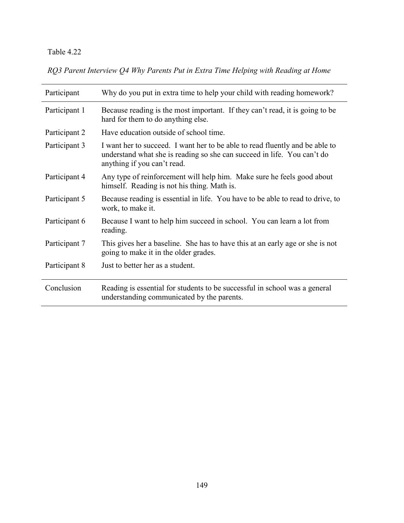*RQ3 Parent Interview Q4 Why Parents Put in Extra Time Helping with Reading at Home* 

| Participant   | Why do you put in extra time to help your child with reading homework?                                                                                                                 |
|---------------|----------------------------------------------------------------------------------------------------------------------------------------------------------------------------------------|
| Participant 1 | Because reading is the most important. If they can't read, it is going to be<br>hard for them to do anything else.                                                                     |
| Participant 2 | Have education outside of school time.                                                                                                                                                 |
| Participant 3 | I want her to succeed. I want her to be able to read fluently and be able to<br>understand what she is reading so she can succeed in life. You can't do<br>anything if you can't read. |
| Participant 4 | Any type of reinforcement will help him. Make sure he feels good about<br>himself. Reading is not his thing. Math is.                                                                  |
| Participant 5 | Because reading is essential in life. You have to be able to read to drive, to<br>work, to make it.                                                                                    |
| Participant 6 | Because I want to help him succeed in school. You can learn a lot from<br>reading.                                                                                                     |
| Participant 7 | This gives her a baseline. She has to have this at an early age or she is not<br>going to make it in the older grades.                                                                 |
| Participant 8 | Just to better her as a student.                                                                                                                                                       |
| Conclusion    | Reading is essential for students to be successful in school was a general<br>understanding communicated by the parents.                                                               |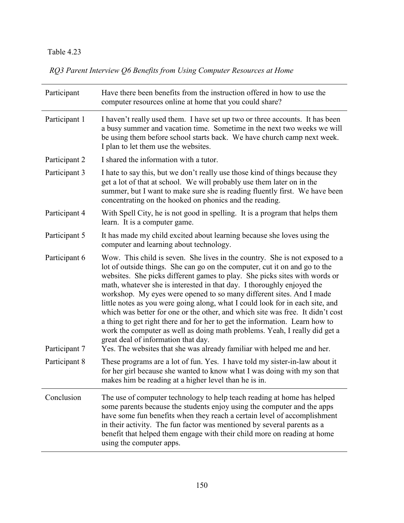*RQ3 Parent Interview Q6 Benefits from Using Computer Resources at Home* 

| Participant                    | Have there been benefits from the instruction offered in how to use the<br>computer resources online at home that you could share?                                                                                                                                                                                                                                                                                                                                                                                                                                                                                                                                                                                                                                                                                                          |
|--------------------------------|---------------------------------------------------------------------------------------------------------------------------------------------------------------------------------------------------------------------------------------------------------------------------------------------------------------------------------------------------------------------------------------------------------------------------------------------------------------------------------------------------------------------------------------------------------------------------------------------------------------------------------------------------------------------------------------------------------------------------------------------------------------------------------------------------------------------------------------------|
| Participant 1                  | I haven't really used them. I have set up two or three accounts. It has been<br>a busy summer and vacation time. Sometime in the next two weeks we will<br>be using them before school starts back. We have church camp next week.<br>I plan to let them use the websites.                                                                                                                                                                                                                                                                                                                                                                                                                                                                                                                                                                  |
| Participant 2                  | I shared the information with a tutor.                                                                                                                                                                                                                                                                                                                                                                                                                                                                                                                                                                                                                                                                                                                                                                                                      |
| Participant 3                  | I hate to say this, but we don't really use those kind of things because they<br>get a lot of that at school. We will probably use them later on in the<br>summer, but I want to make sure she is reading fluently first. We have been<br>concentrating on the hooked on phonics and the reading.                                                                                                                                                                                                                                                                                                                                                                                                                                                                                                                                           |
| Participant 4                  | With Spell City, he is not good in spelling. It is a program that helps them<br>learn. It is a computer game.                                                                                                                                                                                                                                                                                                                                                                                                                                                                                                                                                                                                                                                                                                                               |
| Participant 5                  | It has made my child excited about learning because she loves using the<br>computer and learning about technology.                                                                                                                                                                                                                                                                                                                                                                                                                                                                                                                                                                                                                                                                                                                          |
| Participant 6<br>Participant 7 | Wow. This child is seven. She lives in the country. She is not exposed to a<br>lot of outside things. She can go on the computer, cut it on and go to the<br>websites. She picks different games to play. She picks sites with words or<br>math, whatever she is interested in that day. I thoroughly enjoyed the<br>workshop. My eyes were opened to so many different sites. And I made<br>little notes as you were going along, what I could look for in each site, and<br>which was better for one or the other, and which site was free. It didn't cost<br>a thing to get right there and for her to get the information. Learn how to<br>work the computer as well as doing math problems. Yeah, I really did get a<br>great deal of information that day.<br>Yes. The websites that she was already familiar with helped me and her. |
| Participant 8                  | These programs are a lot of fun. Yes. I have told my sister-in-law about it<br>for her girl because she wanted to know what I was doing with my son that<br>makes him be reading at a higher level than he is in.                                                                                                                                                                                                                                                                                                                                                                                                                                                                                                                                                                                                                           |
| Conclusion                     | The use of computer technology to help teach reading at home has helped<br>some parents because the students enjoy using the computer and the apps<br>have some fun benefits when they reach a certain level of accomplishment<br>in their activity. The fun factor was mentioned by several parents as a<br>benefit that helped them engage with their child more on reading at home<br>using the computer apps.                                                                                                                                                                                                                                                                                                                                                                                                                           |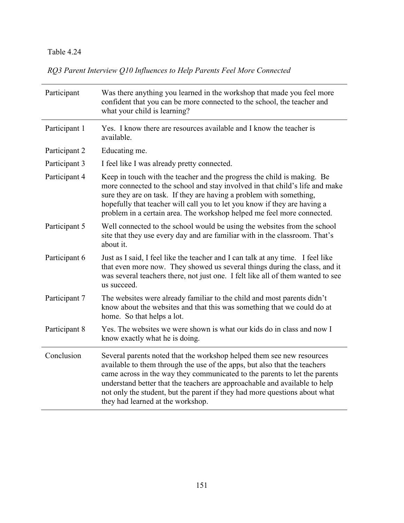*RQ3 Parent Interview Q10 Influences to Help Parents Feel More Connected* 

| Participant   | Was there anything you learned in the workshop that made you feel more<br>confident that you can be more connected to the school, the teacher and<br>what your child is learning?                                                                                                                                                                                                                                                 |
|---------------|-----------------------------------------------------------------------------------------------------------------------------------------------------------------------------------------------------------------------------------------------------------------------------------------------------------------------------------------------------------------------------------------------------------------------------------|
| Participant 1 | Yes. I know there are resources available and I know the teacher is<br>available.                                                                                                                                                                                                                                                                                                                                                 |
| Participant 2 | Educating me.                                                                                                                                                                                                                                                                                                                                                                                                                     |
| Participant 3 | I feel like I was already pretty connected.                                                                                                                                                                                                                                                                                                                                                                                       |
| Participant 4 | Keep in touch with the teacher and the progress the child is making. Be<br>more connected to the school and stay involved in that child's life and make<br>sure they are on task. If they are having a problem with something,<br>hopefully that teacher will call you to let you know if they are having a<br>problem in a certain area. The workshop helped me feel more connected.                                             |
| Participant 5 | Well connected to the school would be using the websites from the school<br>site that they use every day and are familiar with in the classroom. That's<br>about it.                                                                                                                                                                                                                                                              |
| Participant 6 | Just as I said, I feel like the teacher and I can talk at any time. I feel like<br>that even more now. They showed us several things during the class, and it<br>was several teachers there, not just one. I felt like all of them wanted to see<br>us succeed.                                                                                                                                                                   |
| Participant 7 | The websites were already familiar to the child and most parents didn't<br>know about the websites and that this was something that we could do at<br>home. So that helps a lot.                                                                                                                                                                                                                                                  |
| Participant 8 | Yes. The websites we were shown is what our kids do in class and now I<br>know exactly what he is doing.                                                                                                                                                                                                                                                                                                                          |
| Conclusion    | Several parents noted that the workshop helped them see new resources<br>available to them through the use of the apps, but also that the teachers<br>came across in the way they communicated to the parents to let the parents<br>understand better that the teachers are approachable and available to help<br>not only the student, but the parent if they had more questions about what<br>they had learned at the workshop. |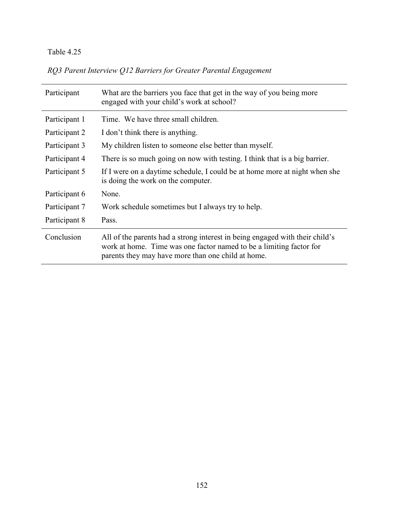*RQ3 Parent Interview Q12 Barriers for Greater Parental Engagement*

| Participant   | What are the barriers you face that get in the way of you being more<br>engaged with your child's work at school?                                                                                         |  |
|---------------|-----------------------------------------------------------------------------------------------------------------------------------------------------------------------------------------------------------|--|
| Participant 1 | Time. We have three small children.                                                                                                                                                                       |  |
| Participant 2 | I don't think there is anything.                                                                                                                                                                          |  |
| Participant 3 | My children listen to someone else better than myself.                                                                                                                                                    |  |
| Participant 4 | There is so much going on now with testing. I think that is a big barrier.                                                                                                                                |  |
| Participant 5 | If I were on a daytime schedule, I could be at home more at night when she<br>is doing the work on the computer.                                                                                          |  |
| Participant 6 | None.                                                                                                                                                                                                     |  |
| Participant 7 | Work schedule sometimes but I always try to help.                                                                                                                                                         |  |
| Participant 8 | Pass.                                                                                                                                                                                                     |  |
| Conclusion    | All of the parents had a strong interest in being engaged with their child's<br>work at home. Time was one factor named to be a limiting factor for<br>parents they may have more than one child at home. |  |